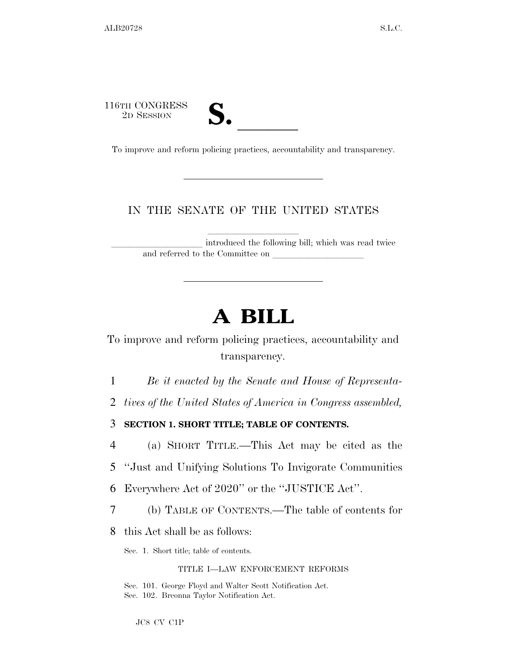116TH CONGRESS



16TH CONGRESS<br>
2D SESSION<br>
To improve and reform policing practices, accountability and transparency.

## IN THE SENATE OF THE UNITED STATES

introduced the following bill; which was read twice and referred to the Committee on

# **A BILL**

To improve and reform policing practices, accountability and transparency.

1 *Be it enacted by the Senate and House of Representa-*

2 *tives of the United States of America in Congress assembled,* 

3 **SECTION 1. SHORT TITLE; TABLE OF CONTENTS.** 

4 (a) SHORT TITLE.—This Act may be cited as the 5 ''Just and Unifying Solutions To Invigorate Communities

6 Everywhere Act of 2020'' or the ''JUSTICE Act''.

7 (b) TABLE OF CONTENTS.—The table of contents for

8 this Act shall be as follows:

Sec. 1. Short title; table of contents.

TITLE I—LAW ENFORCEMENT REFORMS

Sec. 101. George Floyd and Walter Scott Notification Act. Sec. 102. Breonna Taylor Notification Act.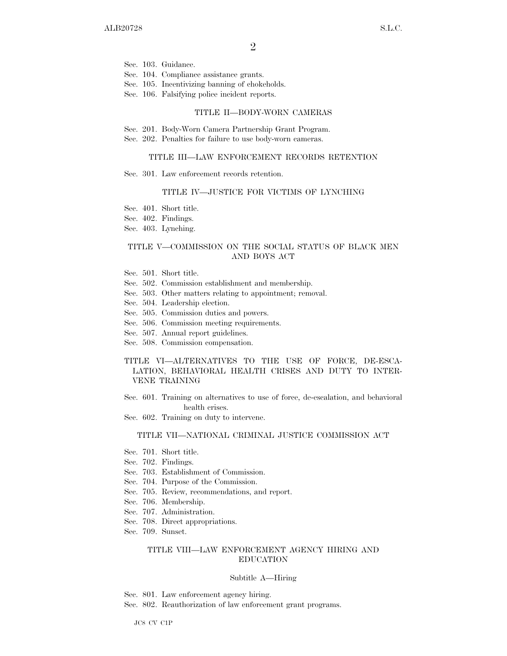Sec. 103. Guidance.

Sec. 104. Compliance assistance grants.

Sec. 105. Incentivizing banning of chokeholds.

Sec. 106. Falsifying police incident reports.

#### TITLE II—BODY-WORN CAMERAS

- Sec. 201. Body-Worn Camera Partnership Grant Program.
- Sec. 202. Penalties for failure to use body-worn cameras.

#### TITLE III—LAW ENFORCEMENT RECORDS RETENTION

Sec. 301. Law enforcement records retention.

#### TITLE IV—JUSTICE FOR VICTIMS OF LYNCHING

- Sec. 401. Short title.
- Sec. 402. Findings.
- Sec. 403. Lynching.

#### TITLE V—COMMISSION ON THE SOCIAL STATUS OF BLACK MEN AND BOYS ACT

- Sec. 501. Short title.
- Sec. 502. Commission establishment and membership.
- Sec. 503. Other matters relating to appointment; removal.
- Sec. 504. Leadership election.
- Sec. 505. Commission duties and powers.
- Sec. 506. Commission meeting requirements.
- Sec. 507. Annual report guidelines.
- Sec. 508. Commission compensation.

#### TITLE VI—ALTERNATIVES TO THE USE OF FORCE, DE-ESCA-LATION, BEHAVIORAL HEALTH CRISES AND DUTY TO INTER-VENE TRAINING

- Sec. 601. Training on alternatives to use of force, de-escalation, and behavioral health crises.
- Sec. 602. Training on duty to intervene.

#### TITLE VII—NATIONAL CRIMINAL JUSTICE COMMISSION ACT

- Sec. 701. Short title.
- Sec. 702. Findings.
- Sec. 703. Establishment of Commission.
- Sec. 704. Purpose of the Commission.
- Sec. 705. Review, recommendations, and report.
- Sec. 706. Membership.
- Sec. 707. Administration.
- Sec. 708. Direct appropriations.
- Sec. 709. Sunset.

#### TITLE VIII—LAW ENFORCEMENT AGENCY HIRING AND EDUCATION

#### Subtitle A—Hiring

Sec. 801. Law enforcement agency hiring.

Sec. 802. Reauthorization of law enforcement grant programs.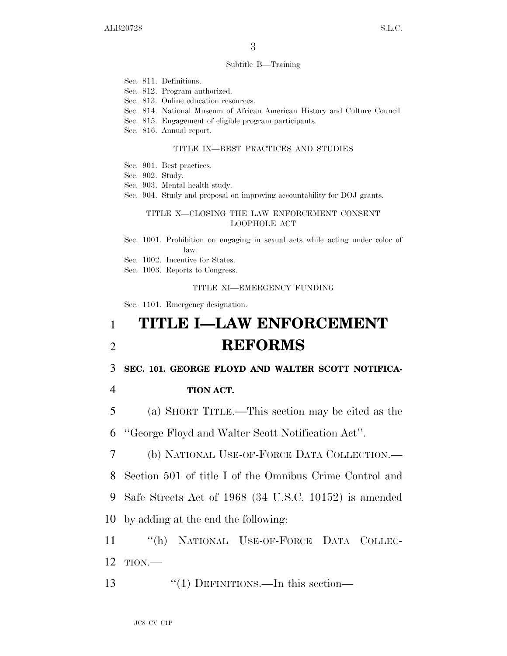#### Subtitle B—Training

- Sec. 811. Definitions.
- Sec. 812. Program authorized.
- Sec. 813. Online education resources.
- Sec. 814. National Museum of African American History and Culture Council.
- Sec. 815. Engagement of eligible program participants.
- Sec. 816. Annual report.

#### TITLE IX—BEST PRACTICES AND STUDIES

- Sec. 901. Best practices.
- Sec. 902. Study.
- Sec. 903. Mental health study.
- Sec. 904. Study and proposal on improving accountability for DOJ grants.

#### TITLE X—CLOSING THE LAW ENFORCEMENT CONSENT LOOPHOLE ACT

- Sec. 1001. Prohibition on engaging in sexual acts while acting under color of law.
- Sec. 1002. Incentive for States.
- Sec. 1003. Reports to Congress.

#### TITLE XI—EMERGENCY FUNDING

Sec. 1101. Emergency designation.

## 1 **TITLE I—LAW ENFORCEMENT**  2 **REFORMS**

3 **SEC. 101. GEORGE FLOYD AND WALTER SCOTT NOTIFICA-**

4 **TION ACT.** 

5 (a) SHORT TITLE.—This section may be cited as the

6 ''George Floyd and Walter Scott Notification Act''.

7 (b) NATIONAL USE-OF-FORCE DATA COLLECTION.—

8 Section 501 of title I of the Omnibus Crime Control and

9 Safe Streets Act of 1968 (34 U.S.C. 10152) is amended

10 by adding at the end the following:

- 11 ''(h) NATIONAL USE-OF-FORCE DATA COLLEC-12 TION.—
- 13 ''(1) DEFINITIONS.—In this section—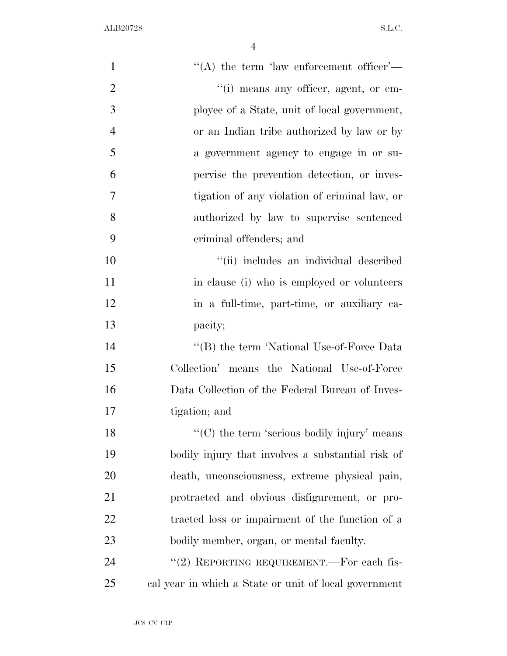| $\mathbf{1}$   | "(A) the term 'law enforcement officer'—                         |
|----------------|------------------------------------------------------------------|
| $\overline{2}$ | "(i) means any officer, agent, or em-                            |
| 3              | ployee of a State, unit of local government,                     |
| $\overline{4}$ | or an Indian tribe authorized by law or by                       |
| 5              | a government agency to engage in or su-                          |
| 6              | pervise the prevention detection, or inves-                      |
| 7              | tigation of any violation of criminal law, or                    |
| 8              | authorized by law to supervise sentenced                         |
| 9              | criminal offenders; and                                          |
| 10             | "(ii) includes an individual described                           |
| 11             | in clause (i) who is employed or volunteers                      |
| 12             | in a full-time, part-time, or auxiliary ca-                      |
| 13             | pacity;                                                          |
| 14             | "(B) the term 'National Use-of-Force Data                        |
| 15             | Collection' means the National Use-of-Force                      |
| 16             | Data Collection of the Federal Bureau of Inves-                  |
| 17             | tigation; and                                                    |
| 18             | $\lq\lq$ <sup>c</sup> (C) the term 'serious bodily injury' means |
| 19             | bodily injury that involves a substantial risk of                |
| 20             | death, unconsciousness, extreme physical pain,                   |
| 21             | protracted and obvious disfigurement, or pro-                    |
| 22             | tracted loss or impairment of the function of a                  |
| 23             | bodily member, organ, or mental faculty.                         |
| 24             | "(2) REPORTING REQUIREMENT.—For each fis-                        |
| 25             | cal year in which a State or unit of local government            |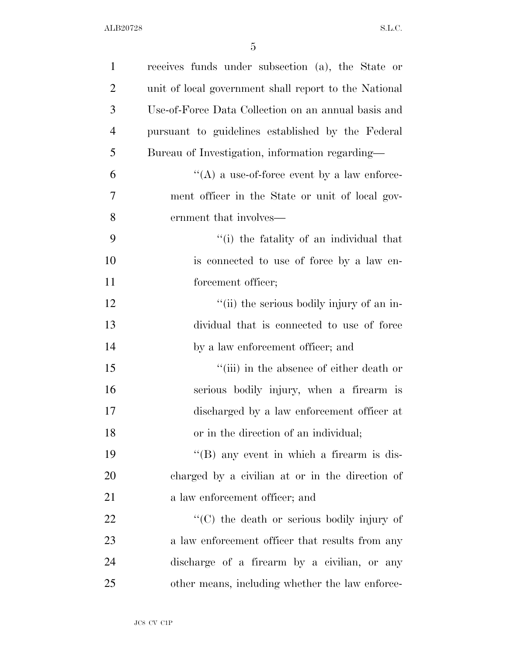| $\mathbf{1}$   | receives funds under subsection (a), the State or     |
|----------------|-------------------------------------------------------|
| $\overline{2}$ | unit of local government shall report to the National |
| 3              | Use-of-Force Data Collection on an annual basis and   |
| $\overline{4}$ | pursuant to guidelines established by the Federal     |
| 5              | Bureau of Investigation, information regarding—       |
| 6              | $\lq\lq$ a use-of-force event by a law enforce-       |
| 7              | ment officer in the State or unit of local gov-       |
| 8              | ernment that involves—                                |
| 9              | "(i) the fatality of an individual that               |
| 10             | is connected to use of force by a law en-             |
| 11             | forcement officer;                                    |
| 12             | "(ii) the serious bodily injury of an in-             |
| 13             | dividual that is connected to use of force            |
| 14             | by a law enforcement officer; and                     |
| 15             | "(iii) in the absence of either death or              |
| 16             | serious bodily injury, when a firearm is              |
| 17             | discharged by a law enforcement officer at            |
| 18             | or in the direction of an individual;                 |
| 19             | $\lq\lq (B)$ any event in which a firearm is dis-     |
| <b>20</b>      | charged by a civilian at or in the direction of       |
| 21             | a law enforcement officer; and                        |
| 22             | $\lq\lq$ (C) the death or serious bodily injury of    |
| 23             | a law enforcement officer that results from any       |
| 24             | discharge of a firearm by a civilian, or any          |
| 25             | other means, including whether the law enforce-       |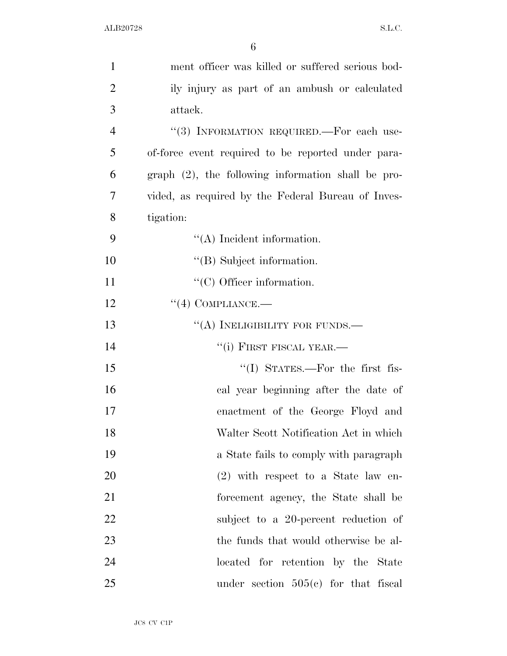| $\mathbf{1}$   | ment officer was killed or suffered serious bod-      |
|----------------|-------------------------------------------------------|
| $\overline{2}$ | ily injury as part of an ambush or calculated         |
| 3              | attack.                                               |
| $\overline{4}$ | "(3) INFORMATION REQUIRED.—For each use-              |
| 5              | of-force event required to be reported under para-    |
| 6              | $graph (2)$ , the following information shall be pro- |
| 7              | vided, as required by the Federal Bureau of Inves-    |
| 8              | tigation:                                             |
| 9              | $\lq\lq$ Incident information.                        |
| 10             | $\lq\lq$ Subject information.                         |
| 11             | $\lq\lq$ Officer information.                         |
| 12             | $``(4)$ COMPLIANCE.—                                  |
| 13             | "(A) INELIGIBILITY FOR FUNDS.—                        |
| 14             | $``(i)$ FIRST FISCAL YEAR.—                           |
| 15             | "(I) STATES.—For the first fis-                       |
| 16             | cal year beginning after the date of                  |
| 17             | enactment of the George Floyd and                     |
| 18             | Walter Scott Notification Act in which                |
| 19             | a State fails to comply with paragraph                |
| 20             | $(2)$ with respect to a State law en-                 |
| 21             | forcement agency, the State shall be                  |
| 22             | subject to a 20-percent reduction of                  |
| 23             | the funds that would otherwise be al-                 |
| 24             | located for retention by the State                    |
| 25             | under section $505(e)$ for that fiscal                |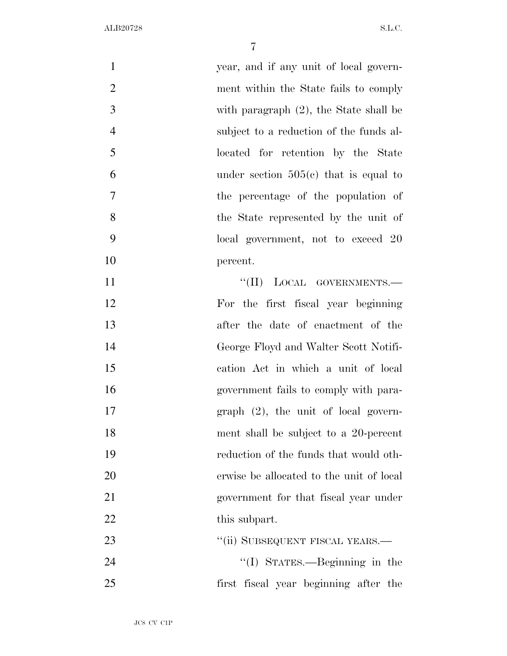| $\mathbf{1}$   | year, and if any unit of local govern-    |
|----------------|-------------------------------------------|
| $\overline{2}$ | ment within the State fails to comply     |
| 3              | with paragraph $(2)$ , the State shall be |
| $\overline{4}$ | subject to a reduction of the funds al-   |
| 5              | located for retention by the State        |
| 6              | under section $505(c)$ that is equal to   |
| 7              | the percentage of the population of       |
| 8              | the State represented by the unit of      |
| 9              | local government, not to exceed 20        |
| 10             | percent.                                  |
| 11             | "(II) LOCAL GOVERNMENTS.-                 |
| 12             | For the first fiscal year beginning       |
| 13             | after the date of enactment of the        |
| 14             | George Floyd and Walter Scott Notifi-     |
| 15             | cation Act in which a unit of local       |
| 16             | government fails to comply with para-     |
| 17             | $graph (2)$ , the unit of local govern-   |
| 18             | ment shall be subject to a 20-percent     |
| 19             | reduction of the funds that would oth-    |
| 20             | erwise be allocated to the unit of local  |
| 21             | government for that fiscal year under     |
| 22             | this subpart.                             |
| 23             | "(ii) SUBSEQUENT FISCAL YEARS.—           |
| 24             | "(I) STATES.—Beginning in the             |
| 25             | first fiscal year beginning after the     |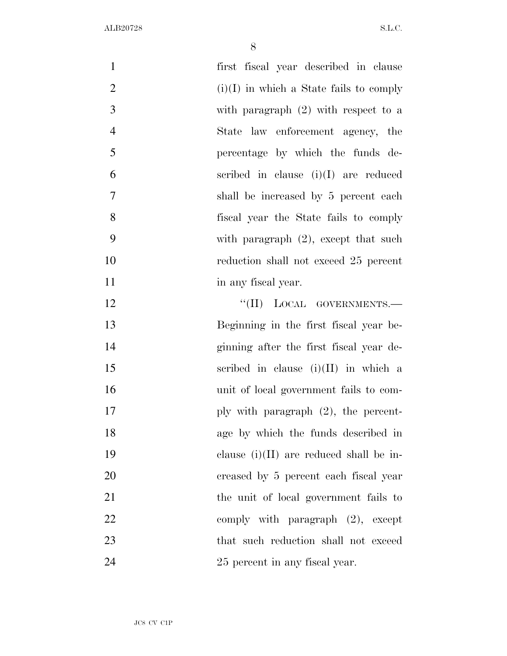| $\mathbf{1}$   | first fiscal year described in clause     |
|----------------|-------------------------------------------|
| $\overline{2}$ | $(i)(I)$ in which a State fails to comply |
| 3              | with paragraph $(2)$ with respect to a    |
| $\overline{4}$ | State law enforcement agency, the         |
| 5              | percentage by which the funds de-         |
| 6              | scribed in clause $(i)(I)$ are reduced    |
| $\tau$         | shall be increased by 5 percent each      |
| 8              | fiscal year the State fails to comply     |
| 9              | with paragraph $(2)$ , except that such   |
| 10             | reduction shall not exceed 25 percent     |
| 11             | in any fiscal year.                       |
| 12             | "(II) LOCAL GOVERNMENTS.-                 |
| 13             | Beginning in the first fiscal year be-    |
| 14             | ginning after the first fiscal year de-   |
| 15             | scribed in clause $(i)(II)$ in which a    |
| 16             | unit of local government fails to com-    |
| 17             | ply with paragraph $(2)$ , the percent-   |
| 18             | age by which the funds described in       |
| 19             | clause $(i)(II)$ are reduced shall be in- |
| 20             | creased by 5 percent each fiscal year     |
| 21             | the unit of local government fails to     |
| 22             | comply with paragraph $(2)$ , except      |
| 23             | that such reduction shall not exceed      |
| 24             | 25 percent in any fiscal year.            |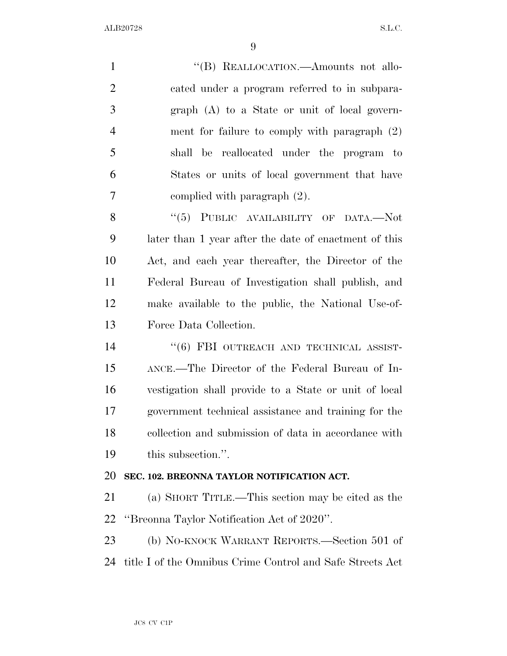1 "(B) REALLOCATION.—Amounts not allo- cated under a program referred to in subpara- graph (A) to a State or unit of local govern- ment for failure to comply with paragraph (2) shall be reallocated under the program to States or units of local government that have complied with paragraph (2). 8 "(5) PUBLIC AVAILABILITY OF DATA.—Not later than 1 year after the date of enactment of this Act, and each year thereafter, the Director of the Federal Bureau of Investigation shall publish, and make available to the public, the National Use-of- Force Data Collection. 14 "(6) FBI OUTREACH AND TECHNICAL ASSIST- ANCE.—The Director of the Federal Bureau of In- vestigation shall provide to a State or unit of local government technical assistance and training for the collection and submission of data in accordance with this subsection.''. **SEC. 102. BREONNA TAYLOR NOTIFICATION ACT.**  (a) SHORT TITLE.—This section may be cited as the ''Breonna Taylor Notification Act of 2020''. (b) NO-KNOCK WARRANT REPORTS.—Section 501 of title I of the Omnibus Crime Control and Safe Streets Act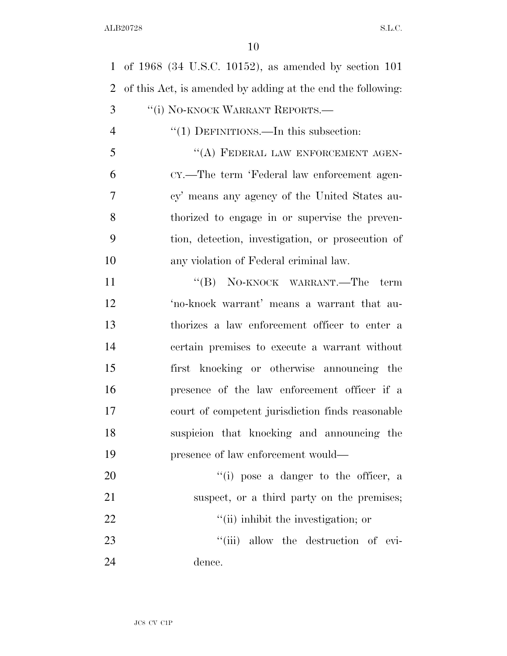of 1968 (34 U.S.C. 10152), as amended by section 101 of this Act, is amended by adding at the end the following: 3 "(i) NO-KNOCK WARRANT REPORTS.—  $\frac{4}{1}$  DEFINITIONS.—In this subsection: 5 "(A) FEDERAL LAW ENFORCEMENT AGEN- CY.—The term 'Federal law enforcement agen- cy' means any agency of the United States au- thorized to engage in or supervise the preven- tion, detection, investigation, or prosecution of any violation of Federal criminal law. 11 "'(B) NO-KNOCK WARRANT.—The term 'no-knock warrant' means a warrant that au- thorizes a law enforcement officer to enter a certain premises to execute a warrant without first knocking or otherwise announcing the presence of the law enforcement officer if a court of competent jurisdiction finds reasonable suspicion that knocking and announcing the presence of law enforcement would—  $\frac{1}{1}$  pose a danger to the officer, a suspect, or a third party on the premises;  $\frac{1}{10}$  inhibit the investigation; or  $\frac{1}{1}$  allow the destruction of evi-dence.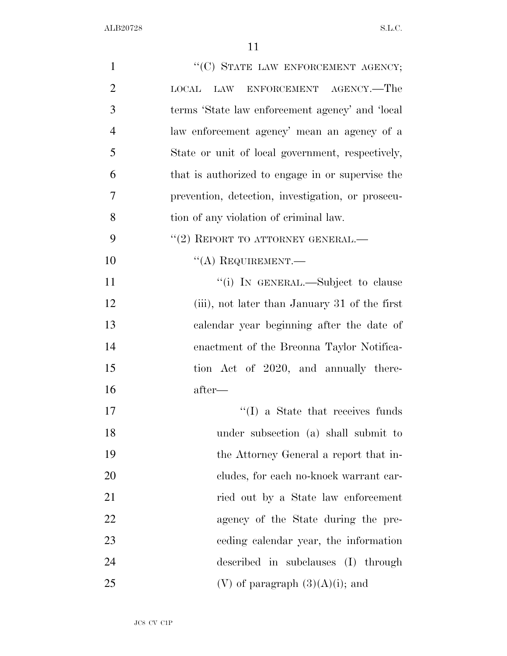| $\mathbf{1}$   | "(C) STATE LAW ENFORCEMENT AGENCY;                 |
|----------------|----------------------------------------------------|
| $\overline{2}$ | LAW ENFORCEMENT AGENCY.—The<br>$_{\mathrm{LOCAL}}$ |
| 3              | terms 'State law enforcement agency' and 'local    |
| $\overline{4}$ | law enforcement agency' mean an agency of a        |
| 5              | State or unit of local government, respectively,   |
| 6              | that is authorized to engage in or supervise the   |
| 7              | prevention, detection, investigation, or prosecu-  |
| 8              | tion of any violation of criminal law.             |
| 9              | $``(2)$ REPORT TO ATTORNEY GENERAL.—               |
| 10             | $\lq\lq$ REQUIREMENT.                              |
| 11             | "(i) IN GENERAL.—Subject to clause                 |
| 12             | (iii), not later than January 31 of the first      |
| 13             | calendar year beginning after the date of          |
| 14             | enactment of the Breonna Taylor Notifica-          |
| 15             | tion Act of 2020, and annually there-              |
| 16             | after—                                             |
| 17             | $\lq\lq$ (I) a State that receives funds           |
| 18             | under subsection (a) shall submit to               |
| 19             | the Attorney General a report that in-             |
| 20             | cludes, for each no-knock warrant car-             |
| 21             | ried out by a State law enforcement                |
| $22\,$         | agency of the State during the pre-                |
| 23             | eeding calendar year, the information              |
| 24             | described in subclauses (I) through                |
| 25             | (V) of paragraph $(3)(A)(i)$ ; and                 |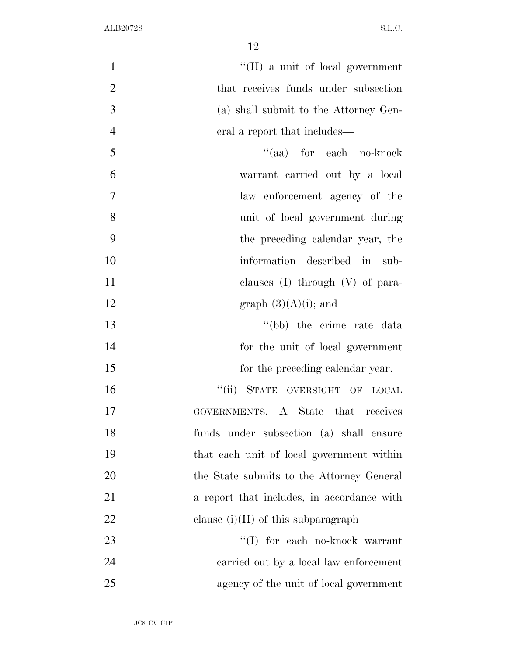| $\mathbf{1}$   | $\lq\lq$ (II) a unit of local government   |
|----------------|--------------------------------------------|
| $\overline{2}$ | that receives funds under subsection       |
| 3              | (a) shall submit to the Attorney Gen-      |
| $\overline{4}$ | eral a report that includes—               |
| 5              | "(aa) for each no-knock                    |
| 6              | warrant carried out by a local             |
| $\overline{7}$ | law enforcement agency of the              |
| 8              | unit of local government during            |
| 9              | the preceding calendar year, the           |
| 10             | information described in sub-              |
| 11             | clauses $(I)$ through $(V)$ of para-       |
| 12             | graph $(3)(A)(i)$ ; and                    |
| 13             | "(bb) the crime rate data                  |
| 14             | for the unit of local government           |
| 15             | for the preceding calendar year.           |
| 16             | "(ii) STATE OVERSIGHT OF LOCAL             |
| 17             | GOVERNMENTS.—A State that receives         |
| 18             | funds under subsection (a) shall ensure    |
| 19             | that each unit of local government within  |
| 20             | the State submits to the Attorney General  |
| 21             | a report that includes, in accordance with |
| 22             | clause $(i)(II)$ of this subparagraph—     |
| 23             | "(I) for each no-knock warrant             |
| 24             | carried out by a local law enforcement     |
| 25             | agency of the unit of local government     |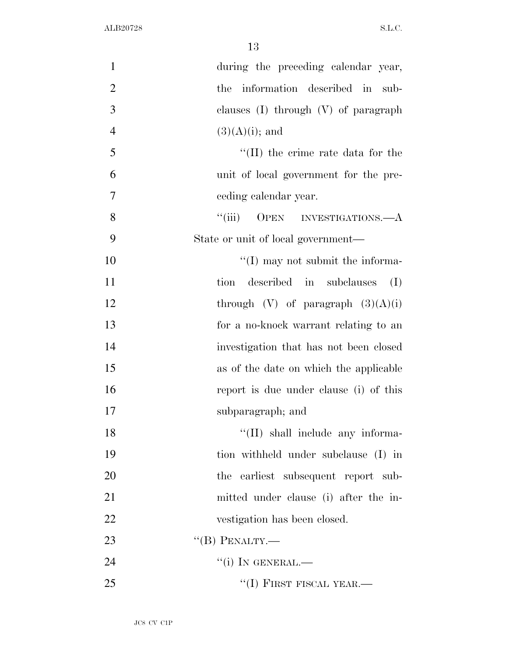| $\mathbf{1}$   | during the preceding calendar year,      |
|----------------|------------------------------------------|
| $\overline{2}$ | the information described in sub-        |
| 3              | clauses $(I)$ through $(V)$ of paragraph |
| $\overline{4}$ | $(3)(A)(i)$ ; and                        |
| 5              | $\lq$ (II) the crime rate data for the   |
| 6              | unit of local government for the pre-    |
| $\tau$         | ceding calendar year.                    |
| 8              | ``(iii)<br>OPEN INVESTIGATIONS.—A        |
| 9              | State or unit of local government—       |
| 10             | $\lq\lq$ (I) may not submit the informa- |
| 11             | described in subclauses<br>tion<br>(I)   |
| 12             | through $(V)$ of paragraph $(3)(A)(i)$   |
| 13             | for a no-knock warrant relating to an    |
| 14             | investigation that has not been closed   |
| 15             | as of the date on which the applicable   |
| 16             | report is due under clause (i) of this   |
| 17             | subparagraph; and                        |
| 18             | "(II) shall include any informa-         |
| 19             | tion withheld under subclause (I) in     |
| 20             | the earliest subsequent report sub-      |
| 21             | mitted under clause (i) after the in-    |
| 22             | vestigation has been closed.             |
| 23             | $\lq\lq(B)$ PENALTY.—                    |
| 24             | $``(i)$ IN GENERAL.—                     |
| 25             | "(I) FIRST FISCAL YEAR.—                 |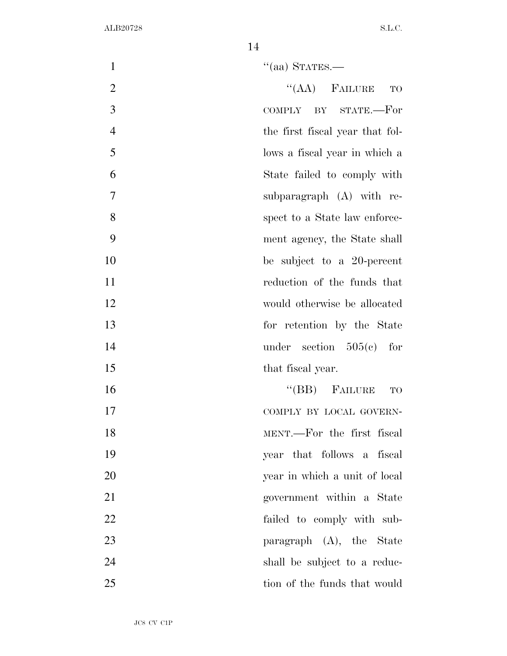| $\mathbf{1}$   | $\cdot$ (aa) STATES.—           |
|----------------|---------------------------------|
| $\overline{2}$ | $``(AA)$ FAILURE<br>TO          |
| 3              | COMPLY BY STATE.-For            |
| $\overline{4}$ | the first fiscal year that fol- |
| 5              | lows a fiscal year in which a   |
| 6              | State failed to comply with     |
| 7              | subparagraph (A) with re-       |
| 8              | spect to a State law enforce-   |
| 9              | ment agency, the State shall    |
| 10             | be subject to a 20-percent      |
| 11             | reduction of the funds that     |
| 12             | would otherwise be allocated    |
| 13             | for retention by the State      |
| 14             | under section $505(e)$ for      |
| 15             | that fiscal year.               |
| 16             | $\lq\lq(BB)$ FAILURE<br>TO      |
| 17             | COMPLY BY LOCAL GOVERN-         |
| 18             | MENT.—For the first fiscal      |
| 19             | year that follows a fiscal      |
| 20             | year in which a unit of local   |
| 21             | government within a State       |
| 22             | failed to comply with sub-      |
| 23             | paragraph $(A)$ , the State     |
| 24             | shall be subject to a reduc-    |
| 25             | tion of the funds that would    |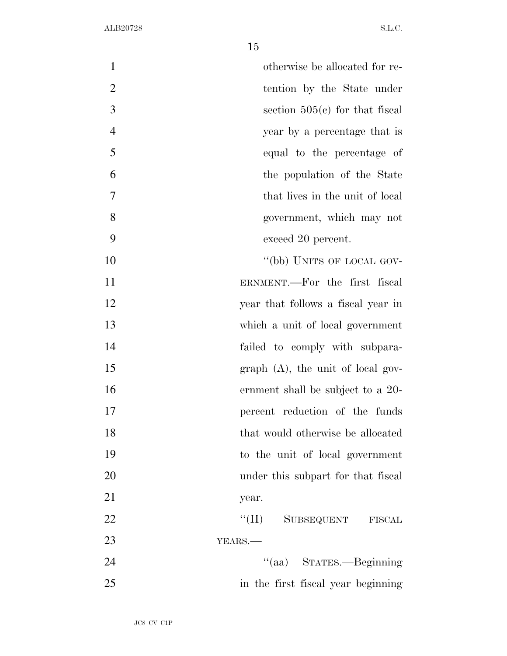| $\mathbf{1}$   | otherwise be allocated for re-         |
|----------------|----------------------------------------|
| $\overline{2}$ | tention by the State under             |
| 3              | section $505(e)$ for that fiscal       |
| $\overline{4}$ | year by a percentage that is           |
| 5              | equal to the percentage of             |
| 6              | the population of the State            |
| 7              | that lives in the unit of local        |
| 8              | government, which may not              |
| 9              | exceed 20 percent.                     |
| 10             | "(bb) UNITS OF LOCAL GOV-              |
| 11             | ERNMENT.—For the first fiscal          |
| 12             | year that follows a fiscal year in     |
| 13             | which a unit of local government       |
| 14             | failed to comply with subpara-         |
| 15             | $graph$ $(A)$ , the unit of local gov- |
| 16             | ernment shall be subject to a 20-      |
| 17             | percent reduction of the funds         |
| 18             | that would otherwise be allocated      |
| 19             | to the unit of local government        |
| 20             | under this subpart for that fiscal     |
| 21             | year.                                  |
| <u>22</u>      | $``(\Pi)$<br>SUBSEQUENT FISCAL         |
| 23             | YEARS.                                 |
| 24             | "(aa) STATES.—Beginning                |
| 25             | in the first fiscal year beginning     |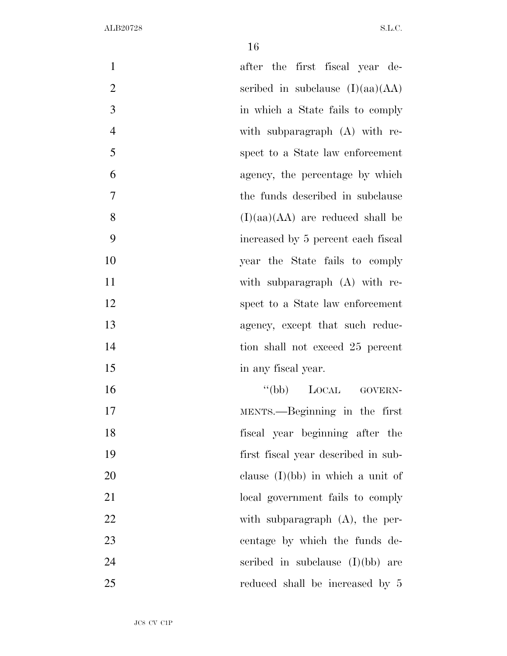| $\mathbf{1}$   | after the first fiscal year de-     |
|----------------|-------------------------------------|
|                |                                     |
| $\overline{2}$ | scribed in subclause $(I)(aa)(AA)$  |
| 3              | in which a State fails to comply    |
| $\overline{4}$ | with subparagraph (A) with re-      |
| 5              | spect to a State law enforcement    |
| 6              | agency, the percentage by which     |
| 7              | the funds described in subclause    |
| 8              | $(I)(aa)(AA)$ are reduced shall be  |
| 9              | increased by 5 percent each fiscal  |
| 10             | year the State fails to comply      |
| 11             | with subparagraph (A) with re-      |
| 12             | spect to a State law enforcement    |
| 13             | agency, except that such reduc-     |
| 14             | tion shall not exceed 25 percent    |
| 15             | in any fiscal year.                 |
| 16             | "(bb) LOCAL GOVERN-                 |
| 17             | MENTS.—Beginning in the first       |
| 18             | fiscal year beginning after the     |
| 19             | first fiscal year described in sub- |
| 20             | clause $(I)(bb)$ in which a unit of |
| 21             | local government fails to comply    |
| 22             | with subparagraph $(A)$ , the per-  |
| 23             | centage by which the funds de-      |
| 24             | scribed in subclause $(I)(bb)$ are  |
| 25             | reduced shall be increased by 5     |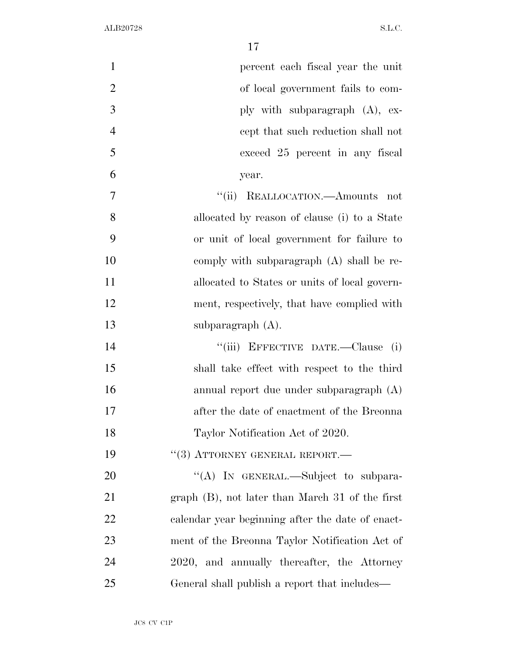| $\mathbf{1}$   | percent each fiscal year the unit                  |
|----------------|----------------------------------------------------|
| $\overline{2}$ | of local government fails to com-                  |
| 3              | ply with subparagraph $(A)$ , ex-                  |
| $\overline{4}$ | cept that such reduction shall not                 |
| 5              | exceed 25 percent in any fiscal                    |
| 6              | year.                                              |
| 7              | "(ii) REALLOCATION.—Amounts not                    |
| 8              | allocated by reason of clause (i) to a State       |
| 9              | or unit of local government for failure to         |
| 10             | comply with subparagraph (A) shall be re-          |
| 11             | allocated to States or units of local govern-      |
| 12             | ment, respectively, that have complied with        |
| 13             | subparagraph $(A)$ .                               |
| 14             | "(iii) EFFECTIVE DATE.—Clause (i)                  |
| 15             | shall take effect with respect to the third        |
| 16             | annual report due under subparagraph (A)           |
| 17             | after the date of enactment of the Breonna         |
| 18             | Taylor Notification Act of 2020.                   |
| 19             | $``(3)$ ATTORNEY GENERAL REPORT.—                  |
| 20             | "(A) IN GENERAL.—Subject to subpara-               |
| 21             | graph $(B)$ , not later than March 31 of the first |
| 22             | calendar year beginning after the date of enact-   |
| 23             | ment of the Breonna Taylor Notification Act of     |
| 24             | 2020, and annually thereafter, the Attorney        |
| 25             | General shall publish a report that includes—      |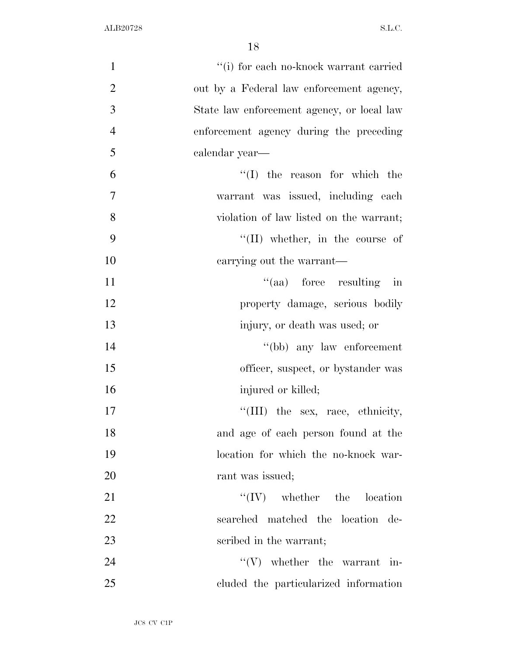| $\mathbf{1}$   | "(i) for each no-knock warrant carried     |
|----------------|--------------------------------------------|
| $\overline{2}$ | out by a Federal law enforcement agency,   |
| $\overline{3}$ | State law enforcement agency, or local law |
| $\overline{4}$ | enforcement agency during the preceding    |
| 5              | calendar year-                             |
| 6              | $\lq(1)$ the reason for which the          |
| 7              | warrant was issued, including each         |
| 8              | violation of law listed on the warrant;    |
| 9              | $\lq\lq$ (II) whether, in the course of    |
| 10             | carrying out the warrant—                  |
| 11             | $\lq\lq$ (aa) force resulting<br>in        |
| 12             | property damage, serious bodily            |
| 13             | injury, or death was used; or              |
| 14             | "(bb) any law enforcement                  |
| 15             | officer, suspect, or bystander was         |
| 16             | injured or killed;                         |
| 17             | "(III) the sex, race, ethnicity,           |
| 18             | and age of each person found at the        |
| 19             | location for which the no-knock war-       |
| 20             | rant was issued;                           |
| 21             | $\lq\lq (IV)$ whether the location         |
| <u>22</u>      | searched matched the location de-          |
| 23             | scribed in the warrant;                    |
| 24             | $\lq\lq (V)$ whether the warrant in-       |
| $25\,$         | cluded the particularized information      |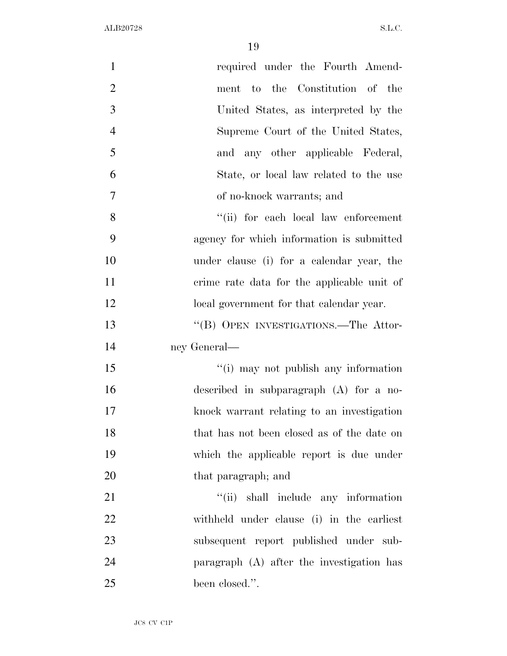| $\mathbf{1}$   | required under the Fourth Amend-           |
|----------------|--------------------------------------------|
| $\overline{2}$ | ment to the Constitution of the            |
| 3              | United States, as interpreted by the       |
| $\overline{4}$ | Supreme Court of the United States,        |
| 5              | and any other applicable Federal,          |
| 6              | State, or local law related to the use     |
| 7              | of no-knock warrants; and                  |
| 8              | "(ii) for each local law enforcement       |
| 9              | agency for which information is submitted  |
| 10             | under clause (i) for a calendar year, the  |
| 11             | crime rate data for the applicable unit of |
| 12             | local government for that calendar year.   |
| 13             | "(B) OPEN INVESTIGATIONS.—The Attor-       |
| 14             | ney General—                               |
| 15             | "(i) may not publish any information       |
| 16             | described in subparagraph $(A)$ for a no-  |
| 17             | knock warrant relating to an investigation |
| 18             | that has not been closed as of the date on |
| 19             | which the applicable report is due under   |
| 20             | that paragraph; and                        |
| 21             | "(ii) shall include any information        |
| 22             | withheld under clause (i) in the earliest  |
| 23             | subsequent report published under sub-     |
| 24             | paragraph (A) after the investigation has  |
| 25             | been closed.".                             |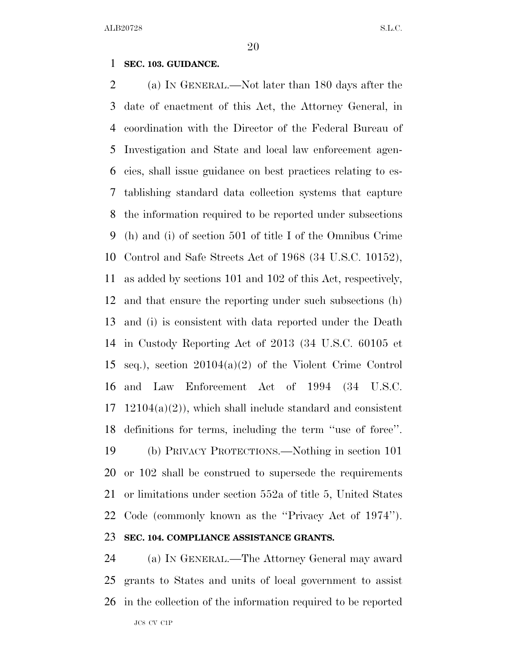### **SEC. 103. GUIDANCE.**

 (a) IN GENERAL.—Not later than 180 days after the date of enactment of this Act, the Attorney General, in coordination with the Director of the Federal Bureau of Investigation and State and local law enforcement agen- cies, shall issue guidance on best practices relating to es- tablishing standard data collection systems that capture the information required to be reported under subsections (h) and (i) of section 501 of title I of the Omnibus Crime Control and Safe Streets Act of 1968 (34 U.S.C. 10152), as added by sections 101 and 102 of this Act, respectively, and that ensure the reporting under such subsections (h) and (i) is consistent with data reported under the Death in Custody Reporting Act of 2013 (34 U.S.C. 60105 et seq.), section 20104(a)(2) of the Violent Crime Control and Law Enforcement Act of 1994 (34 U.S.C.  $17 \quad 12104(a)(2)$ , which shall include standard and consistent definitions for terms, including the term ''use of force''. (b) PRIVACY PROTECTIONS.—Nothing in section 101 or 102 shall be construed to supersede the requirements or limitations under section 552a of title 5, United States Code (commonly known as the ''Privacy Act of 1974'').

## **SEC. 104. COMPLIANCE ASSISTANCE GRANTS.**

JC8 CV C1P (a) IN GENERAL.—The Attorney General may award grants to States and units of local government to assist in the collection of the information required to be reported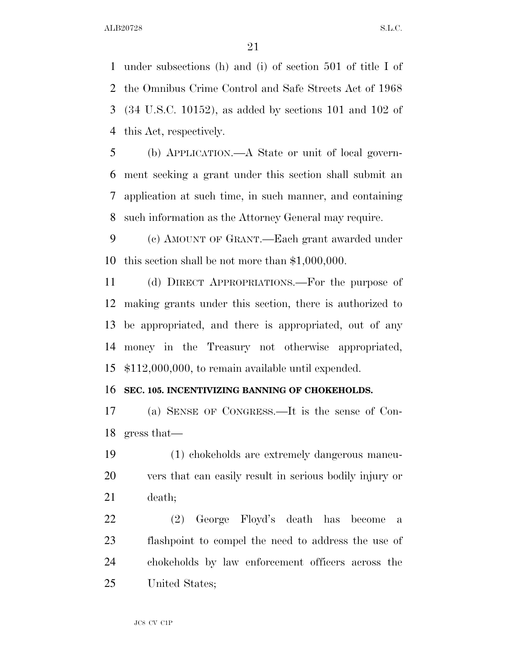under subsections (h) and (i) of section 501 of title I of the Omnibus Crime Control and Safe Streets Act of 1968 (34 U.S.C. 10152), as added by sections 101 and 102 of this Act, respectively.

 (b) APPLICATION.—A State or unit of local govern- ment seeking a grant under this section shall submit an application at such time, in such manner, and containing such information as the Attorney General may require.

 (c) AMOUNT OF GRANT.—Each grant awarded under this section shall be not more than \$1,000,000.

 (d) DIRECT APPROPRIATIONS.—For the purpose of making grants under this section, there is authorized to be appropriated, and there is appropriated, out of any money in the Treasury not otherwise appropriated, \$112,000,000, to remain available until expended.

### **SEC. 105. INCENTIVIZING BANNING OF CHOKEHOLDS.**

 (a) SENSE OF CONGRESS.—It is the sense of Con-gress that—

 (1) chokeholds are extremely dangerous maneu- vers that can easily result in serious bodily injury or death;

 (2) George Floyd's death has become a flashpoint to compel the need to address the use of chokeholds by law enforcement officers across the United States;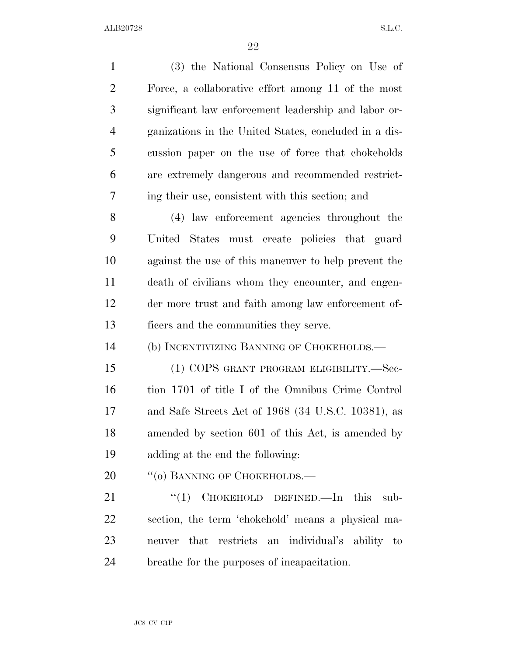(3) the National Consensus Policy on Use of Force, a collaborative effort among 11 of the most significant law enforcement leadership and labor or- ganizations in the United States, concluded in a dis- cussion paper on the use of force that chokeholds are extremely dangerous and recommended restrict- ing their use, consistent with this section; and (4) law enforcement agencies throughout the United States must create policies that guard against the use of this maneuver to help prevent the death of civilians whom they encounter, and engen- der more trust and faith among law enforcement of- ficers and the communities they serve. (b) INCENTIVIZING BANNING OF CHOKEHOLDS.— (1) COPS GRANT PROGRAM ELIGIBILITY.—Sec- tion 1701 of title I of the Omnibus Crime Control and Safe Streets Act of 1968 (34 U.S.C. 10381), as amended by section 601 of this Act, is amended by adding at the end the following: 20 "(o) BANNING OF CHOKEHOLDS.— 21 "(1) CHOKEHOLD DEFINED.—In this sub- section, the term 'chokehold' means a physical ma- neuver that restricts an individual's ability to breathe for the purposes of incapacitation.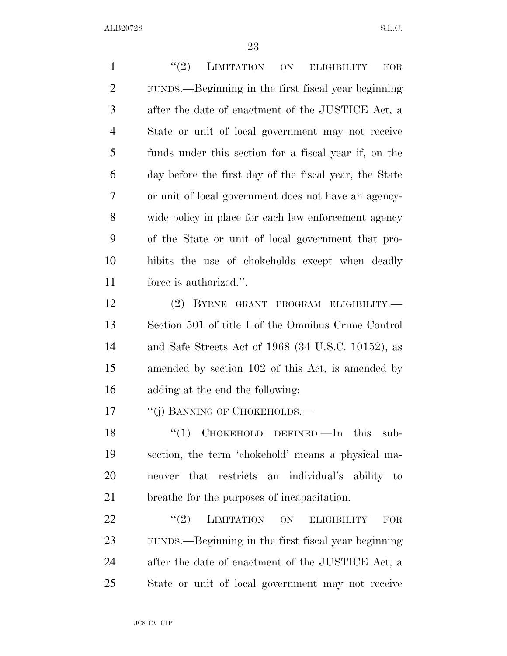1 "(2) LIMITATION ON ELIGIBILITY FOR FUNDS.—Beginning in the first fiscal year beginning after the date of enactment of the JUSTICE Act, a State or unit of local government may not receive funds under this section for a fiscal year if, on the day before the first day of the fiscal year, the State or unit of local government does not have an agency- wide policy in place for each law enforcement agency of the State or unit of local government that pro- hibits the use of chokeholds except when deadly force is authorized.''. (2) BYRNE GRANT PROGRAM ELIGIBILITY.— Section 501 of title I of the Omnibus Crime Control and Safe Streets Act of 1968 (34 U.S.C. 10152), as amended by section 102 of this Act, is amended by adding at the end the following: 17 "(i) BANNING OF CHOKEHOLDS.— 18 "(1) CHOKEHOLD DEFINED.—In this sub- section, the term 'chokehold' means a physical ma- neuver that restricts an individual's ability to breathe for the purposes of incapacitation.

22 "(2) LIMITATION ON ELIGIBILITY FOR FUNDS.—Beginning in the first fiscal year beginning after the date of enactment of the JUSTICE Act, a State or unit of local government may not receive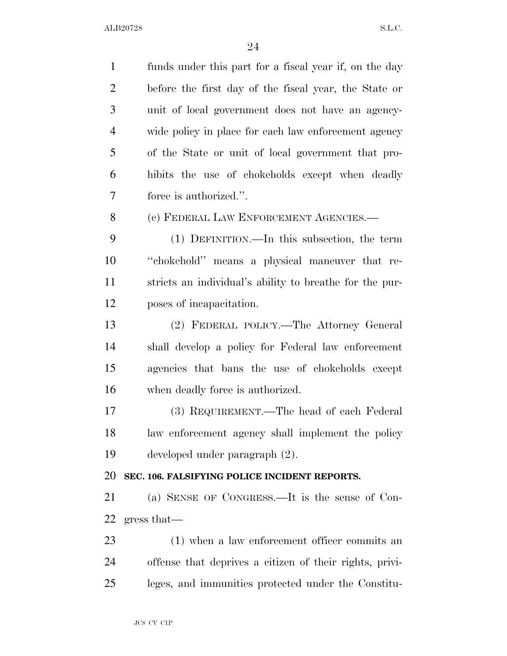funds under this part for a fiscal year if, on the day before the first day of the fiscal year, the State or unit of local government does not have an agency- wide policy in place for each law enforcement agency of the State or unit of local government that pro- hibits the use of chokeholds except when deadly force is authorized.''. (c) FEDERAL LAW ENFORCEMENT AGENCIES.— (1) DEFINITION.—In this subsection, the term ''chokehold'' means a physical maneuver that re- stricts an individual's ability to breathe for the pur- poses of incapacitation. (2) FEDERAL POLICY.—The Attorney General shall develop a policy for Federal law enforcement agencies that bans the use of chokeholds except when deadly force is authorized. (3) REQUIREMENT.—The head of each Federal law enforcement agency shall implement the policy developed under paragraph (2). **SEC. 106. FALSIFYING POLICE INCIDENT REPORTS.**  (a) SENSE OF CONGRESS.—It is the sense of Con- gress that— 23 (1) when a law enforcement officer commits an offense that deprives a citizen of their rights, privi-leges, and immunities protected under the Constitu-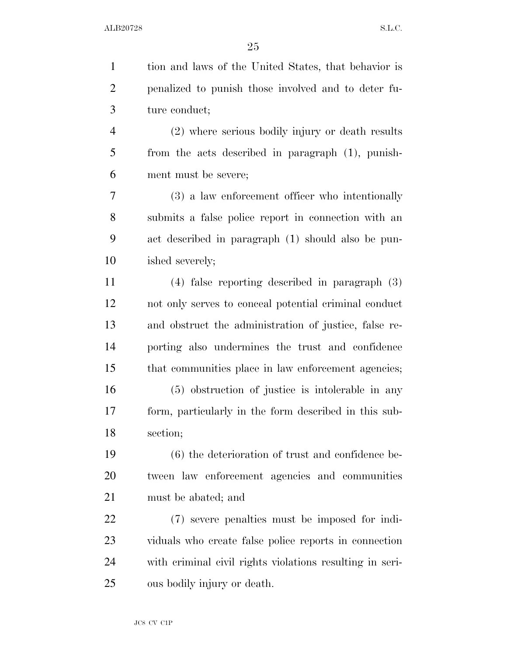tion and laws of the United States, that behavior is penalized to punish those involved and to deter fu- ture conduct; (2) where serious bodily injury or death results from the acts described in paragraph (1), punish- ment must be severe; (3) a law enforcement officer who intentionally submits a false police report in connection with an act described in paragraph (1) should also be pun- ished severely; (4) false reporting described in paragraph (3) not only serves to conceal potential criminal conduct and obstruct the administration of justice, false re- porting also undermines the trust and confidence that communities place in law enforcement agencies; (5) obstruction of justice is intolerable in any form, particularly in the form described in this sub- section; (6) the deterioration of trust and confidence be- tween law enforcement agencies and communities must be abated; and (7) severe penalties must be imposed for indi- viduals who create false police reports in connection with criminal civil rights violations resulting in seri-ous bodily injury or death.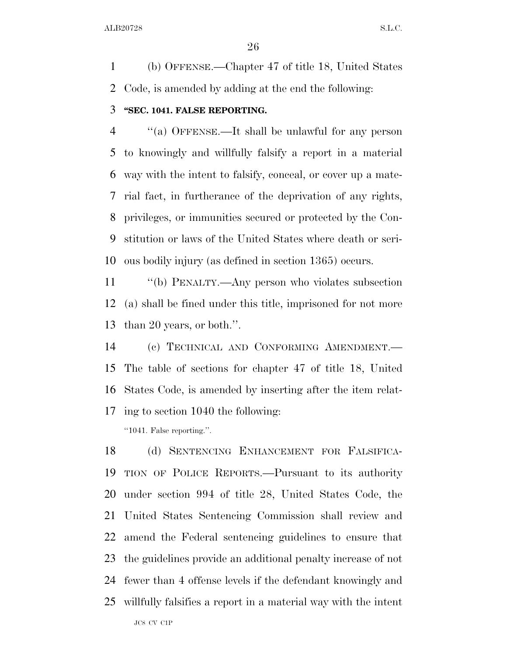(b) OFFENSE.—Chapter 47 of title 18, United States Code, is amended by adding at the end the following:

## **''SEC. 1041. FALSE REPORTING.**

 ''(a) OFFENSE.—It shall be unlawful for any person to knowingly and willfully falsify a report in a material way with the intent to falsify, conceal, or cover up a mate- rial fact, in furtherance of the deprivation of any rights, privileges, or immunities secured or protected by the Con- stitution or laws of the United States where death or seri-ous bodily injury (as defined in section 1365) occurs.

 ''(b) PENALTY.—Any person who violates subsection (a) shall be fined under this title, imprisoned for not more than 20 years, or both.''.

 (c) TECHNICAL AND CONFORMING AMENDMENT.— The table of sections for chapter 47 of title 18, United States Code, is amended by inserting after the item relat-ing to section 1040 the following:

''1041. False reporting.''.

JC8 CV C1P (d) SENTENCING ENHANCEMENT FOR FALSIFICA- TION OF POLICE REPORTS.—Pursuant to its authority under section 994 of title 28, United States Code, the United States Sentencing Commission shall review and amend the Federal sentencing guidelines to ensure that the guidelines provide an additional penalty increase of not fewer than 4 offense levels if the defendant knowingly and willfully falsifies a report in a material way with the intent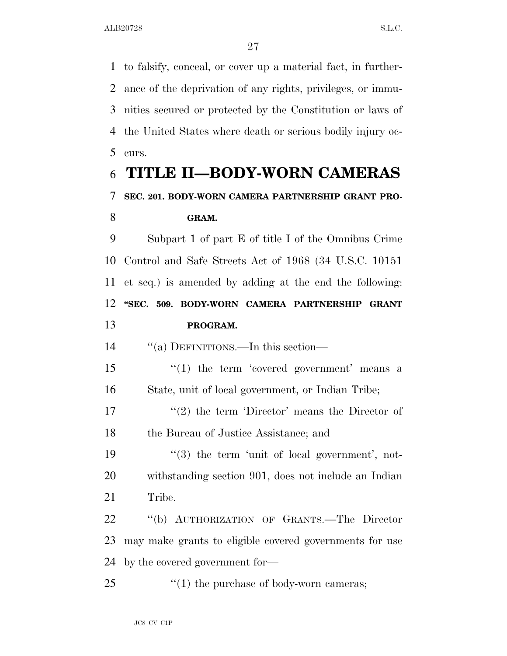to falsify, conceal, or cover up a material fact, in further- ance of the deprivation of any rights, privileges, or immu- nities secured or protected by the Constitution or laws of the United States where death or serious bodily injury oc-curs.

## **TITLE II—BODY-WORN CAMERAS SEC. 201. BODY-WORN CAMERA PARTNERSHIP GRANT PRO-GRAM.**

 Subpart 1 of part E of title I of the Omnibus Crime Control and Safe Streets Act of 1968 (34 U.S.C. 10151 et seq.) is amended by adding at the end the following: **''SEC. 509. BODY-WORN CAMERA PARTNERSHIP GRANT PROGRAM.** 

''(a) DEFINITIONS.—In this section—

15 ''(1) the term 'covered government' means a State, unit of local government, or Indian Tribe;

17  $(2)$  the term 'Director' means the Director of the Bureau of Justice Assistance; and

19  $\frac{1}{3}$  the term 'unit of local government', not- withstanding section 901, does not include an Indian Tribe.

 ''(b) AUTHORIZATION OF GRANTS.—The Director may make grants to eligible covered governments for use by the covered government for—

25  $\frac{1}{25}$  (1) the purchase of body-worn cameras;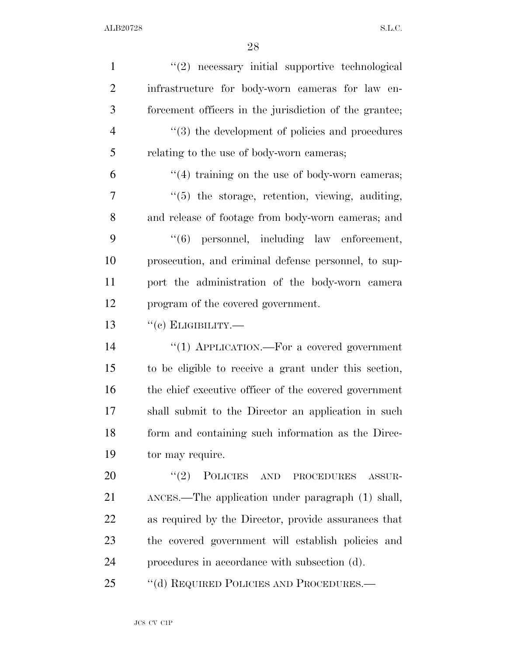| $\mathbf{1}$   | $"(2)$ necessary initial supportive technological               |
|----------------|-----------------------------------------------------------------|
| $\overline{2}$ | infrastructure for body-worn cameras for law en-                |
| 3              | forcement officers in the jurisdiction of the grantee;          |
| $\overline{4}$ | $\cdot\cdot\cdot(3)$ the development of policies and procedures |
| 5              | relating to the use of body-worn cameras;                       |
| 6              | $\cdot$ (4) training on the use of body-worn cameras;           |
| 7              | "(5) the storage, retention, viewing, auditing,                 |
| 8              | and release of footage from body-worn cameras; and              |
| 9              | "(6) personnel, including law enforcement,                      |
| 10             | prosecution, and criminal defense personnel, to sup-            |
| 11             | port the administration of the body-worn camera                 |
| 12             | program of the covered government.                              |
| 13             | $``(c)$ ELIGIBILITY.—                                           |
| 14             | "(1) APPLICATION.—For a covered government                      |
| 15             | to be eligible to receive a grant under this section,           |
| 16             | the chief executive officer of the covered government           |
| 17             | shall submit to the Director an application in such             |
| 18             | form and containing such information as the Direc-              |
| 19             | tor may require.                                                |
| 20             | (2)<br>POLICIES AND PROCEDURES<br>ASSUR-                        |
| 21             | ANCES.—The application under paragraph (1) shall,               |
| 22             | as required by the Director, provide assurances that            |
| 23             | the covered government will establish policies and              |
| 24             | procedures in accordance with subsection (d).                   |
| 25             | "(d) REQUIRED POLICIES AND PROCEDURES.—                         |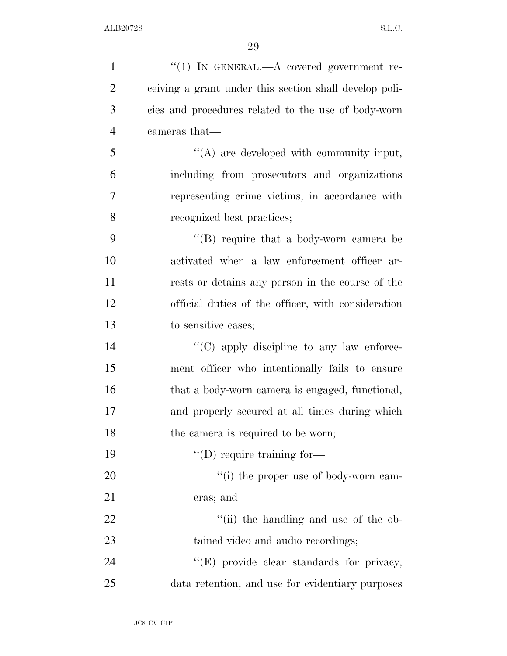| $\mathbf{1}$   | "(1) IN GENERAL.—A covered government re-              |
|----------------|--------------------------------------------------------|
| $\overline{2}$ | ceiving a grant under this section shall develop poli- |
| 3              | cies and procedures related to the use of body-worn    |
| $\overline{4}$ | cameras that—                                          |
| 5              | $\lq\lq$ are developed with community input,           |
| 6              | including from prosecutors and organizations           |
| $\tau$         | representing crime victims, in accordance with         |
| 8              | recognized best practices;                             |
| 9              | $\lq\lq (B)$ require that a body-worn camera be        |
| 10             | activated when a law enforcement officer ar-           |
| 11             | rests or detains any person in the course of the       |
| 12             | official duties of the officer, with consideration     |
| 13             | to sensitive cases;                                    |
| 14             | $\lq\lq$ (C) apply discipline to any law enforce-      |
| 15             | ment officer who intentionally fails to ensure         |
| 16             | that a body-worn camera is engaged, functional,        |
| 17             | and properly secured at all times during which         |
| 18             | the camera is required to be worn;                     |
| 19             | $\lq\lq$ (D) require training for-                     |
| 20             | "(i) the proper use of body-worn cam-                  |
| 21             | eras; and                                              |
| 22             | "(ii) the handling and use of the ob-                  |
| 23             | tained video and audio recordings;                     |
| 24             | "(E) provide clear standards for privacy,              |
| 25             | data retention, and use for evidentiary purposes       |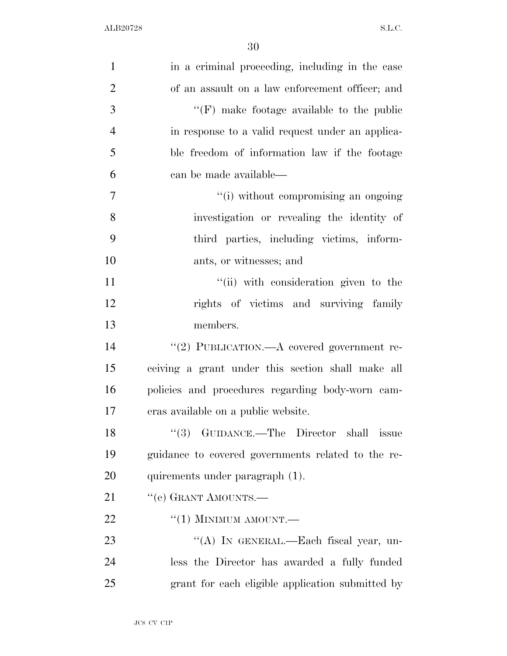| $\mathbf{1}$   | in a criminal proceeding, including in the case    |
|----------------|----------------------------------------------------|
| $\overline{2}$ | of an assault on a law enforcement officer; and    |
| 3              | $\lq\lq(F)$ make footage available to the public   |
| $\overline{4}$ | in response to a valid request under an applica-   |
| 5              | ble freedom of information law if the footage      |
| 6              | can be made available—                             |
| 7              | "(i) without compromising an ongoing               |
| 8              | investigation or revealing the identity of         |
| 9              | third parties, including victims, inform-          |
| 10             | ants, or witnesses; and                            |
| 11             | "(ii) with consideration given to the              |
| 12             | rights of victims and surviving family             |
| 13             | members.                                           |
| 14             | "(2) PUBLICATION.—A covered government re-         |
| 15             | ceiving a grant under this section shall make all  |
| 16             | policies and procedures regarding body-worn cam-   |
| 17             | eras available on a public website.                |
| 18             | $``(3)$ GUIDANCE.—The Director shall<br>issue      |
| 19             | guidance to covered governments related to the re- |
| 20             | quirements under paragraph (1).                    |
| 21             | "(e) GRANT AMOUNTS.—                               |
| 22             | $``(1)$ MINIMUM AMOUNT.—                           |
| 23             | "(A) IN GENERAL.—Each fiscal year, un-             |
| 24             | less the Director has awarded a fully funded       |
| 25             | grant for each eligible application submitted by   |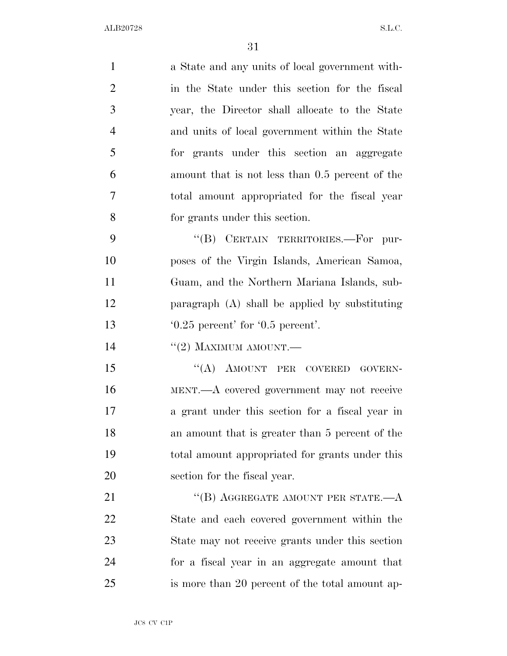| $\mathbf{1}$   | a State and any units of local government with-  |
|----------------|--------------------------------------------------|
| $\overline{2}$ | in the State under this section for the fiscal   |
| 3              | year, the Director shall allocate to the State   |
| $\overline{4}$ | and units of local government within the State   |
| 5              | for grants under this section an aggregate       |
| 6              | amount that is not less than 0.5 percent of the  |
| 7              | total amount appropriated for the fiscal year    |
| 8              | for grants under this section.                   |
| 9              | "(B) CERTAIN TERRITORIES.-For pur-               |
| 10             | poses of the Virgin Islands, American Samoa,     |
| 11             | Guam, and the Northern Mariana Islands, sub-     |
| 12             | paragraph $(A)$ shall be applied by substituting |
| 13             | $0.25$ percent' for $0.5$ percent'.              |
| 14             | $``(2)$ MAXIMUM AMOUNT.—                         |
| 15             | "(A) AMOUNT PER COVERED GOVERN-                  |
| 16             | MENT.—A covered government may not receive       |
| 17             | a grant under this section for a fiscal year in  |
| 18             | an amount that is greater than 5 percent of the  |
| 19             | total amount appropriated for grants under this  |
| 20             | section for the fiscal year.                     |
| 21             | "(B) AGGREGATE AMOUNT PER STATE.— $A$            |
| 22             | State and each covered government within the     |
| 23             | State may not receive grants under this section  |
| 24             | for a fiscal year in an aggregate amount that    |
| 25             | is more than 20 percent of the total amount ap-  |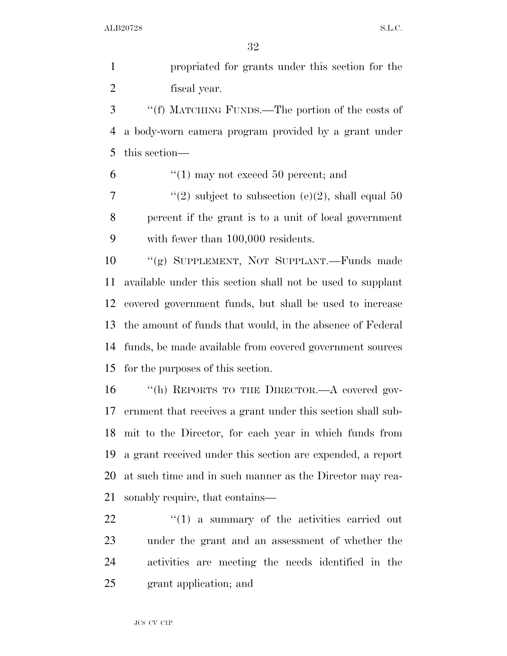propriated for grants under this section for the fiscal year.

 ''(f) MATCHING FUNDS.—The portion of the costs of a body-worn camera program provided by a grant under this section—

 $\frac{6}{1}$  may not exceed 50 percent; and

7  $\frac{1}{2}$   $\frac{1}{2}$  subject to subsection (e)(2), shall equal 50 percent if the grant is to a unit of local government with fewer than 100,000 residents.

 ''(g) SUPPLEMENT, NOT SUPPLANT.—Funds made available under this section shall not be used to supplant covered government funds, but shall be used to increase the amount of funds that would, in the absence of Federal funds, be made available from covered government sources for the purposes of this section.

 ''(h) REPORTS TO THE DIRECTOR.—A covered gov- ernment that receives a grant under this section shall sub- mit to the Director, for each year in which funds from a grant received under this section are expended, a report at such time and in such manner as the Director may rea-sonably require, that contains—

  $(1)$  a summary of the activities carried out under the grant and an assessment of whether the activities are meeting the needs identified in the grant application; and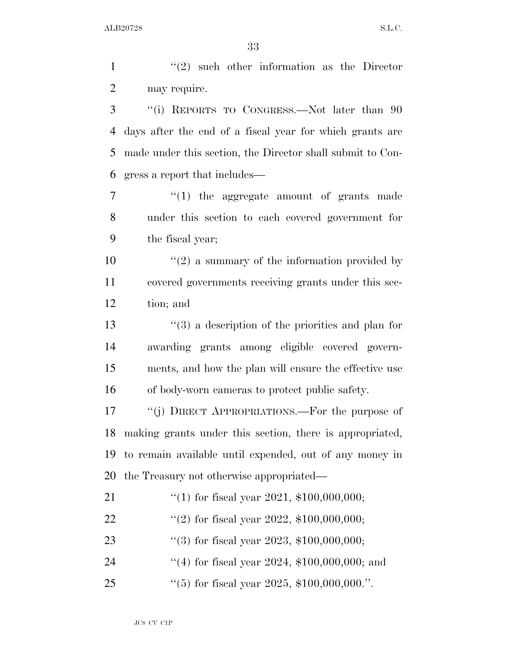1 ''(2) such other information as the Director may require. ''(i) REPORTS TO CONGRESS.—Not later than 90 days after the end of a fiscal year for which grants are made under this section, the Director shall submit to Con- gress a report that includes—  $\frac{u(1)}{1}$  the aggregate amount of grants made under this section to each covered government for the fiscal year;  $(2)$  a summary of the information provided by covered governments receiving grants under this sec- tion; and ''(3) a description of the priorities and plan for awarding grants among eligible covered govern- ments, and how the plan will ensure the effective use of body-worn cameras to protect public safety.

 ''(j) DIRECT APPROPRIATIONS.—For the purpose of making grants under this section, there is appropriated, to remain available until expended, out of any money in the Treasury not otherwise appropriated—

- ''(1) for fiscal year 2021, \$100,000,000; 22  $\frac{((2) \text{ for fiscal year } 2022, \$100,000,000;}{)}$
- ''(3) for fiscal year 2023, \$100,000,000;
- 24 ''(4) for fiscal year 2024, \$100,000,000; and
- ''(5) for fiscal year 2025, \$100,000,000.''.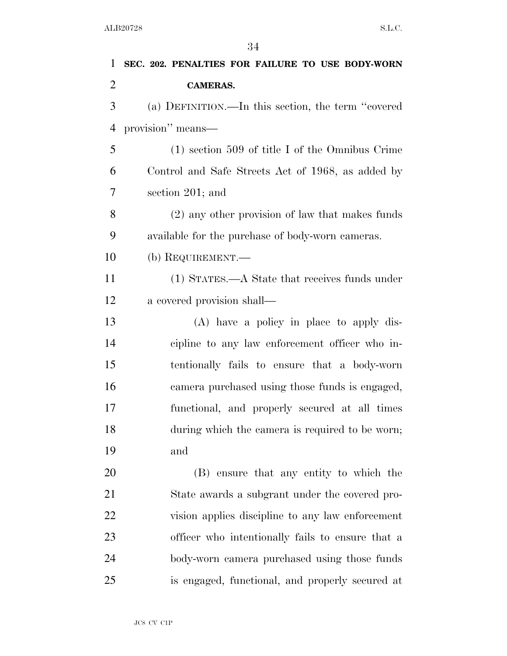| 1              | SEC. 202. PENALTIES FOR FAILURE TO USE BODY-WORN   |
|----------------|----------------------------------------------------|
| $\overline{2}$ | <b>CAMERAS.</b>                                    |
| 3              | (a) DEFINITION.—In this section, the term "covered |
| $\overline{4}$ | provision" means-                                  |
| 5              | $(1)$ section 509 of title I of the Omnibus Crime  |
| 6              | Control and Safe Streets Act of 1968, as added by  |
| 7              | section 201; and                                   |
| 8              | (2) any other provision of law that makes funds    |
| 9              | available for the purchase of body-worn cameras.   |
| 10             | (b) REQUIREMENT.—                                  |
| 11             | (1) STATES.—A State that receives funds under      |
| 12             | a covered provision shall—                         |
| 13             | $(A)$ have a policy in place to apply dis-         |
| 14             | cipline to any law enforcement officer who in-     |
| 15             | tentionally fails to ensure that a body-worn       |
| 16             | camera purchased using those funds is engaged,     |
| 17             | functional, and properly secured at all times      |
| 18             | during which the camera is required to be worn;    |
| 19             | and                                                |
| <b>20</b>      | (B) ensure that any entity to which the            |
| 21             | State awards a subgrant under the covered pro-     |
| 22             | vision applies discipline to any law enforcement   |
| 23             | officer who intentionally fails to ensure that a   |
| 24             | body-worn camera purchased using those funds       |
| 25             | is engaged, functional, and properly secured at    |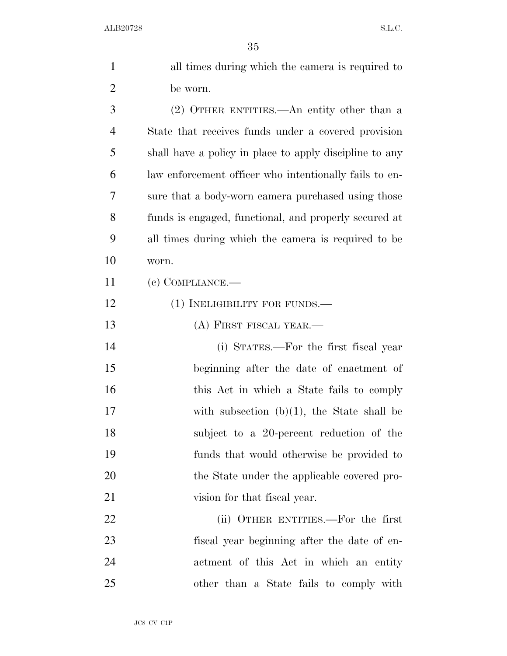| $\mathbf{1}$   | all times during which the camera is required to        |
|----------------|---------------------------------------------------------|
| $\overline{2}$ | be worn.                                                |
| 3              | (2) OTHER ENTITIES.—An entity other than a              |
| $\overline{4}$ | State that receives funds under a covered provision     |
| 5              | shall have a policy in place to apply discipline to any |
| 6              | law enforcement officer who intentionally fails to en-  |
| 7              | sure that a body-worn camera purchased using those      |
| 8              | funds is engaged, functional, and properly secured at   |
| 9              | all times during which the camera is required to be     |
| 10             | worn.                                                   |
| 11             | $(e)$ COMPLIANCE.—                                      |
| 12             | $(1)$ INELIGIBILITY FOR FUNDS.—                         |
| 13             | (A) FIRST FISCAL YEAR.—                                 |
| 14             | (i) STATES.—For the first fiscal year                   |
| 15             | beginning after the date of enactment of                |
| 16             | this Act in which a State fails to comply               |
| 17             | with subsection $(b)(1)$ , the State shall be           |
| 18             | subject to a 20-percent reduction of the                |
| 19             | funds that would otherwise be provided to               |
| 20             | the State under the applicable covered pro-             |
| 21             | vision for that fiscal year.                            |
| 22             | (ii) OTHER ENTITIES.—For the first                      |
| 23             | fiscal year beginning after the date of en-             |
| 24             | actment of this Act in which an entity                  |
| 25             | other than a State fails to comply with                 |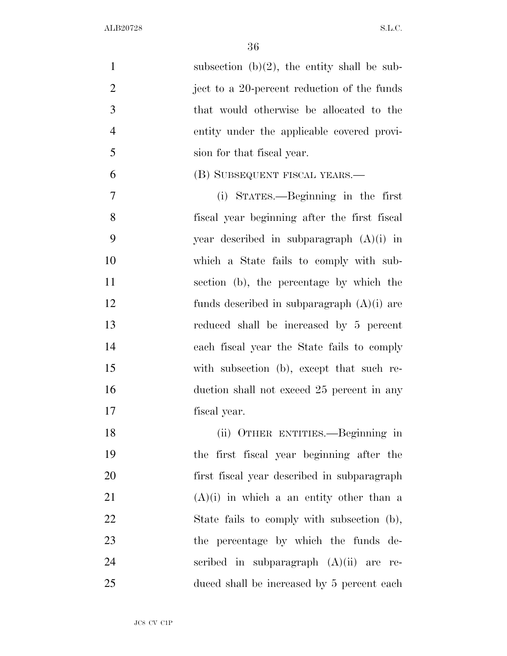1 subsection  $(b)(2)$ , the entity shall be sub-2 iect to a 20-percent reduction of the funds that would otherwise be allocated to the entity under the applicable covered provi- sion for that fiscal year. (B) SUBSEQUENT FISCAL YEARS.— (i) STATES.—Beginning in the first fiscal year beginning after the first fiscal year described in subparagraph (A)(i) in which a State fails to comply with sub- section (b), the percentage by which the funds described in subparagraph (A)(i) are reduced shall be increased by 5 percent each fiscal year the State fails to comply with subsection (b), except that such re-16 duction shall not exceed 25 percent in any fiscal year. (ii) OTHER ENTITIES.—Beginning in the first fiscal year beginning after the first fiscal year described in subparagraph (A)(i) in which a an entity other than a 22 State fails to comply with subsection (b), the percentage by which the funds de-scribed in subparagraph (A)(ii) are re-

duced shall be increased by 5 percent each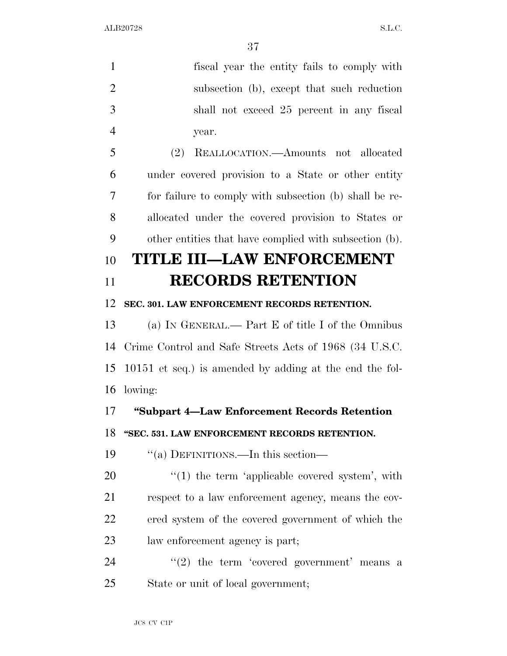| $\mathbf{1}$   | fiscal year the entity fails to comply with               |
|----------------|-----------------------------------------------------------|
| $\overline{2}$ | subsection (b), except that such reduction                |
| 3              | shall not exceed 25 percent in any fiscal                 |
| $\overline{4}$ | year.                                                     |
| 5              | (2)<br>REALLOCATION.—Amounts not allocated                |
| 6              | under covered provision to a State or other entity        |
| 7              | for failure to comply with subsection (b) shall be re-    |
| 8              | allocated under the covered provision to States or        |
| 9              | other entities that have complied with subsection (b).    |
| 10             | TITLE III—LAW ENFORCEMENT                                 |
| 11             | <b>RECORDS RETENTION</b>                                  |
| 12             | SEC. 301. LAW ENFORCEMENT RECORDS RETENTION.              |
| 13             | (a) IN GENERAL.— Part E of title I of the Omnibus         |
| 14             | Crime Control and Safe Streets Acts of 1968 (34 U.S.C.    |
| 15             | $10151$ et seq.) is amended by adding at the end the fol- |
| 16             | lowing:                                                   |
| 17             | "Subpart 4-Law Enforcement Records Retention              |
| 18             | "SEC. 531. LAW ENFORCEMENT RECORDS RETENTION.             |
| 19             | "(a) DEFINITIONS.—In this section—                        |
| 20             | $\lq(1)$ the term 'applicable covered system', with       |
| 21             | respect to a law enforcement agency, means the cov-       |
| 22             | ered system of the covered government of which the        |
| 23             | law enforcement agency is part;                           |
| 24             | $f'(2)$ the term 'covered government' means a             |
| 25             | State or unit of local government;                        |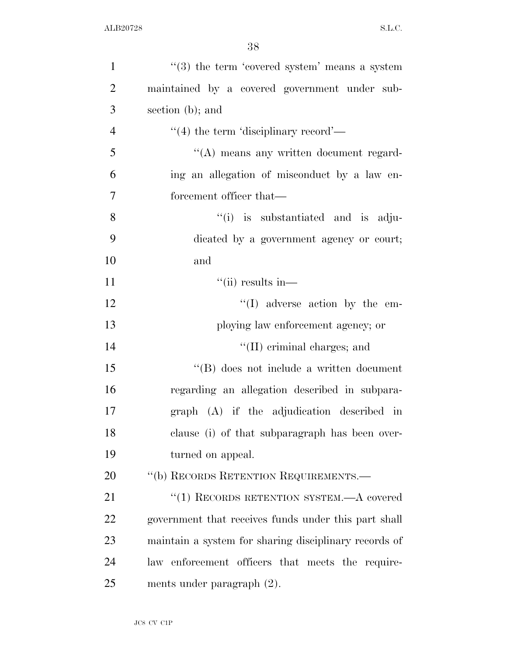| $\mathbf{1}$   | $"$ (3) the term 'covered system' means a system      |
|----------------|-------------------------------------------------------|
| $\overline{2}$ | maintained by a covered government under sub-         |
| 3              | section (b); and                                      |
| $\overline{4}$ | $\cdot$ (4) the term 'disciplinary record'—           |
| 5              | "(A) means any written document regard-               |
| 6              | ing an allegation of misconduct by a law en-          |
| $\tau$         | forcement officer that—                               |
| 8              | "(i) is substantiated and is adju-                    |
| 9              | dicated by a government agency or court;              |
| 10             | and                                                   |
| 11             | $``(ii)$ results in—                                  |
| 12             | $\lq\lq$ adverse action by the em-                    |
| 13             | ploying law enforcement agency; or                    |
| 14             | $\lq\lq$ (II) criminal charges; and                   |
| 15             | $\lq\lq$ does not include a written document          |
| 16             | regarding an allegation described in subpara-         |
| 17             | graph (A) if the adjudication described in            |
| 18             | clause (i) of that subparagraph has been over-        |
| 19             | turned on appeal.                                     |
| 20             | "(b) RECORDS RETENTION REQUIREMENTS.—                 |
| 21             | "(1) RECORDS RETENTION SYSTEM.—A covered              |
| 22             | government that receives funds under this part shall  |
| 23             | maintain a system for sharing disciplinary records of |
| 24             | law enforcement officers that meets the require-      |
| 25             | ments under paragraph $(2)$ .                         |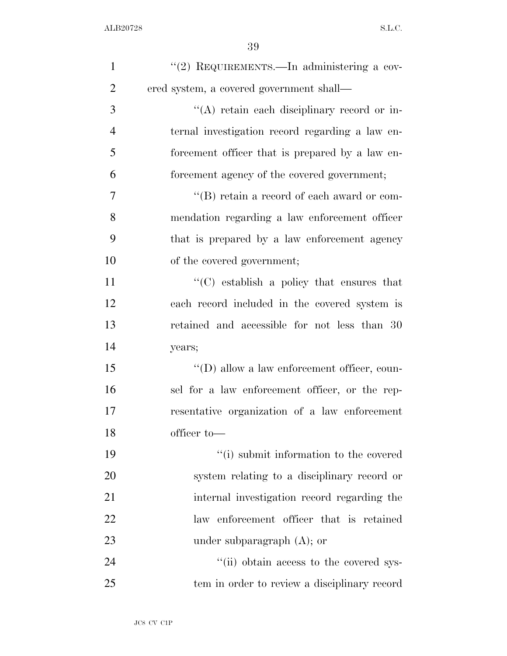| $\mathbf{1}$   | "(2) REQUIREMENTS.—In administering a cov-          |
|----------------|-----------------------------------------------------|
| $\overline{2}$ | ered system, a covered government shall—            |
| 3              | "(A) retain each disciplinary record or in-         |
| $\overline{4}$ | ternal investigation record regarding a law en-     |
| 5              | forcement officer that is prepared by a law en-     |
| 6              | forcement agency of the covered government;         |
| 7              | $\lq\lq (B)$ retain a record of each award or com-  |
| 8              | mendation regarding a law enforcement officer       |
| 9              | that is prepared by a law enforcement agency        |
| 10             | of the covered government;                          |
| 11             | $\cdot$ (C) establish a policy that ensures that    |
| 12             | each record included in the covered system is       |
| 13             | retained and accessible for not less than 30        |
| 14             | years;                                              |
| 15             | $\lq\lq$ (D) allow a law enforcement officer, coun- |
| 16             | sel for a law enforcement officer, or the rep-      |
| 17             | resentative organization of a law enforcement       |
| 18             | officer to-                                         |
| 19             | "(i) submit information to the covered              |
| 20             | system relating to a disciplinary record or         |
| 21             | internal investigation record regarding the         |
| 22             | law enforcement officer that is retained            |
| 23             | under subparagraph $(A)$ ; or                       |
| 24             | "(ii) obtain access to the covered sys-             |
| 25             | tem in order to review a disciplinary record        |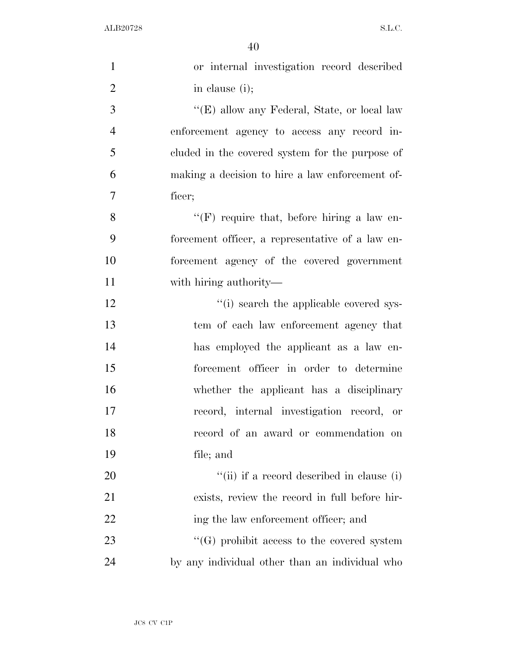| $\mathbf{1}$   | or internal investigation record described        |
|----------------|---------------------------------------------------|
| $\overline{2}$ | in clause (i);                                    |
| 3              | "(E) allow any Federal, State, or local law       |
| $\overline{4}$ | enforcement agency to access any record in-       |
| 5              | cluded in the covered system for the purpose of   |
| 6              | making a decision to hire a law enforcement of-   |
| $\overline{7}$ | ficer;                                            |
| 8              | "(F) require that, before hiring a law en-        |
| 9              | forcement officer, a representative of a law en-  |
| 10             | forcement agency of the covered government        |
| 11             | with hiring authority—                            |
| 12             | "(i) search the applicable covered sys-           |
| 13             | tem of each law enforcement agency that           |
| 14             | has employed the applicant as a law en-           |
| 15             | forcement officer in order to determine           |
| 16             | whether the applicant has a disciplinary          |
| 17             | record, internal investigation record, or         |
| 18             | record of an award or commendation on             |
| 19             | file; and                                         |
| 20             | "(ii) if a record described in clause (i)         |
| 21             | exists, review the record in full before hir-     |
| 22             | ing the law enforcement officer; and              |
| 23             | $\lq\lq(G)$ prohibit access to the covered system |
| 24             | by any individual other than an individual who    |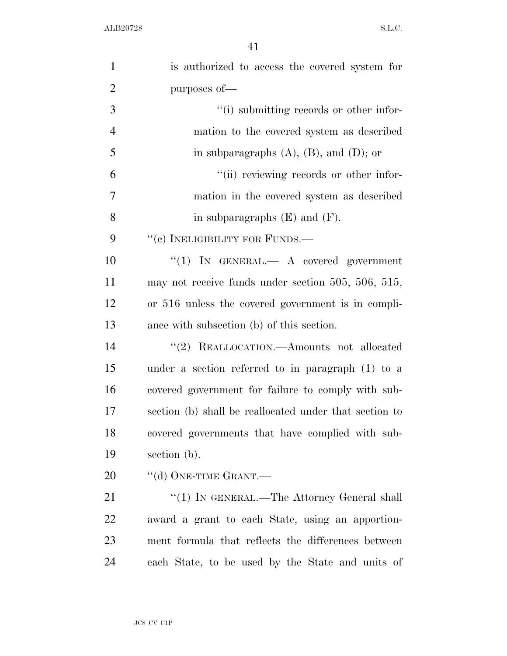| $\mathbf{1}$   | is authorized to access the covered system for          |
|----------------|---------------------------------------------------------|
| $\overline{2}$ | purposes of-                                            |
| 3              | "(i) submitting records or other infor-                 |
| $\overline{4}$ | mation to the covered system as described               |
| 5              | in subparagraphs $(A)$ , $(B)$ , and $(D)$ ; or         |
| 6              | "(ii) reviewing records or other infor-                 |
| $\overline{7}$ | mation in the covered system as described               |
| 8              | in subparagraphs $(E)$ and $(F)$ .                      |
| 9              | "(c) INELIGIBILITY FOR FUNDS.—                          |
| 10             | "(1) IN GENERAL. $\longrightarrow$ A covered government |
| 11             | may not receive funds under section 505, 506, 515,      |
| 12             | or 516 unless the covered government is in compli-      |
| 13             | ance with subsection (b) of this section.               |
| 14             | "(2) REALLOCATION.—Amounts not allocated                |
| 15             | under a section referred to in paragraph (1) to a       |
| 16             | covered government for failure to comply with sub-      |
| 17             | section (b) shall be reallocated under that section to  |
| 18             | covered governments that have complied with sub-        |
| 19             | section (b).                                            |
| 20             | "(d) ONE-TIME GRANT.—                                   |
| 21             | "(1) IN GENERAL.—The Attorney General shall             |
| 22             | award a grant to each State, using an apportion-        |
| 23             | ment formula that reflects the differences between      |
| 24             | each State, to be used by the State and units of        |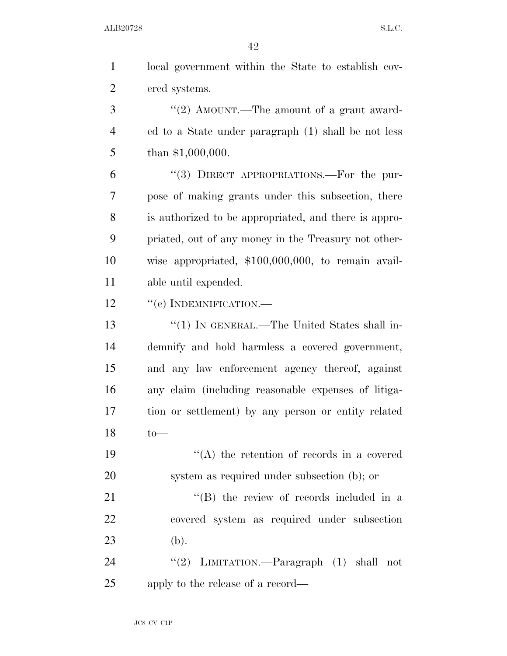| $\mathbf{1}$   | local government within the State to establish cov-   |
|----------------|-------------------------------------------------------|
| $\overline{2}$ | ered systems.                                         |
| 3              | "(2) AMOUNT.—The amount of a grant award-             |
| $\overline{4}$ | ed to a State under paragraph (1) shall be not less   |
| 5              | than $$1,000,000$ .                                   |
| 6              | "(3) DIRECT APPROPRIATIONS.—For the pur-              |
| 7              | pose of making grants under this subsection, there    |
| 8              | is authorized to be appropriated, and there is appro- |
| 9              | priated, out of any money in the Treasury not other-  |
| 10             | wise appropriated, \$100,000,000, to remain avail-    |
| 11             | able until expended.                                  |
| 12             | $``$ (e) INDEMNIFICATION.—                            |
| 13             | "(1) IN GENERAL.—The United States shall in-          |
| 14             | demnify and hold harmless a covered government,       |
| 15             | and any law enforcement agency thereof, against       |
| 16             | any claim (including reasonable expenses of litiga-   |
| 17             | tion or settlement) by any person or entity related   |
| 18             | $to-$                                                 |
| 19             | $\lq\lq$ the retention of records in a covered        |
| 20             | system as required under subsection (b); or           |
| 21             | "(B) the review of records included in a              |
| 22             | covered system as required under subsection           |
| 23             | (b).                                                  |
| 24             | "(2) LIMITATION.—Paragraph $(1)$ shall not            |
| 25             | apply to the release of a record—                     |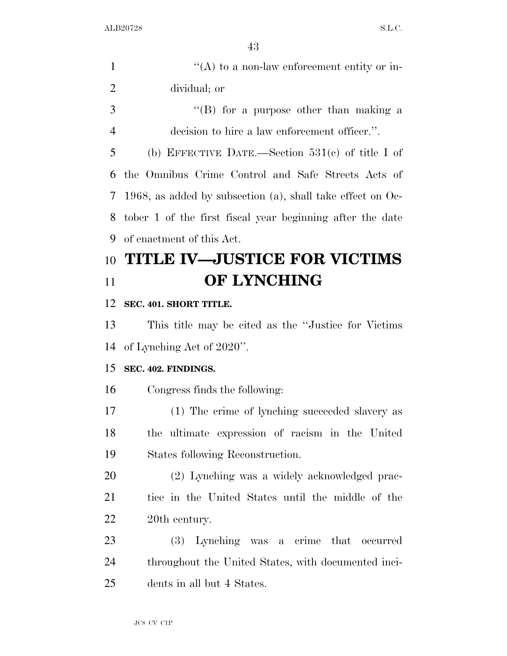|               | $\lq\lq$ to a non-law enforcement entity or in- |
|---------------|-------------------------------------------------|
|               | dividual; or                                    |
| $\mathcal{R}$ | $\lq\lq (B)$ for a purpose other than making a  |

decision to hire a law enforcement officer.''.

 (b) EFFECTIVE DATE.—Section 531(c) of title I of the Omnibus Crime Control and Safe Streets Acts of 1968, as added by subsection (a), shall take effect on Oc- tober 1 of the first fiscal year beginning after the date of enactment of this Act.

# **TITLE IV—JUSTICE FOR VICTIMS OF LYNCHING**

## **SEC. 401. SHORT TITLE.**

 This title may be cited as the ''Justice for Victims of Lynching Act of 2020''.

## **SEC. 402. FINDINGS.**

Congress finds the following:

 (1) The crime of lynching succeeded slavery as the ultimate expression of racism in the United States following Reconstruction.

 (2) Lynching was a widely acknowledged prac- tice in the United States until the middle of the 20th century.

 (3) Lynching was a crime that occurred throughout the United States, with documented inci-dents in all but 4 States.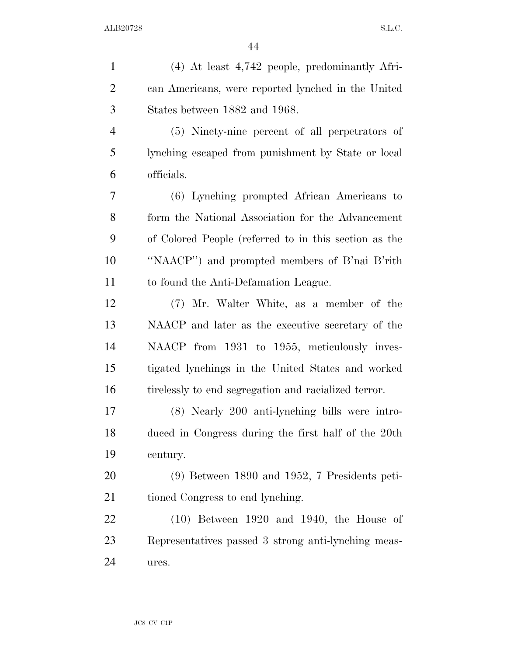| $\mathbf{1}$   | $(4)$ At least $4,742$ people, predominantly Afri-    |
|----------------|-------------------------------------------------------|
| $\overline{2}$ | can Americans, were reported lynched in the United    |
| 3              | States between 1882 and 1968.                         |
| $\overline{4}$ | (5) Ninety-nine percent of all perpetrators of        |
| 5              | lynching escaped from punishment by State or local    |
| 6              | officials.                                            |
| 7              | (6) Lynching prompted African Americans to            |
| 8              | form the National Association for the Advancement     |
| 9              | of Colored People (referred to in this section as the |
| 10             | "NAACP") and prompted members of B'nai B'rith         |
| 11             | to found the Anti-Defamation League.                  |
| 12             | (7) Mr. Walter White, as a member of the              |
| 13             | NAACP and later as the executive secretary of the     |
| 14             | NAACP from 1931 to 1955, meticulously inves-          |
| 15             | tigated lynchings in the United States and worked     |
| 16             | tirelessly to end segregation and racialized terror.  |
| 17             | (8) Nearly 200 anti-lynching bills were intro-        |
| 18             | duced in Congress during the first half of the 20th   |
| 19             | century.                                              |
| 20             | $(9)$ Between 1890 and 1952, 7 Presidents peti-       |
| 21             | tioned Congress to end lynching.                      |
| 22             | $(10)$ Between 1920 and 1940, the House of            |
| 23             | Representatives passed 3 strong anti-lynching meas-   |
| 24             | ures.                                                 |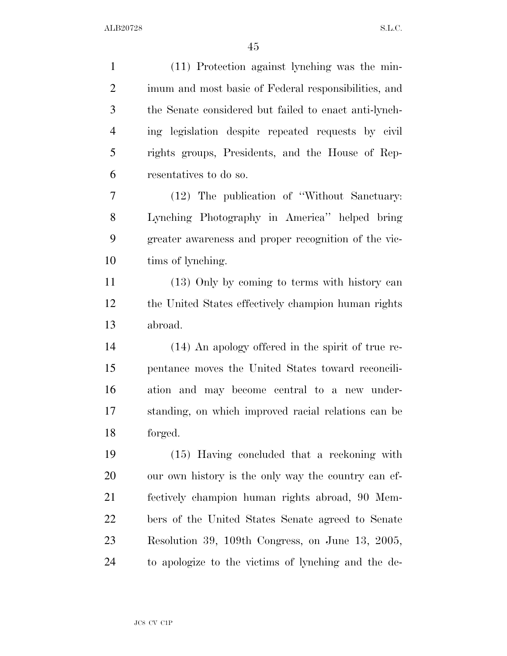(11) Protection against lynching was the min- imum and most basic of Federal responsibilities, and the Senate considered but failed to enact anti-lynch- ing legislation despite repeated requests by civil rights groups, Presidents, and the House of Rep- resentatives to do so. (12) The publication of ''Without Sanctuary: Lynching Photography in America'' helped bring greater awareness and proper recognition of the vic- tims of lynching. (13) Only by coming to terms with history can the United States effectively champion human rights abroad. (14) An apology offered in the spirit of true re- pentance moves the United States toward reconcili- ation and may become central to a new under- standing, on which improved racial relations can be forged. (15) Having concluded that a reckoning with our own history is the only way the country can ef- fectively champion human rights abroad, 90 Mem- bers of the United States Senate agreed to Senate Resolution 39, 109th Congress, on June 13, 2005, to apologize to the victims of lynching and the de-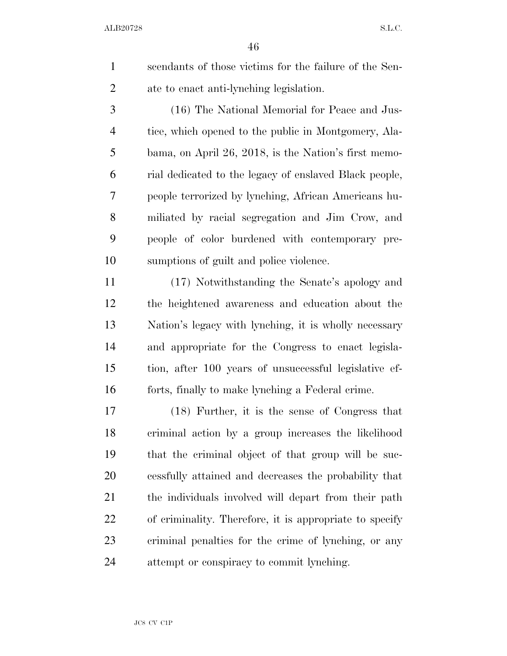scendants of those victims for the failure of the Sen-ate to enact anti-lynching legislation.

 (16) The National Memorial for Peace and Jus- tice, which opened to the public in Montgomery, Ala- bama, on April 26, 2018, is the Nation's first memo- rial dedicated to the legacy of enslaved Black people, people terrorized by lynching, African Americans hu- miliated by racial segregation and Jim Crow, and people of color burdened with contemporary pre-sumptions of guilt and police violence.

 (17) Notwithstanding the Senate's apology and the heightened awareness and education about the Nation's legacy with lynching, it is wholly necessary and appropriate for the Congress to enact legisla- tion, after 100 years of unsuccessful legislative ef-forts, finally to make lynching a Federal crime.

 (18) Further, it is the sense of Congress that criminal action by a group increases the likelihood that the criminal object of that group will be suc- cessfully attained and decreases the probability that the individuals involved will depart from their path of criminality. Therefore, it is appropriate to specify criminal penalties for the crime of lynching, or any attempt or conspiracy to commit lynching.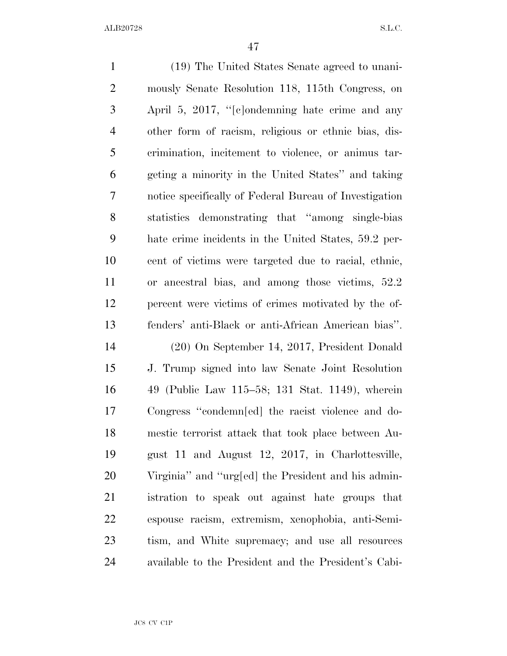(19) The United States Senate agreed to unani- mously Senate Resolution 118, 115th Congress, on April 5, 2017, ''[c]ondemning hate crime and any other form of racism, religious or ethnic bias, dis- crimination, incitement to violence, or animus tar- geting a minority in the United States'' and taking notice specifically of Federal Bureau of Investigation statistics demonstrating that ''among single-bias hate crime incidents in the United States, 59.2 per- cent of victims were targeted due to racial, ethnic, or ancestral bias, and among those victims, 52.2 percent were victims of crimes motivated by the of- fenders' anti-Black or anti-African American bias''. (20) On September 14, 2017, President Donald J. Trump signed into law Senate Joint Resolution 49 (Public Law 115–58; 131 Stat. 1149), wherein Congress ''condemn[ed] the racist violence and do- mestic terrorist attack that took place between Au- gust 11 and August 12, 2017, in Charlottesville, Virginia'' and ''urg[ed] the President and his admin- istration to speak out against hate groups that espouse racism, extremism, xenophobia, anti-Semi- tism, and White supremacy; and use all resources available to the President and the President's Cabi-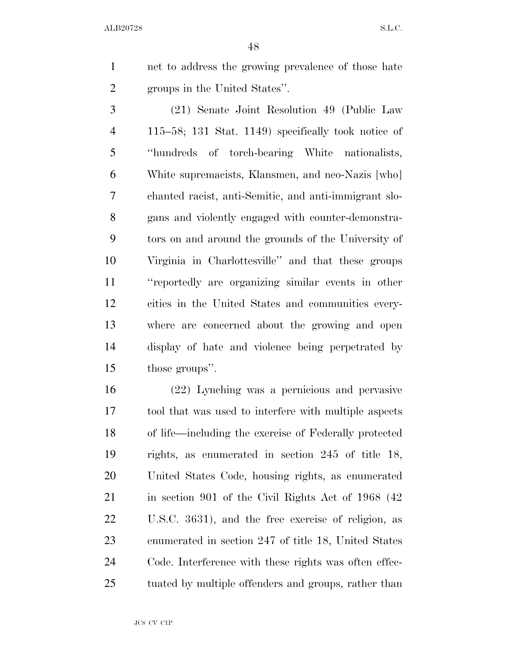net to address the growing prevalence of those hate groups in the United States''.

 (21) Senate Joint Resolution 49 (Public Law 115–58; 131 Stat. 1149) specifically took notice of ''hundreds of torch-bearing White nationalists, White supremacists, Klansmen, and neo-Nazis [who] chanted racist, anti-Semitic, and anti-immigrant slo- gans and violently engaged with counter-demonstra- tors on and around the grounds of the University of Virginia in Charlottesville'' and that these groups ''reportedly are organizing similar events in other cities in the United States and communities every- where are concerned about the growing and open display of hate and violence being perpetrated by those groups''.

 (22) Lynching was a pernicious and pervasive tool that was used to interfere with multiple aspects of life—including the exercise of Federally protected rights, as enumerated in section 245 of title 18, United States Code, housing rights, as enumerated 21 in section 901 of the Civil Rights Act of 1968 (42) U.S.C. 3631), and the free exercise of religion, as enumerated in section 247 of title 18, United States Code. Interference with these rights was often effec-tuated by multiple offenders and groups, rather than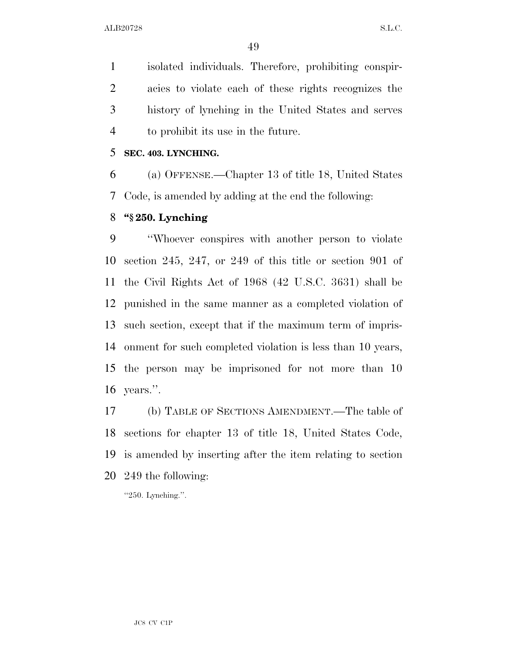isolated individuals. Therefore, prohibiting conspir- acies to violate each of these rights recognizes the history of lynching in the United States and serves to prohibit its use in the future.

### **SEC. 403. LYNCHING.**

 (a) OFFENSE.—Chapter 13 of title 18, United States Code, is amended by adding at the end the following:

## **''§ 250. Lynching**

 ''Whoever conspires with another person to violate section 245, 247, or 249 of this title or section 901 of the Civil Rights Act of 1968 (42 U.S.C. 3631) shall be punished in the same manner as a completed violation of such section, except that if the maximum term of impris- onment for such completed violation is less than 10 years, the person may be imprisoned for not more than 10 years.''.

 (b) TABLE OF SECTIONS AMENDMENT.—The table of sections for chapter 13 of title 18, United States Code, is amended by inserting after the item relating to section 249 the following:

''250. Lynching.''.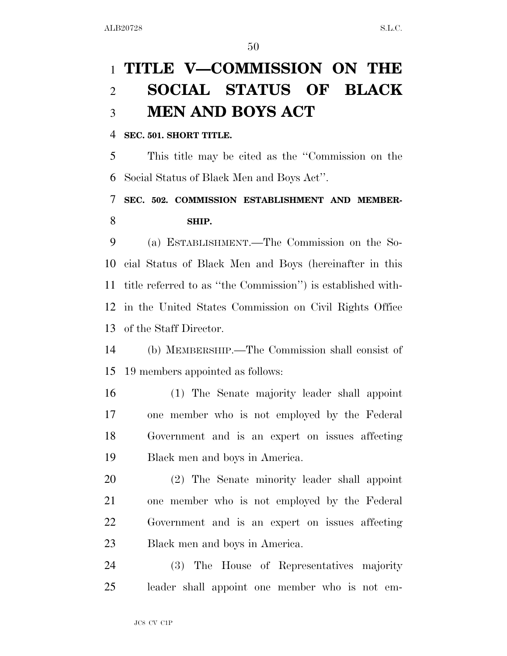# **TITLE V—COMMISSION ON THE SOCIAL STATUS OF BLACK MEN AND BOYS ACT**

### **SEC. 501. SHORT TITLE.**

 This title may be cited as the ''Commission on the Social Status of Black Men and Boys Act''.

# **SEC. 502. COMMISSION ESTABLISHMENT AND MEMBER-SHIP.**

 (a) ESTABLISHMENT.—The Commission on the So- cial Status of Black Men and Boys (hereinafter in this title referred to as ''the Commission'') is established with- in the United States Commission on Civil Rights Office of the Staff Director.

 (b) MEMBERSHIP.—The Commission shall consist of 19 members appointed as follows:

 (1) The Senate majority leader shall appoint one member who is not employed by the Federal Government and is an expert on issues affecting Black men and boys in America.

 (2) The Senate minority leader shall appoint one member who is not employed by the Federal Government and is an expert on issues affecting Black men and boys in America.

 (3) The House of Representatives majority leader shall appoint one member who is not em-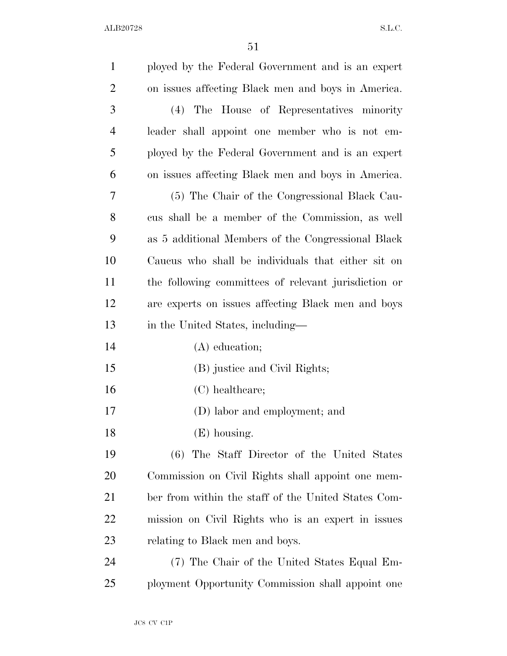| $\mathbf{1}$   | ployed by the Federal Government and is an expert    |
|----------------|------------------------------------------------------|
| $\overline{2}$ | on issues affecting Black men and boys in America.   |
| 3              | (4) The House of Representatives minority            |
| 4              | leader shall appoint one member who is not em-       |
| 5              | ployed by the Federal Government and is an expert    |
| 6              | on issues affecting Black men and boys in America.   |
| 7              | (5) The Chair of the Congressional Black Cau-        |
| 8              | cus shall be a member of the Commission, as well     |
| 9              | as 5 additional Members of the Congressional Black   |
| 10             | Caucus who shall be individuals that either sit on   |
| 11             | the following committees of relevant jurisdiction or |
| 12             | are experts on issues affecting Black men and boys   |
| 13             | in the United States, including—                     |
| 14             | (A) education;                                       |
| 15             | (B) justice and Civil Rights;                        |
| 16             | (C) healthcare;                                      |
| 17             | (D) labor and employment; and                        |
| 18             | (E) housing.                                         |
| 19             | (6) The Staff Director of the United States          |
| 20             | Commission on Civil Rights shall appoint one mem-    |
| 21             | ber from within the staff of the United States Com-  |
| 22             | mission on Civil Rights who is an expert in issues   |
| 23             | relating to Black men and boys.                      |
| 24             | (7) The Chair of the United States Equal Em-         |
| 25             | ployment Opportunity Commission shall appoint one    |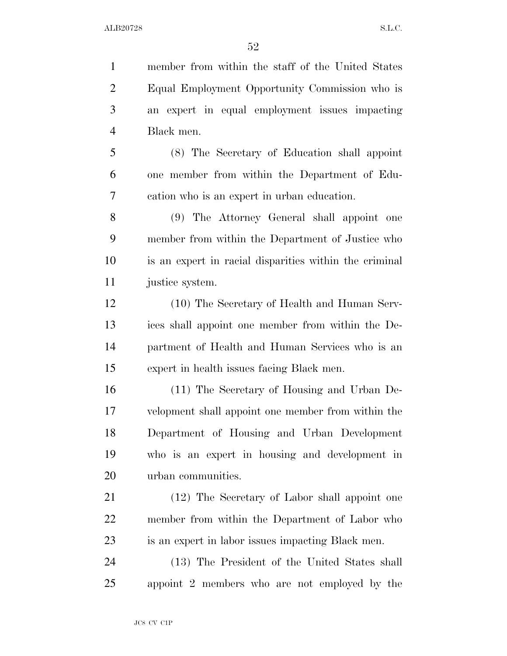member from within the staff of the United States Equal Employment Opportunity Commission who is an expert in equal employment issues impacting Black men. (8) The Secretary of Education shall appoint one member from within the Department of Edu- cation who is an expert in urban education. (9) The Attorney General shall appoint one member from within the Department of Justice who is an expert in racial disparities within the criminal justice system. (10) The Secretary of Health and Human Serv- ices shall appoint one member from within the De- partment of Health and Human Services who is an expert in health issues facing Black men. (11) The Secretary of Housing and Urban De- velopment shall appoint one member from within the Department of Housing and Urban Development who is an expert in housing and development in urban communities. (12) The Secretary of Labor shall appoint one member from within the Department of Labor who is an expert in labor issues impacting Black men. (13) The President of the United States shall appoint 2 members who are not employed by the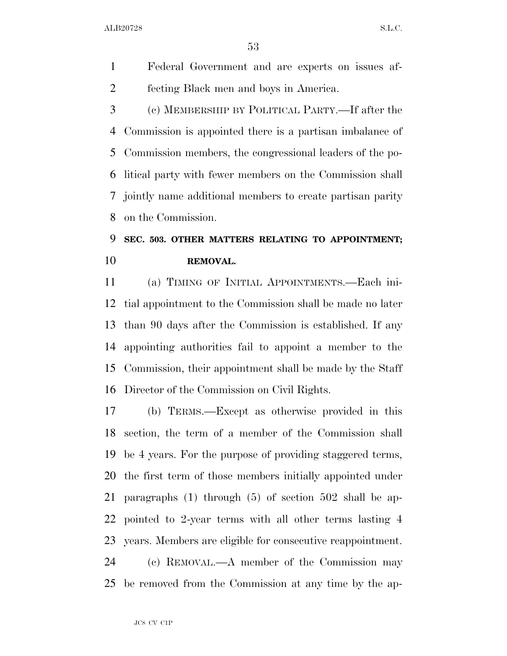Federal Government and are experts on issues af-fecting Black men and boys in America.

 (c) MEMBERSHIP BY POLITICAL PARTY.—If after the Commission is appointed there is a partisan imbalance of Commission members, the congressional leaders of the po- litical party with fewer members on the Commission shall jointly name additional members to create partisan parity on the Commission.

# **SEC. 503. OTHER MATTERS RELATING TO APPOINTMENT; REMOVAL.**

 (a) TIMING OF INITIAL APPOINTMENTS.—Each ini- tial appointment to the Commission shall be made no later than 90 days after the Commission is established. If any appointing authorities fail to appoint a member to the Commission, their appointment shall be made by the Staff Director of the Commission on Civil Rights.

 (b) TERMS.—Except as otherwise provided in this section, the term of a member of the Commission shall be 4 years. For the purpose of providing staggered terms, the first term of those members initially appointed under paragraphs (1) through (5) of section 502 shall be ap- pointed to 2-year terms with all other terms lasting 4 years. Members are eligible for consecutive reappointment. (c) REMOVAL.—A member of the Commission may

be removed from the Commission at any time by the ap-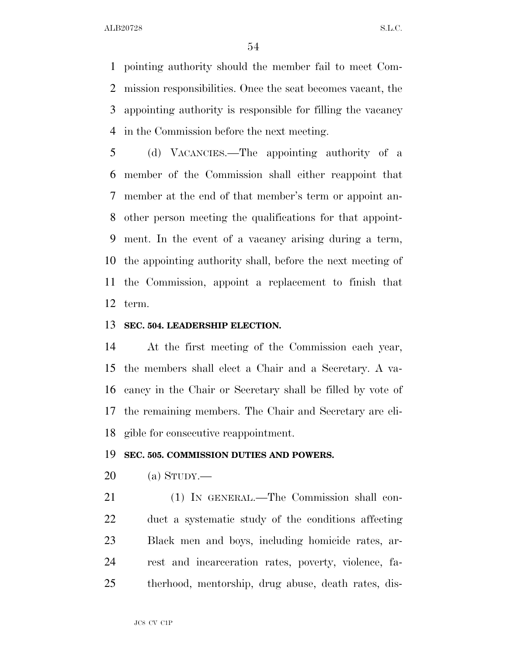pointing authority should the member fail to meet Com- mission responsibilities. Once the seat becomes vacant, the appointing authority is responsible for filling the vacancy in the Commission before the next meeting.

 (d) VACANCIES.—The appointing authority of a member of the Commission shall either reappoint that member at the end of that member's term or appoint an- other person meeting the qualifications for that appoint- ment. In the event of a vacancy arising during a term, the appointing authority shall, before the next meeting of the Commission, appoint a replacement to finish that term.

### **SEC. 504. LEADERSHIP ELECTION.**

 At the first meeting of the Commission each year, the members shall elect a Chair and a Secretary. A va- cancy in the Chair or Secretary shall be filled by vote of the remaining members. The Chair and Secretary are eli-gible for consecutive reappointment.

#### **SEC. 505. COMMISSION DUTIES AND POWERS.**

(a) STUDY.—

 (1) IN GENERAL.—The Commission shall con- duct a systematic study of the conditions affecting Black men and boys, including homicide rates, ar- rest and incarceration rates, poverty, violence, fa-therhood, mentorship, drug abuse, death rates, dis-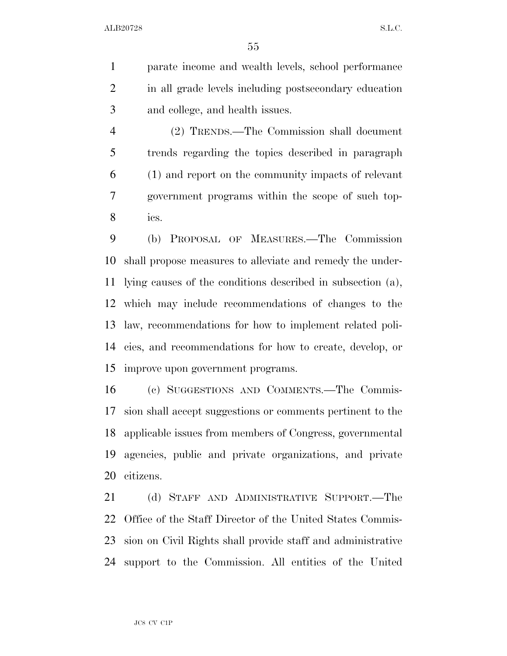parate income and wealth levels, school performance in all grade levels including postsecondary education and college, and health issues.

 (2) TRENDS.—The Commission shall document trends regarding the topics described in paragraph (1) and report on the community impacts of relevant government programs within the scope of such top-ics.

 (b) PROPOSAL OF MEASURES.—The Commission shall propose measures to alleviate and remedy the under- lying causes of the conditions described in subsection (a), which may include recommendations of changes to the law, recommendations for how to implement related poli- cies, and recommendations for how to create, develop, or improve upon government programs.

 (c) SUGGESTIONS AND COMMENTS.—The Commis- sion shall accept suggestions or comments pertinent to the applicable issues from members of Congress, governmental agencies, public and private organizations, and private citizens.

 (d) STAFF AND ADMINISTRATIVE SUPPORT.—The Office of the Staff Director of the United States Commis- sion on Civil Rights shall provide staff and administrative support to the Commission. All entities of the United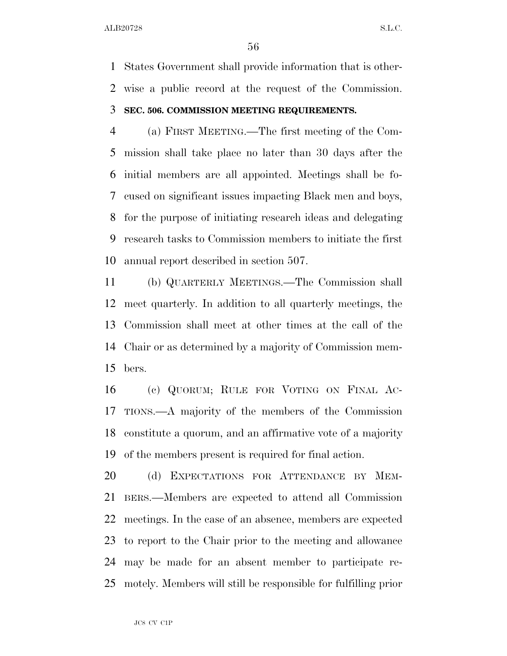States Government shall provide information that is other- wise a public record at the request of the Commission. **SEC. 506. COMMISSION MEETING REQUIREMENTS.** 

# (a) FIRST MEETING.—The first meeting of the Com- mission shall take place no later than 30 days after the initial members are all appointed. Meetings shall be fo- cused on significant issues impacting Black men and boys, for the purpose of initiating research ideas and delegating research tasks to Commission members to initiate the first annual report described in section 507.

 (b) QUARTERLY MEETINGS.—The Commission shall meet quarterly. In addition to all quarterly meetings, the Commission shall meet at other times at the call of the Chair or as determined by a majority of Commission mem-bers.

 (c) QUORUM; RULE FOR VOTING ON FINAL AC- TIONS.—A majority of the members of the Commission constitute a quorum, and an affirmative vote of a majority of the members present is required for final action.

20 (d) EXPECTATIONS FOR ATTENDANCE BY MEM- BERS.—Members are expected to attend all Commission meetings. In the case of an absence, members are expected to report to the Chair prior to the meeting and allowance may be made for an absent member to participate re-motely. Members will still be responsible for fulfilling prior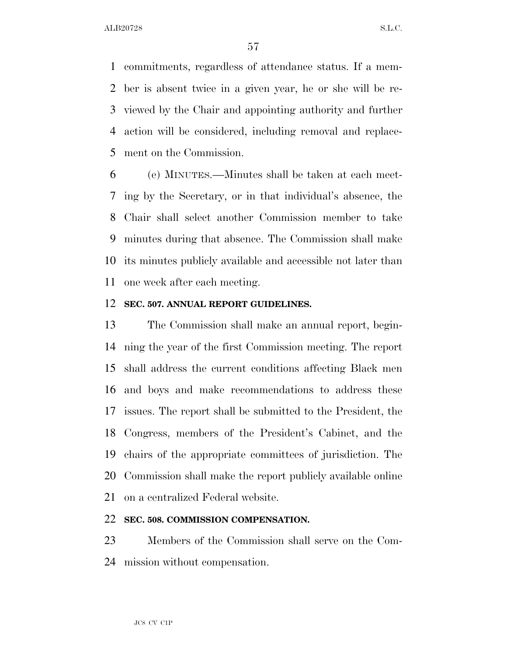commitments, regardless of attendance status. If a mem- ber is absent twice in a given year, he or she will be re- viewed by the Chair and appointing authority and further action will be considered, including removal and replace-ment on the Commission.

 (e) MINUTES.—Minutes shall be taken at each meet- ing by the Secretary, or in that individual's absence, the Chair shall select another Commission member to take minutes during that absence. The Commission shall make its minutes publicly available and accessible not later than one week after each meeting.

### **SEC. 507. ANNUAL REPORT GUIDELINES.**

 The Commission shall make an annual report, begin- ning the year of the first Commission meeting. The report shall address the current conditions affecting Black men and boys and make recommendations to address these issues. The report shall be submitted to the President, the Congress, members of the President's Cabinet, and the chairs of the appropriate committees of jurisdiction. The Commission shall make the report publicly available online on a centralized Federal website.

## **SEC. 508. COMMISSION COMPENSATION.**

 Members of the Commission shall serve on the Com-mission without compensation.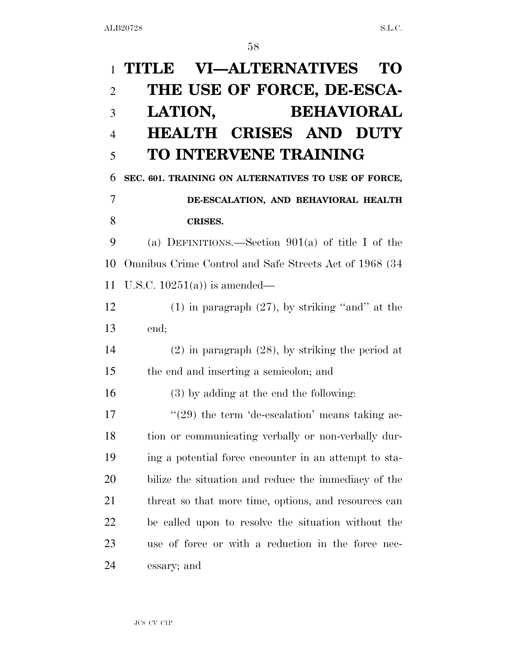| $\mathbf{1}$   | <b>VI—ALTERNATIVES</b><br>TITLE<br>TO                      |
|----------------|------------------------------------------------------------|
| $\overline{2}$ | THE USE OF FORCE, DE-ESCA-                                 |
| 3              | <b>BEHAVIORAL</b><br>LATION,                               |
| $\overline{4}$ | <b>HEALTH CRISES AND DUTY</b>                              |
| 5              | <b>TO INTERVENE TRAINING</b>                               |
| 6              | SEC. 601. TRAINING ON ALTERNATIVES TO USE OF FORCE,        |
| 7              | DE-ESCALATION, AND BEHAVIORAL HEALTH                       |
| 8              | <b>CRISES.</b>                                             |
| 9              | (a) DEFINITIONS.—Section $901(a)$ of title I of the        |
| 10             | Omnibus Crime Control and Safe Streets Act of 1968 (34     |
| 11             | U.S.C. $10251(a)$ is amended—                              |
| 12             | $(1)$ in paragraph $(27)$ , by striking "and" at the       |
| 13             | end;                                                       |
| 14             | $(2)$ in paragraph $(28)$ , by striking the period at      |
| 15             | the end and inserting a semicolon; and                     |
| 16             | $(3)$ by adding at the end the following:                  |
| 17             | $\cdot\cdot(29)$ the term 'de-escalation' means taking ac- |
| 18             | tion or communicating verbally or non-verbally dur-        |
| 19             | ing a potential force encounter in an attempt to sta-      |
| 20             | bilize the situation and reduce the immediacy of the       |
| 21             | threat so that more time, options, and resources can       |
| 22             | be called upon to resolve the situation without the        |
| 23             | use of force or with a reduction in the force nec-         |
| 24             | essary; and                                                |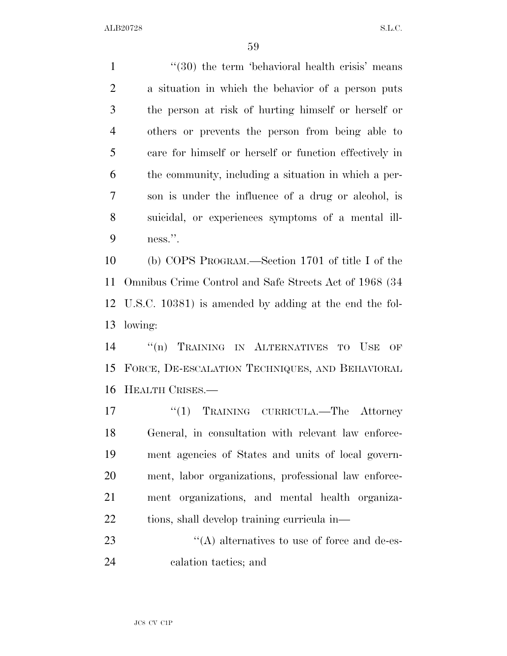1 ''(30) the term 'behavioral health crisis' means a situation in which the behavior of a person puts the person at risk of hurting himself or herself or others or prevents the person from being able to care for himself or herself or function effectively in the community, including a situation in which a per- son is under the influence of a drug or alcohol, is suicidal, or experiences symptoms of a mental ill-ness.''.

 (b) COPS PROGRAM.—Section 1701 of title I of the Omnibus Crime Control and Safe Streets Act of 1968 (34 U.S.C. 10381) is amended by adding at the end the fol-lowing:

 ''(n) TRAINING IN ALTERNATIVES TO USE OF FORCE, DE-ESCALATION TECHNIQUES, AND BEHAVIORAL HEALTH CRISES.—

17 ''(1) TRAINING CURRICULA.—The Attorney General, in consultation with relevant law enforce- ment agencies of States and units of local govern- ment, labor organizations, professional law enforce- ment organizations, and mental health organiza-tions, shall develop training curricula in—

23  $\langle (A)$  alternatives to use of force and de-es-calation tactics; and

JC8 CV C1P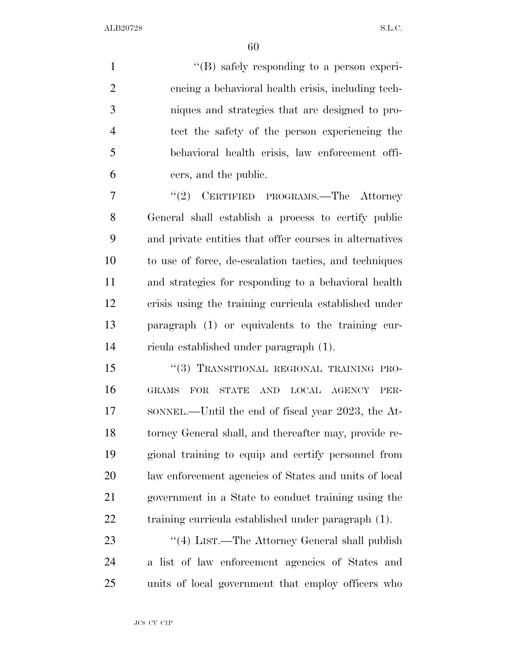$\langle$  (B) safely responding to a person experi- encing a behavioral health crisis, including tech- niques and strategies that are designed to pro- tect the safety of the person experiencing the behavioral health crisis, law enforcement offi-cers, and the public.

 ''(2) CERTIFIED PROGRAMS.—The Attorney General shall establish a process to certify public and private entities that offer courses in alternatives to use of force, de-escalation tactics, and techniques and strategies for responding to a behavioral health crisis using the training curricula established under paragraph (1) or equivalents to the training cur-ricula established under paragraph (1).

15 "(3) TRANSITIONAL REGIONAL TRAINING PRO- GRAMS FOR STATE AND LOCAL AGENCY PER- SONNEL.—Until the end of fiscal year 2023, the At- torney General shall, and thereafter may, provide re- gional training to equip and certify personnel from law enforcement agencies of States and units of local government in a State to conduct training using the training curricula established under paragraph (1).

23 ''(4) LIST.—The Attorney General shall publish a list of law enforcement agencies of States and units of local government that employ officers who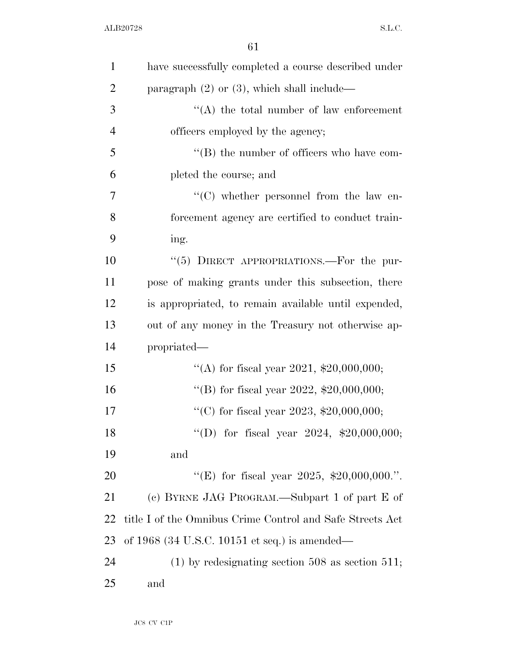| $\mathbf{1}$   | have successfully completed a course described under      |
|----------------|-----------------------------------------------------------|
| $\overline{2}$ | paragraph $(2)$ or $(3)$ , which shall include—           |
| 3              | $\lq\lq$ the total number of law enforcement              |
| $\overline{4}$ | officers employed by the agency;                          |
| 5              | $\lq\lq$ the number of officers who have com-             |
| 6              | pleted the course; and                                    |
| 7              | $\lq\lq$ whether personnel from the law en-               |
| 8              | forcement agency are certified to conduct train-          |
| 9              | ing.                                                      |
| 10             | " $(5)$ DIRECT APPROPRIATIONS.—For the pur-               |
| 11             | pose of making grants under this subsection, there        |
| 12             | is appropriated, to remain available until expended,      |
| 13             | out of any money in the Treasury not otherwise ap-        |
| 14             | propriated—                                               |
| 15             | "(A) for fiscal year 2021, $$20,000,000;$                 |
| 16             | "(B) for fiscal year 2022, $$20,000,000;$                 |
| 17             | "(C) for fiscal year 2023, $$20,000,000;$                 |
| 18             | "(D) for fiscal year $2024$ , \$20,000,000;               |
| 19             | and                                                       |
| 20             | "(E) for fiscal year 2025, \$20,000,000.".                |
| 21             | (c) BYRNE JAG PROGRAM.—Subpart 1 of part E of             |
| 22             | title I of the Omnibus Crime Control and Safe Streets Act |
| 23             | of $1968$ (34 U.S.C. 10151 et seq.) is amended—           |
| 24             | $(1)$ by redesignating section 508 as section 511;        |
| 25             | and                                                       |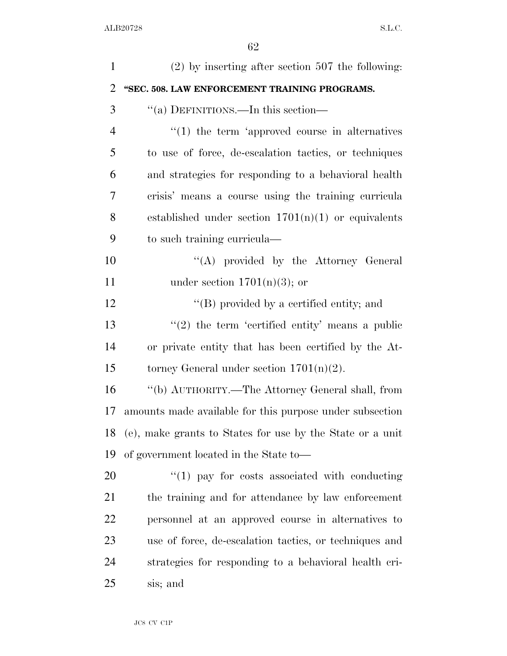| $\mathbf{1}$   | $(2)$ by inserting after section 507 the following:       |
|----------------|-----------------------------------------------------------|
| $\overline{2}$ | "SEC. 508. LAW ENFORCEMENT TRAINING PROGRAMS.             |
| 3              | "(a) DEFINITIONS.—In this section—                        |
| 4              | $\lq(1)$ the term 'approved course in alternatives        |
| 5              | to use of force, de-escalation tactics, or techniques     |
| 6              | and strategies for responding to a behavioral health      |
| 7              | crisis' means a course using the training curricula       |
| 8              | established under section $1701(n)(1)$ or equivalents     |
| 9              | to such training curricula-                               |
| 10             | "(A) provided by the Attorney General                     |
| 11             | under section $1701(n)(3)$ ; or                           |
| 12             | $\lq\lq (B)$ provided by a certified entity; and          |
| 13             | $\lq(2)$ the term 'certified entity' means a public       |
| 14             | or private entity that has been certified by the At-      |
| 15             | torney General under section $1701(n)(2)$ .               |
| 16             | "(b) AUTHORITY.—The Attorney General shall, from          |
| 17             | amounts made available for this purpose under subsection  |
| 18             | (e), make grants to States for use by the State or a unit |
| 19             | of government located in the State to-                    |
| 20             | $\lq(1)$ pay for costs associated with conducting         |
| 21             | the training and for attendance by law enforcement        |
| 22             | personnel at an approved course in alternatives to        |
| 23             | use of force, de-escalation tactics, or techniques and    |
| 24             | strategies for responding to a behavioral health cri-     |
| 25             | sis; and                                                  |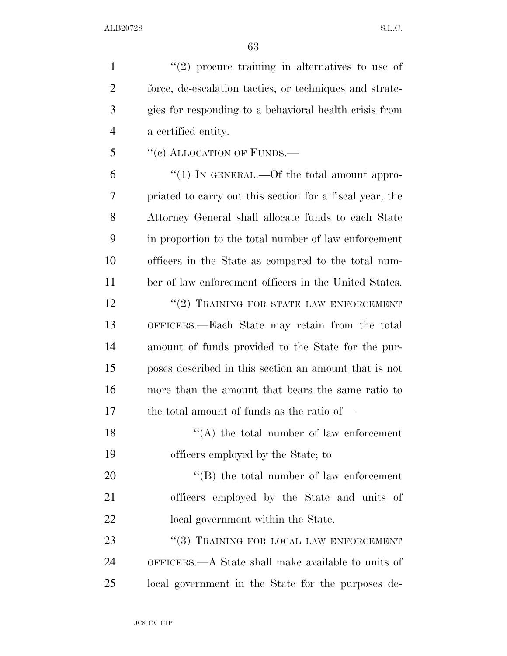$\mathcal{L}(2)$  procure training in alternatives to use of force, de-escalation tactics, or techniques and strate- gies for responding to a behavioral health crisis from a certified entity. 5 "(c) ALLOCATION OF FUNDS.—  $(1)$  In GENERAL.—Of the total amount appro- priated to carry out this section for a fiscal year, the Attorney General shall allocate funds to each State in proportion to the total number of law enforcement officers in the State as compared to the total num- ber of law enforcement officers in the United States. 12 <sup>''</sup>(2) TRAINING FOR STATE LAW ENFORCEMENT OFFICERS.—Each State may retain from the total amount of funds provided to the State for the pur- poses described in this section an amount that is not more than the amount that bears the same ratio to the total amount of funds as the ratio of—  $\langle A \rangle$  the total number of law enforcement officers employed by the State; to 20 "'(B) the total number of law enforcement

 officers employed by the State and units of 22 local government within the State.

23 "(3) TRAINING FOR LOCAL LAW ENFORCEMENT OFFICERS.—A State shall make available to units of local government in the State for the purposes de-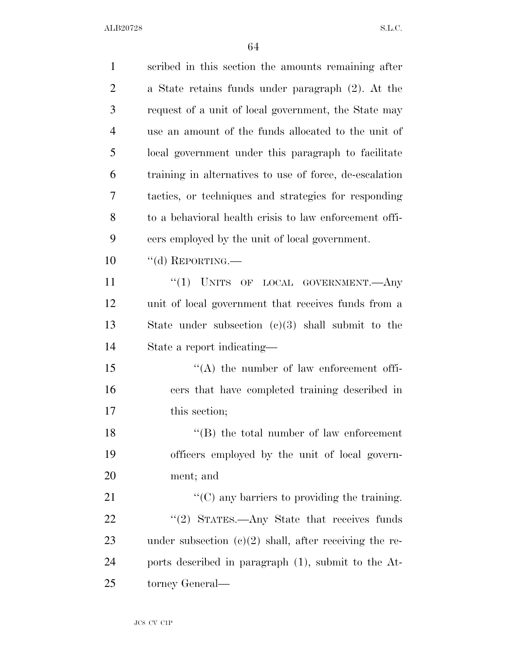| $\mathbf{1}$   | scribed in this section the amounts remaining after      |
|----------------|----------------------------------------------------------|
| $\overline{2}$ | a State retains funds under paragraph (2). At the        |
| 3              | request of a unit of local government, the State may     |
| $\overline{4}$ | use an amount of the funds allocated to the unit of      |
| 5              | local government under this paragraph to facilitate      |
| 6              | training in alternatives to use of force, de-escalation  |
| 7              | tactics, or techniques and strategies for responding     |
| 8              | to a behavioral health crisis to law enforcement offi-   |
| 9              | cers employed by the unit of local government.           |
| 10             | $``$ (d) REPORTING.—                                     |
| 11             | "(1) UNITS OF LOCAL GOVERNMENT.—Any                      |
| 12             | unit of local government that receives funds from a      |
| 13             | State under subsection $(c)(3)$ shall submit to the      |
| 14             | State a report indicating—                               |
| 15             | $\lq\lq$ the number of law enforcement offi-             |
| 16             | cers that have completed training described in           |
| 17             | this section;                                            |
| 18             | $\lq\lq$ (B) the total number of law enforcement         |
| 19             | officers employed by the unit of local govern-           |
| 20             | ment; and                                                |
| 21             | $\lq\lq$ (C) any barriers to providing the training.     |
| 22             | "(2) STATES.—Any State that receives funds               |
| 23             | under subsection $(c)(2)$ shall, after receiving the re- |
| 24             | ports described in paragraph (1), submit to the At-      |
| 25             | torney General—                                          |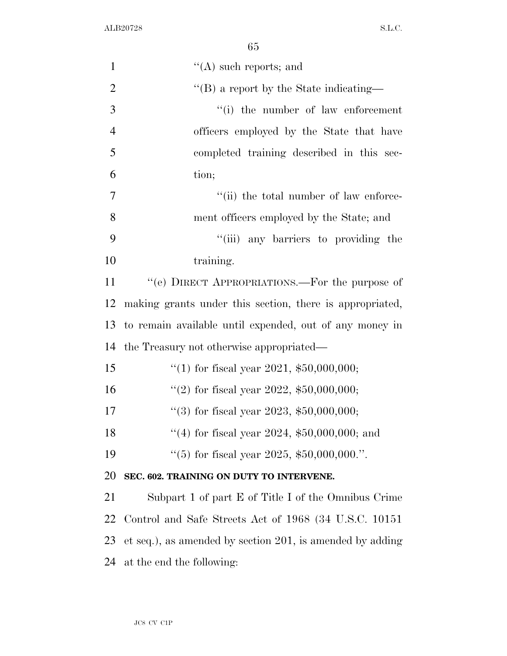| $\mathbf{1}$   | $\lq\lq$ such reports; and                                |
|----------------|-----------------------------------------------------------|
| $\overline{2}$ | $\lq\lq$ a report by the State indicating—                |
| 3              | "(i) the number of law enforcement                        |
| $\overline{4}$ | officers employed by the State that have                  |
| 5              | completed training described in this sec-                 |
| 6              | tion;                                                     |
| $\overline{7}$ | "(ii) the total number of law enforce-                    |
| 8              | ment officers employed by the State; and                  |
| 9              | "(iii) any barriers to providing the                      |
| 10             | training.                                                 |
| 11             | "(e) DIRECT APPROPRIATIONS.—For the purpose of            |
| 12             | making grants under this section, there is appropriated,  |
| 13             | to remain available until expended, out of any money in   |
| 14             | the Treasury not otherwise appropriated—                  |
| 15             | "(1) for fiscal year 2021, $$50,000,000;$                 |
| 16             | "(2) for fiscal year 2022, $$50,000,000;$                 |
| 17             | "(3) for fiscal year 2023, $$50,000,000;$                 |
| 18             | "(4) for fiscal year 2024, $$50,000,000$ ; and            |
| 19             | "(5) for fiscal year 2025, $$50,000,000."$ .              |
| 20             | SEC. 602. TRAINING ON DUTY TO INTERVENE.                  |
| 21             | Subpart 1 of part E of Title I of the Omnibus Crime       |
| 22             | Control and Safe Streets Act of 1968 (34 U.S.C. 10151)    |
| 23             | et seq.), as amended by section 201, is amended by adding |
| 24             | at the end the following:                                 |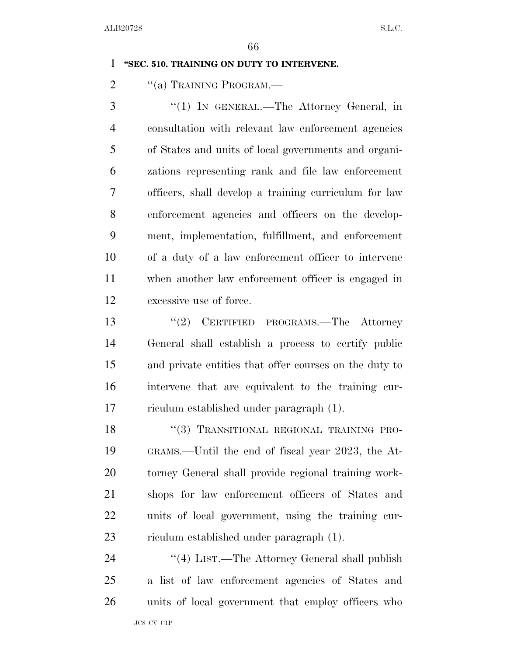### **''SEC. 510. TRAINING ON DUTY TO INTERVENE.**

2 "(a) TRAINING PROGRAM.—

 ''(1) IN GENERAL.—The Attorney General, in consultation with relevant law enforcement agencies of States and units of local governments and organi- zations representing rank and file law enforcement officers, shall develop a training curriculum for law enforcement agencies and officers on the develop- ment, implementation, fulfillment, and enforcement of a duty of a law enforcement officer to intervene when another law enforcement officer is engaged in excessive use of force.

13 ''(2) CERTIFIED PROGRAMS.—The Attorney General shall establish a process to certify public and private entities that offer courses on the duty to intervene that are equivalent to the training cur-riculum established under paragraph (1).

18 "(3) TRANSITIONAL REGIONAL TRAINING PRO- GRAMS.—Until the end of fiscal year 2023, the At- torney General shall provide regional training work- shops for law enforcement officers of States and units of local government, using the training cur-riculum established under paragraph (1).

24 ''(4) LIST.—The Attorney General shall publish a list of law enforcement agencies of States and units of local government that employ officers who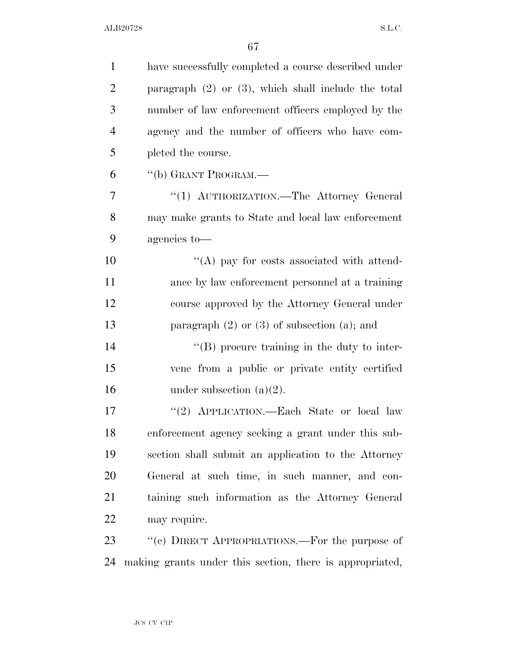| $\mathbf{1}$   | have successfully completed a course described under     |
|----------------|----------------------------------------------------------|
| $\overline{2}$ | paragraph $(2)$ or $(3)$ , which shall include the total |
| 3              | number of law enforcement officers employed by the       |
| $\overline{4}$ | agency and the number of officers who have com-          |
| 5              | pleted the course.                                       |
| 6              | "(b) GRANT PROGRAM.—                                     |
| 7              | "(1) AUTHORIZATION.—The Attorney General                 |
| 8              | may make grants to State and local law enforcement       |
| 9              | agencies to-                                             |
| 10             | $\lq\lq$ (A) pay for costs associated with attend-       |
| 11             | ance by law enforcement personnel at a training          |
| 12             | course approved by the Attorney General under            |
| 13             | paragraph $(2)$ or $(3)$ of subsection $(a)$ ; and       |
| 14             | $\lq\lq (B)$ procure training in the duty to inter-      |
| 15             | vene from a public or private entity certified           |
| 16             | under subsection $(a)(2)$ .                              |
| 17             | "(2) APPLICATION.—Each State or local law                |
| 18             | enforcement agency seeking a grant under this sub-       |
| 19             | section shall submit an application to the Attorney      |
| 20             | General at such time, in such manner, and con-           |
| 21             | taining such information as the Attorney General         |
| 22             | may require.                                             |
| 23             | "(c) DIRECT APPROPRIATIONS.—For the purpose of           |
| 24             | making grants under this section, there is appropriated, |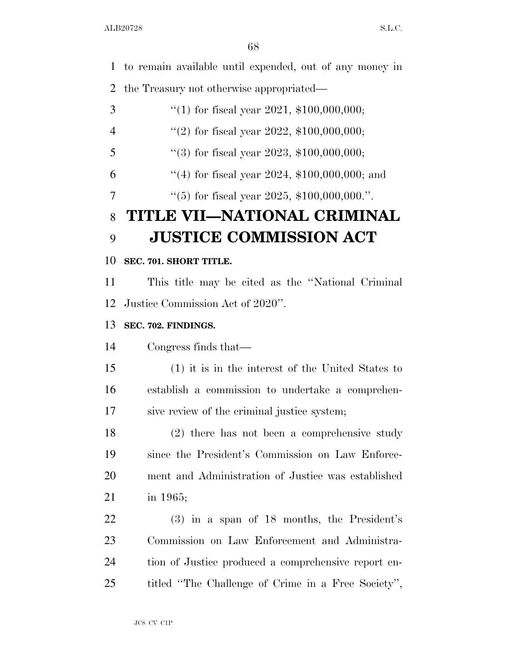to remain available until expended, out of any money in the Treasury not otherwise appropriated—  $\frac{4}{1}$  for fiscal year 2021, \$100,000,000;  $\frac{4}{2}$  for fiscal year 2022, \$100,000,000;  $\frac{4}{3}$  for fiscal year 2023, \$100,000,000; ''(4) for fiscal year 2024, \$100,000,000; and  $\frac{4}{5}$  for fiscal year 2025, \$100,000,000.". **TITLE VII—NATIONAL CRIMINAL JUSTICE COMMISSION ACT SEC. 701. SHORT TITLE.**  This title may be cited as the ''National Criminal Justice Commission Act of 2020''. **SEC. 702. FINDINGS.**  Congress finds that— (1) it is in the interest of the United States to

 establish a commission to undertake a comprehen-sive review of the criminal justice system;

 (2) there has not been a comprehensive study since the President's Commission on Law Enforce- ment and Administration of Justice was established in 1965;

 (3) in a span of 18 months, the President's Commission on Law Enforcement and Administra- tion of Justice produced a comprehensive report en-titled ''The Challenge of Crime in a Free Society'',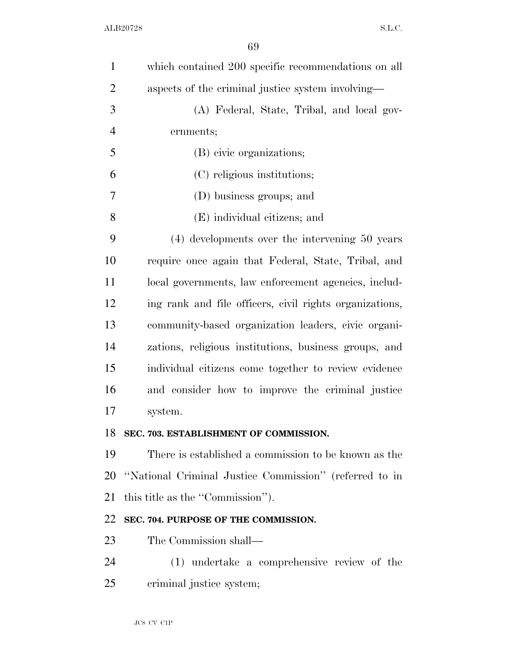| $\mathbf{1}$   | which contained 200 specific recommendations on all     |
|----------------|---------------------------------------------------------|
| $\overline{2}$ | aspects of the criminal justice system involving—       |
| 3              | (A) Federal, State, Tribal, and local gov-              |
| $\overline{4}$ | ernments;                                               |
| 5              | (B) civic organizations;                                |
| 6              | (C) religious institutions;                             |
| 7              | (D) business groups; and                                |
| 8              | (E) individual citizens; and                            |
| 9              | $(4)$ developments over the intervening 50 years        |
| 10             | require once again that Federal, State, Tribal, and     |
| 11             | local governments, law enforcement agencies, includ-    |
| 12             | ing rank and file officers, civil rights organizations, |
| 13             | community-based organization leaders, civic organi-     |
| 14             | zations, religious institutions, business groups, and   |
| 15             | individual citizens come together to review evidence    |
| 16             | and consider how to improve the criminal justice        |
| 17             | system.                                                 |
| 18             | SEC. 703. ESTABLISHMENT OF COMMISSION.                  |
| 19             | There is established a commission to be known as the    |
| 20             | "National Criminal Justice Commission" (referred to in  |
| 21             | this title as the "Commission").                        |
| 22             | SEC. 704. PURPOSE OF THE COMMISSION.                    |
| 23             | The Commission shall—                                   |
| 24             | (1) undertake a comprehensive review of the             |
| 25             | criminal justice system;                                |
|                |                                                         |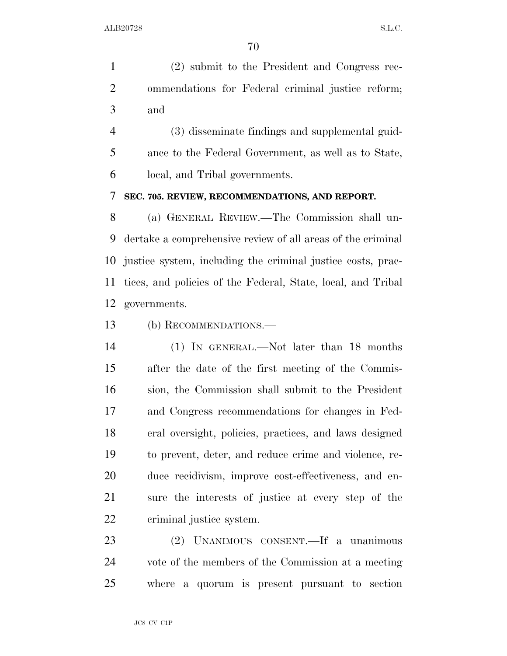(2) submit to the President and Congress rec- ommendations for Federal criminal justice reform; and

 (3) disseminate findings and supplemental guid- ance to the Federal Government, as well as to State, local, and Tribal governments.

**SEC. 705. REVIEW, RECOMMENDATIONS, AND REPORT.** 

 (a) GENERAL REVIEW.—The Commission shall un- dertake a comprehensive review of all areas of the criminal justice system, including the criminal justice costs, prac- tices, and policies of the Federal, State, local, and Tribal governments.

(b) RECOMMENDATIONS.—

 (1) IN GENERAL.—Not later than 18 months after the date of the first meeting of the Commis- sion, the Commission shall submit to the President and Congress recommendations for changes in Fed- eral oversight, policies, practices, and laws designed to prevent, deter, and reduce crime and violence, re- duce recidivism, improve cost-effectiveness, and en- sure the interests of justice at every step of the criminal justice system.

 (2) UNANIMOUS CONSENT.—If a unanimous vote of the members of the Commission at a meeting where a quorum is present pursuant to section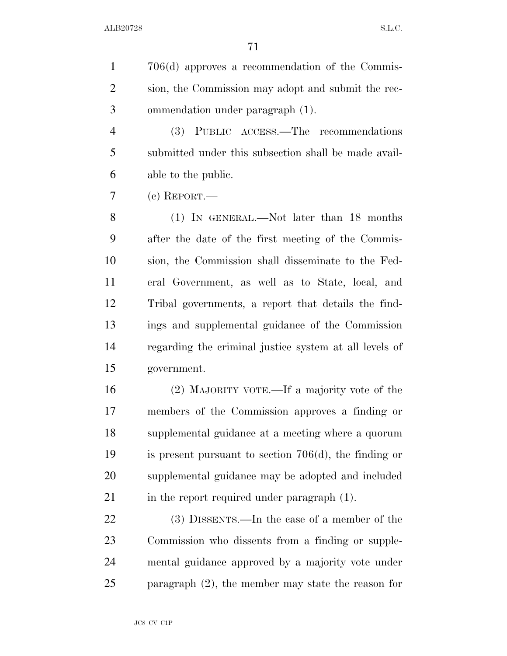706(d) approves a recommendation of the Commis- sion, the Commission may adopt and submit the rec-ommendation under paragraph (1).

 (3) PUBLIC ACCESS.—The recommendations submitted under this subsection shall be made avail-able to the public.

(c) REPORT.—

 (1) IN GENERAL.—Not later than 18 months after the date of the first meeting of the Commis- sion, the Commission shall disseminate to the Fed- eral Government, as well as to State, local, and Tribal governments, a report that details the find- ings and supplemental guidance of the Commission regarding the criminal justice system at all levels of government.

 (2) MAJORITY VOTE.—If a majority vote of the members of the Commission approves a finding or supplemental guidance at a meeting where a quorum is present pursuant to section 706(d), the finding or supplemental guidance may be adopted and included 21 in the report required under paragraph (1).

 (3) DISSENTS.—In the case of a member of the Commission who dissents from a finding or supple- mental guidance approved by a majority vote under paragraph (2), the member may state the reason for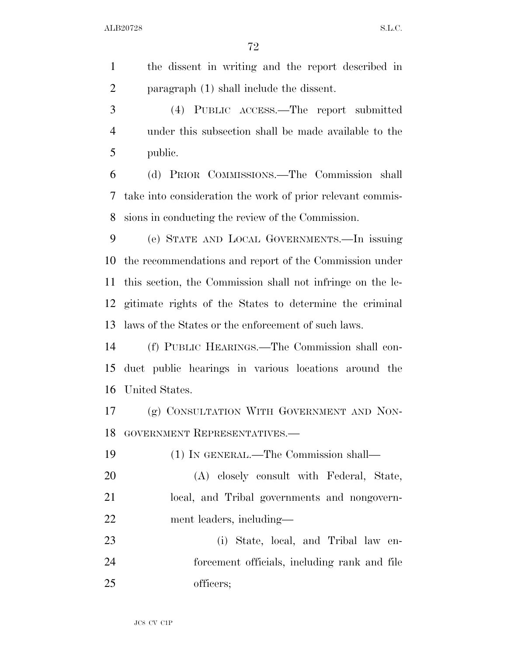| $\mathbf{1}$   | the dissent in writing and the report described in         |
|----------------|------------------------------------------------------------|
| $\overline{2}$ | paragraph (1) shall include the dissent.                   |
| 3              | (4) PUBLIC ACCESS.—The report submitted                    |
| $\overline{4}$ | under this subsection shall be made available to the       |
| 5              | public.                                                    |
| 6              | (d) PRIOR COMMISSIONS.—The Commission shall                |
| 7              | take into consideration the work of prior relevant commis- |
| 8              | sions in conducting the review of the Commission.          |
| 9              | (e) STATE AND LOCAL GOVERNMENTS.—In issuing                |
| 10             | the recommendations and report of the Commission under     |
| 11             | this section, the Commission shall not infringe on the le- |
| 12             | gitimate rights of the States to determine the criminal    |
| 13             | laws of the States or the enforcement of such laws.        |
| 14             | (f) PUBLIC HEARINGS.—The Commission shall con-             |
| 15             | duct public hearings in various locations around the       |
| 16             | United States.                                             |
| 17             | (g) CONSULTATION WITH GOVERNMENT AND NON-                  |
| 18             | GOVERNMENT REPRESENTATIVES.-                               |
| 19             | (1) IN GENERAL.—The Commission shall—                      |
| 20             | (A) closely consult with Federal, State,                   |
| 21             | local, and Tribal governments and nongovern-               |
| 22             | ment leaders, including—                                   |
| 23             | (i) State, local, and Tribal law en-                       |
| 24             | forcement officials, including rank and file               |
| 25             | officers;                                                  |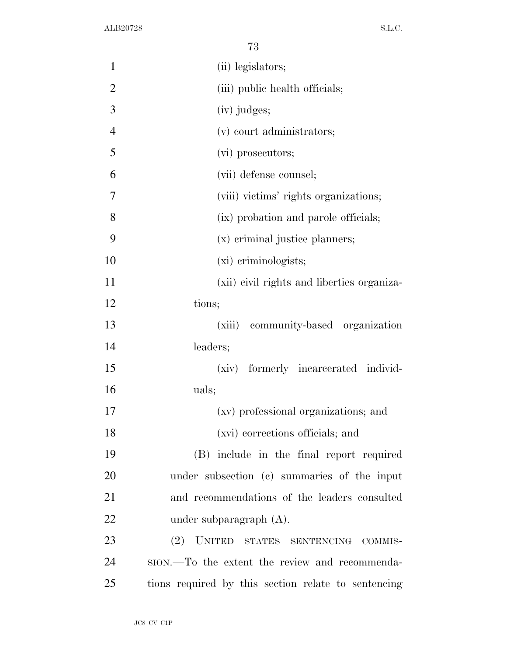| $\mathbf{1}$   | (ii) legislators;                                   |
|----------------|-----------------------------------------------------|
| $\overline{2}$ | (iii) public health officials;                      |
| 3              | (iv) judges;                                        |
| $\overline{4}$ | (v) court administrators;                           |
| 5              | (vi) prosecutors;                                   |
| 6              | (vii) defense counsel;                              |
| 7              | (viii) victims' rights organizations;               |
| 8              | (ix) probation and parole officials;                |
| 9              | (x) criminal justice planners;                      |
| 10             | (xi) criminologists;                                |
| 11             | (xii) civil rights and liberties organiza-          |
| 12             | tions;                                              |
| 13             | (xiii)<br>community-based organization              |
| 14             | leaders;                                            |
| 15             | (xiv) formerly incarcerated individ-                |
| 16             | uals;                                               |
| 17             | (xv) professional organizations; and                |
| 18             | (xvi) corrections officials; and                    |
| 19             | (B) include in the final report required            |
| 20             | under subsection (c) summaries of the input         |
| 21             | and recommendations of the leaders consulted        |
| 22             | under subparagraph $(A)$ .                          |
| 23             | (2) UNITED STATES SENTENCING COMMIS-                |
| 24             | ston.—To the extent the review and recommenda-      |
| 25             | tions required by this section relate to sentencing |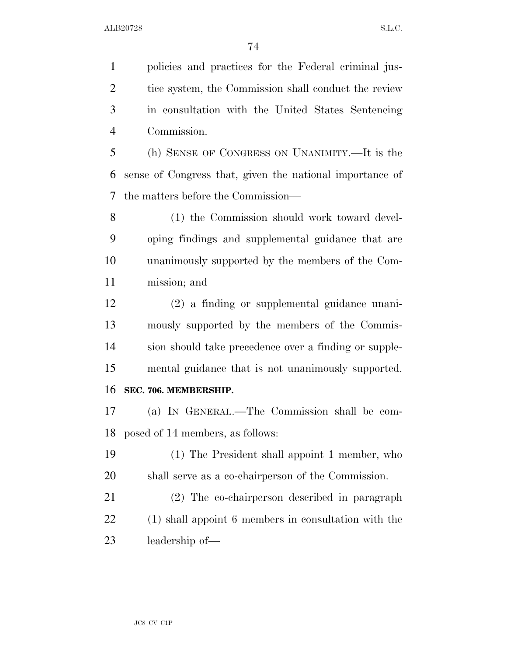policies and practices for the Federal criminal jus- tice system, the Commission shall conduct the review in consultation with the United States Sentencing Commission. (h) SENSE OF CONGRESS ON UNANIMITY.—It is the

 sense of Congress that, given the national importance of the matters before the Commission—

 (1) the Commission should work toward devel- oping findings and supplemental guidance that are unanimously supported by the members of the Com-mission; and

 (2) a finding or supplemental guidance unani- mously supported by the members of the Commis- sion should take precedence over a finding or supple- mental guidance that is not unanimously supported. **SEC. 706. MEMBERSHIP.** 

 (a) IN GENERAL.—The Commission shall be com-posed of 14 members, as follows:

 (1) The President shall appoint 1 member, who shall serve as a co-chairperson of the Commission.

 (2) The co-chairperson described in paragraph (1) shall appoint 6 members in consultation with the leadership of—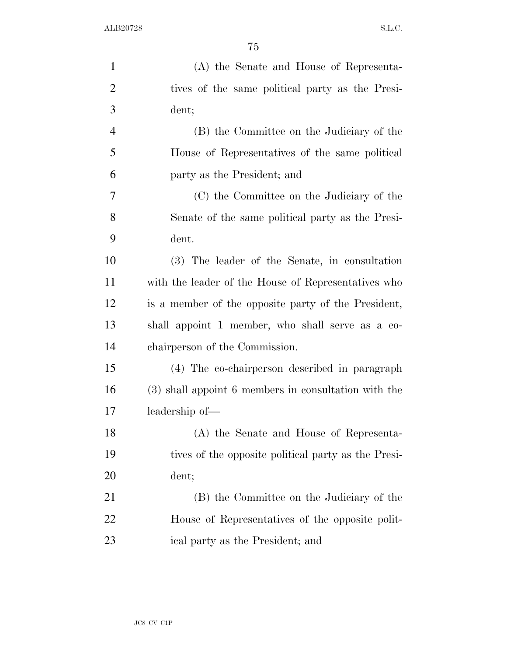| $\mathbf{1}$   | (A) the Senate and House of Representa-              |
|----------------|------------------------------------------------------|
| $\overline{2}$ | tives of the same political party as the Presi-      |
| 3              | dent;                                                |
| $\overline{4}$ | (B) the Committee on the Judiciary of the            |
| 5              | House of Representatives of the same political       |
| 6              | party as the President; and                          |
| 7              | (C) the Committee on the Judiciary of the            |
| 8              | Senate of the same political party as the Presi-     |
| 9              | dent.                                                |
| 10             | (3) The leader of the Senate, in consultation        |
| 11             | with the leader of the House of Representatives who  |
| 12             | is a member of the opposite party of the President,  |
| 13             | shall appoint 1 member, who shall serve as a co-     |
| 14             | chairperson of the Commission.                       |
| 15             | (4) The co-chairperson described in paragraph        |
| 16             | (3) shall appoint 6 members in consultation with the |
| 17             | leadership of—                                       |
| 18             | (A) the Senate and House of Representa-              |
| 19             | tives of the opposite political party as the Presi-  |
| 20             | dent;                                                |
| 21             | (B) the Committee on the Judiciary of the            |
| 22             | House of Representatives of the opposite polit-      |
| 23             | ical party as the President; and                     |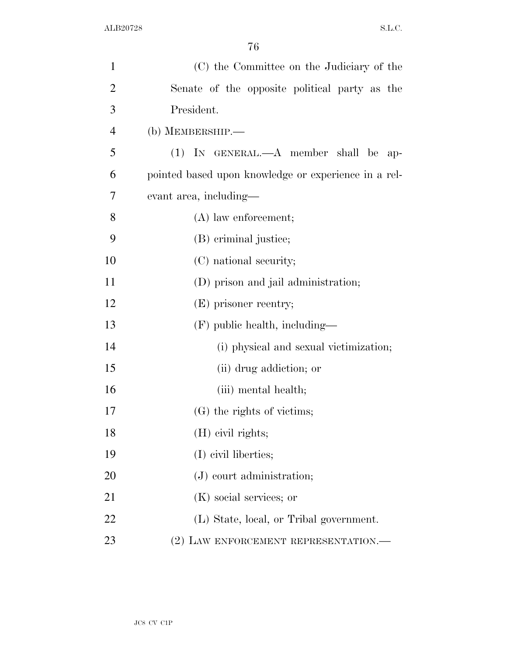| $\mathbf{1}$   | (C) the Committee on the Judiciary of the            |
|----------------|------------------------------------------------------|
| $\overline{2}$ | Senate of the opposite political party as the        |
| 3              | President.                                           |
| $\overline{4}$ | $(b)$ MEMBERSHIP.—                                   |
| 5              | $(1)$ IN GENERAL.— $A$ member shall be ap-           |
| 6              | pointed based upon knowledge or experience in a rel- |
| 7              | evant area, including—                               |
| 8              | $(A)$ law enforcement;                               |
| 9              | (B) criminal justice;                                |
| 10             | (C) national security;                               |
| 11             | (D) prison and jail administration;                  |
| 12             | (E) prisoner reentry;                                |
| 13             | $(F)$ public health, including—                      |
| 14             | (i) physical and sexual victimization;               |
| 15             | (ii) drug addiction; or                              |
| 16             | (iii) mental health;                                 |
| 17             | (G) the rights of victims;                           |
| 18             | (H) civil rights;                                    |
| 19             | (I) civil liberties;                                 |
| 20             | $(J)$ court administration;                          |
| 21             | (K) social services; or                              |
| 22             | (L) State, local, or Tribal government.              |
| 23             | (2) LAW ENFORCEMENT REPRESENTATION.                  |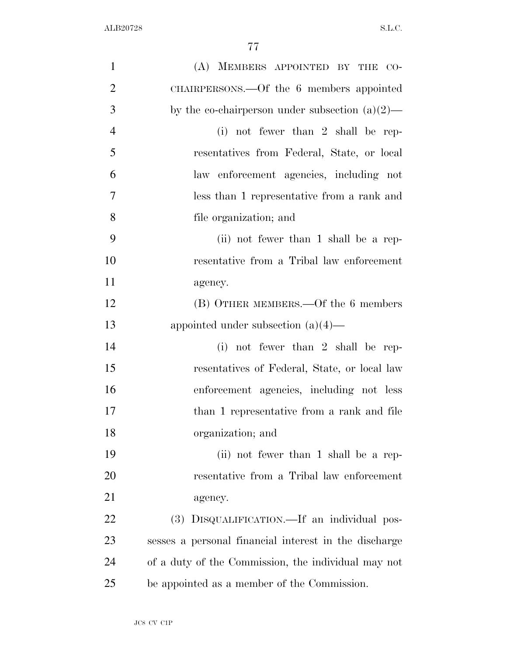| $\mathbf{1}$   | (A) MEMBERS APPOINTED BY THE CO-                      |
|----------------|-------------------------------------------------------|
| $\overline{2}$ | CHAIRPERSONS.—Of the 6 members appointed              |
| 3              | by the co-chairperson under subsection $(a)(2)$ —     |
| $\overline{4}$ | $(i)$ not fewer than 2 shall be rep-                  |
| 5              | resentatives from Federal, State, or local            |
| 6              | law enforcement agencies, including not               |
| $\overline{7}$ | less than 1 representative from a rank and            |
| 8              | file organization; and                                |
| 9              | (ii) not fewer than 1 shall be a rep-                 |
| 10             | resentative from a Tribal law enforcement             |
| 11             | agency.                                               |
| 12             | (B) OTHER MEMBERS.—Of the 6 members                   |
| 13             | appointed under subsection $(a)(4)$ —                 |
| 14             | (i) not fewer than 2 shall be rep-                    |
| 15             | resentatives of Federal, State, or local law          |
| 16             | enforcement agencies, including not less              |
| 17             | than 1 representative from a rank and file            |
| 18             | organization; and                                     |
| 19             | (ii) not fewer than 1 shall be a rep-                 |
| 20             | resentative from a Tribal law enforcement             |
| 21             | agency.                                               |
| 22             | (3) DISQUALIFICATION.—If an individual pos-           |
| 23             | sesses a personal financial interest in the discharge |
| 24             | of a duty of the Commission, the individual may not   |
| 25             | be appointed as a member of the Commission.           |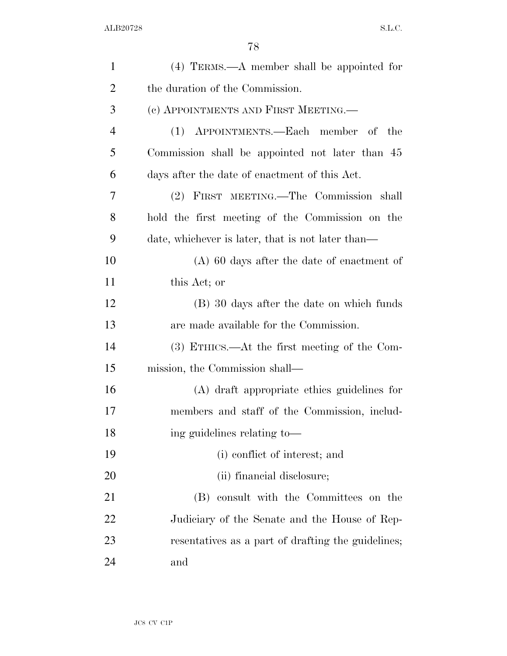| $\mathbf{1}$   | $(4)$ TERMS.—A member shall be appointed for       |
|----------------|----------------------------------------------------|
| $\overline{2}$ | the duration of the Commission.                    |
| 3              | (c) APPOINTMENTS AND FIRST MEETING.—               |
| $\overline{4}$ | (1) APPOINTMENTS.—Each member of the               |
| 5              | Commission shall be appointed not later than 45    |
| 6              | days after the date of enactment of this Act.      |
| 7              | (2) FIRST MEETING.—The Commission shall            |
| 8              | hold the first meeting of the Commission on the    |
| 9              | date, whichever is later, that is not later than—  |
| 10             | $(A)$ 60 days after the date of enactment of       |
| 11             | this Act; or                                       |
| 12             | (B) 30 days after the date on which funds          |
| 13             | are made available for the Commission.             |
| 14             | $(3)$ ETHICS.—At the first meeting of the Com-     |
| 15             | mission, the Commission shall—                     |
| 16             | (A) draft appropriate ethics guidelines for        |
| 17             | members and staff of the Commission, includ-       |
| 18             | ing guidelines relating to-                        |
| 19             | (i) conflict of interest; and                      |
| 20             | (ii) financial disclosure;                         |
| 21             | (B) consult with the Committees on the             |
| 22             | Judiciary of the Senate and the House of Rep-      |
| 23             | resentatives as a part of drafting the guidelines; |
| 24             | and                                                |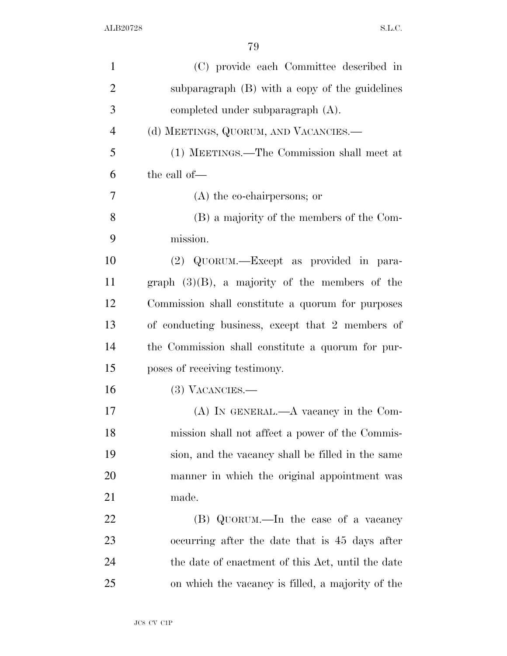| $\mathbf{1}$   | (C) provide each Committee described in           |
|----------------|---------------------------------------------------|
| $\overline{2}$ | subparagraph (B) with a copy of the guidelines    |
| 3              | completed under subparagraph $(A)$ .              |
| $\overline{4}$ | (d) MEETINGS, QUORUM, AND VACANCIES.-             |
| 5              | (1) MEETINGS.—The Commission shall meet at        |
| 6              | the call of—                                      |
| 7              | $(A)$ the co-chairpersons; or                     |
| 8              | (B) a majority of the members of the Com-         |
| 9              | mission.                                          |
| 10             | (2) QUORUM.—Except as provided in para-           |
| 11             | graph $(3)(B)$ , a majority of the members of the |
| 12             | Commission shall constitute a quorum for purposes |
| 13             | of conducting business, except that 2 members of  |
| 14             | the Commission shall constitute a quorum for pur- |
| 15             | poses of receiving testimony.                     |
| 16             | $(3)$ VACANCIES.—                                 |
| 17             | $(A)$ In GENERAL.— $A$ vacancy in the Com-        |
| 18             | mission shall not affect a power of the Commis-   |
| 19             | sion, and the vacancy shall be filled in the same |
| 20             | manner in which the original appointment was      |
| 21             | made.                                             |
| 22             | (B) QUORUM.—In the case of a vacancy              |
| 23             | occurring after the date that is 45 days after    |
| 24             | the date of enactment of this Act, until the date |
| 25             | on which the vacancy is filled, a majority of the |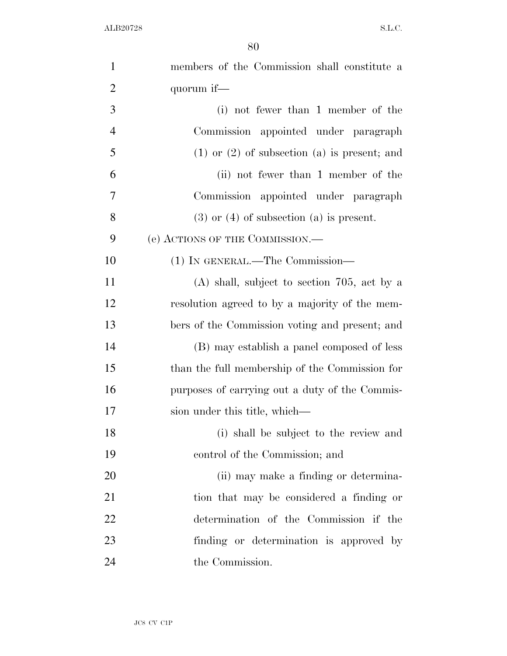| $\mathbf{1}$   | members of the Commission shall constitute a       |
|----------------|----------------------------------------------------|
| $\overline{2}$ | quorum if—                                         |
| $\mathfrak{Z}$ | (i) not fewer than 1 member of the                 |
| $\overline{4}$ | Commission appointed under paragraph               |
| 5              | $(1)$ or $(2)$ of subsection $(a)$ is present; and |
| 6              | (ii) not fewer than 1 member of the                |
| 7              | Commission appointed under paragraph               |
| 8              | $(3)$ or $(4)$ of subsection $(a)$ is present.     |
| 9              | (e) ACTIONS OF THE COMMISSION.—                    |
| 10             | (1) IN GENERAL.—The Commission—                    |
| 11             | $(A)$ shall, subject to section 705, act by a      |
| 12             | resolution agreed to by a majority of the mem-     |
| 13             | bers of the Commission voting and present; and     |
| 14             | (B) may establish a panel composed of less         |
| 15             | than the full membership of the Commission for     |
| 16             | purposes of carrying out a duty of the Commis-     |
| 17             | sion under this title, which—                      |
| 18             | (i) shall be subject to the review and             |
| 19             | control of the Commission; and                     |
| 20             | (ii) may make a finding or determina-              |
| 21             | tion that may be considered a finding or           |
| 22             | determination of the Commission if the             |
| 23             | finding or determination is approved by            |
| 24             | the Commission.                                    |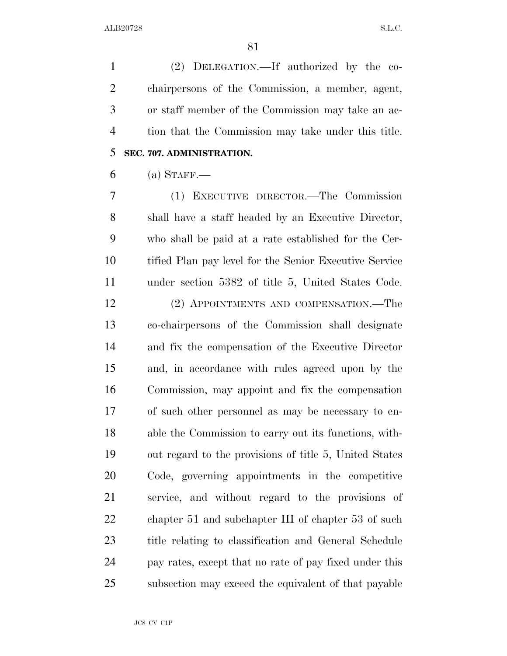ALB20728 S.L.C.

 (2) DELEGATION.—If authorized by the co- chairpersons of the Commission, a member, agent, or staff member of the Commission may take an ac- tion that the Commission may take under this title. **SEC. 707. ADMINISTRATION.** 

(a) STAFF.—

 (1) EXECUTIVE DIRECTOR.—The Commission shall have a staff headed by an Executive Director, who shall be paid at a rate established for the Cer- tified Plan pay level for the Senior Executive Service under section 5382 of title 5, United States Code.

 (2) APPOINTMENTS AND COMPENSATION.—The co-chairpersons of the Commission shall designate and fix the compensation of the Executive Director and, in accordance with rules agreed upon by the Commission, may appoint and fix the compensation of such other personnel as may be necessary to en- able the Commission to carry out its functions, with- out regard to the provisions of title 5, United States Code, governing appointments in the competitive service, and without regard to the provisions of 22 chapter 51 and subchapter III of chapter 53 of such title relating to classification and General Schedule pay rates, except that no rate of pay fixed under this subsection may exceed the equivalent of that payable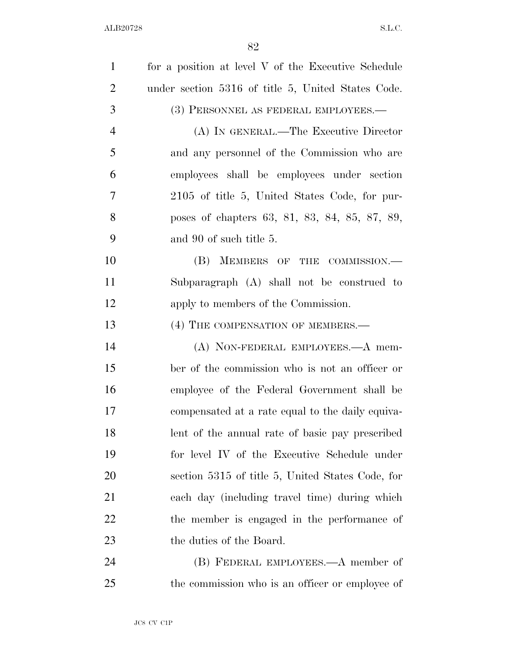| $\mathbf{1}$   | for a position at level V of the Executive Schedule |
|----------------|-----------------------------------------------------|
| $\overline{2}$ | under section 5316 of title 5, United States Code.  |
| 3              | (3) PERSONNEL AS FEDERAL EMPLOYEES.—                |
| $\overline{4}$ | (A) IN GENERAL.—The Executive Director              |
| 5              | and any personnel of the Commission who are         |
| 6              | employees shall be employees under section          |
| 7              | 2105 of title 5, United States Code, for pur-       |
| 8              | poses of chapters 63, 81, 83, 84, 85, 87, 89,       |
| 9              | and 90 of such title 5.                             |
| 10             | (B) MEMBERS OF THE COMMISSION.—                     |
| 11             | Subparagraph (A) shall not be construed to          |
| 12             | apply to members of the Commission.                 |
| 13             | (4) THE COMPENSATION OF MEMBERS.—                   |
| 14             | (A) NON-FEDERAL EMPLOYEES.—A mem-                   |
| 15             | ber of the commission who is not an officer or      |
| 16             | employee of the Federal Government shall be         |
| 17             | compensated at a rate equal to the daily equiva-    |
| 18             | lent of the annual rate of basic pay prescribed     |
| 19             | for level IV of the Executive Schedule under        |
| 20             | section 5315 of title 5, United States Code, for    |
| 21             | each day (including travel time) during which       |
| 22             | the member is engaged in the performance of         |
| 23             | the duties of the Board.                            |
| 24             | (B) FEDERAL EMPLOYEES.—A member of                  |
| 25             | the commission who is an officer or employee of     |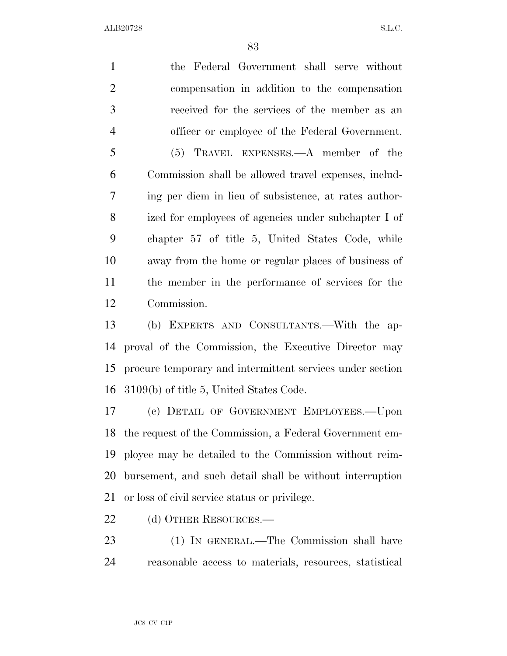ALB20728 S.L.C.

 the Federal Government shall serve without compensation in addition to the compensation received for the services of the member as an officer or employee of the Federal Government. (5) TRAVEL EXPENSES.—A member of the Commission shall be allowed travel expenses, includ- ing per diem in lieu of subsistence, at rates author- ized for employees of agencies under subchapter I of chapter 57 of title 5, United States Code, while away from the home or regular places of business of the member in the performance of services for the Commission.

 (b) EXPERTS AND CONSULTANTS.—With the ap- proval of the Commission, the Executive Director may procure temporary and intermittent services under section 3109(b) of title 5, United States Code.

 (c) DETAIL OF GOVERNMENT EMPLOYEES.—Upon the request of the Commission, a Federal Government em- ployee may be detailed to the Commission without reim- bursement, and such detail shall be without interruption or loss of civil service status or privilege.

22 (d) OTHER RESOURCES.—

 (1) IN GENERAL.—The Commission shall have reasonable access to materials, resources, statistical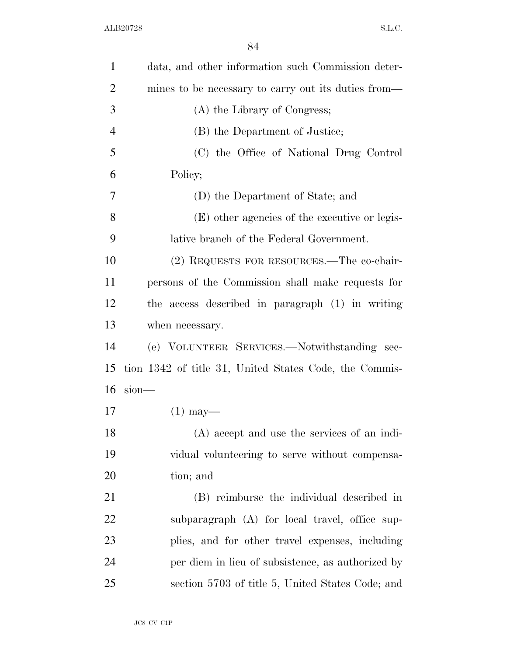| $\mathbf{1}$   | data, and other information such Commission deter-     |
|----------------|--------------------------------------------------------|
| $\overline{2}$ | mines to be necessary to carry out its duties from—    |
| 3              | (A) the Library of Congress;                           |
| $\overline{4}$ | (B) the Department of Justice;                         |
| 5              | (C) the Office of National Drug Control                |
| 6              | Policy;                                                |
| 7              | (D) the Department of State; and                       |
| 8              | (E) other agencies of the executive or legis-          |
| 9              | lative branch of the Federal Government.               |
| 10             | (2) REQUESTS FOR RESOURCES.—The co-chair-              |
| 11             | persons of the Commission shall make requests for      |
| 12             | the access described in paragraph (1) in writing       |
| 13             | when necessary.                                        |
| 14             | (e) VOLUNTEER SERVICES.—Notwithstanding sec-           |
| 15             | tion 1342 of title 31, United States Code, the Commis- |
| 16             | $sion$ —                                               |
| 17             | $(1)$ may—                                             |
| 18             | (A) accept and use the services of an indi-            |
| 19             | vidual volunteering to serve without compensa-         |
| 20             | tion; and                                              |
| 21             | (B) reimburse the individual described in              |
| 22             | subparagraph (A) for local travel, office sup-         |
| 23             | plies, and for other travel expenses, including        |
| 24             | per diem in lieu of subsistence, as authorized by      |
| 25             | section 5703 of title 5, United States Code; and       |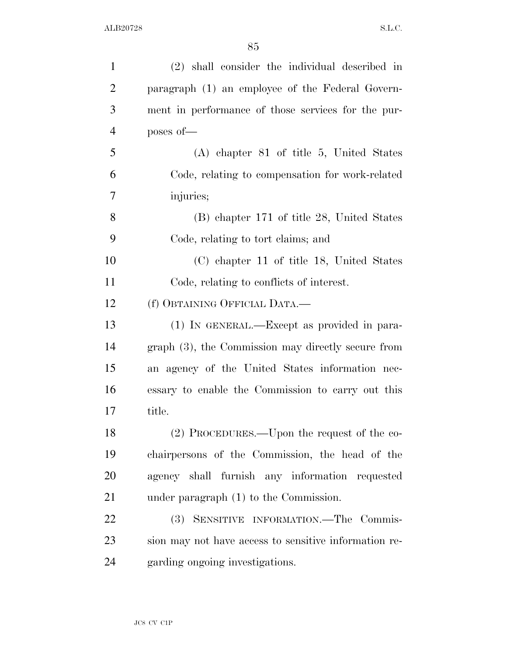| $\mathbf{1}$   | (2) shall consider the individual described in        |
|----------------|-------------------------------------------------------|
| $\overline{2}$ | paragraph (1) an employee of the Federal Govern-      |
| 3              | ment in performance of those services for the pur-    |
| $\overline{4}$ | poses of-                                             |
| 5              | $(A)$ chapter 81 of title 5, United States            |
| 6              | Code, relating to compensation for work-related       |
| 7              | injuries;                                             |
| 8              | (B) chapter 171 of title 28, United States            |
| 9              | Code, relating to tort claims; and                    |
| 10             | (C) chapter 11 of title 18, United States             |
| 11             | Code, relating to conflicts of interest.              |
| 12             | (f) OBTAINING OFFICIAL DATA.-                         |
| 13             | (1) IN GENERAL.—Except as provided in para-           |
| 14             | $graph(3)$ , the Commission may directly secure from  |
| 15             | an agency of the United States information nec-       |
| 16             | essary to enable the Commission to carry out this     |
| 17             | title.                                                |
| 18             | $(2)$ PROCEDURES.—Upon the request of the co-         |
| 19             | chairpersons of the Commission, the head of the       |
| 20             | agency shall furnish any information requested        |
| 21             | under paragraph $(1)$ to the Commission.              |
| 22             | (3) SENSITIVE INFORMATION.-The Commis-                |
| 23             | sion may not have access to sensitive information re- |
| 24             | garding ongoing investigations.                       |
|                |                                                       |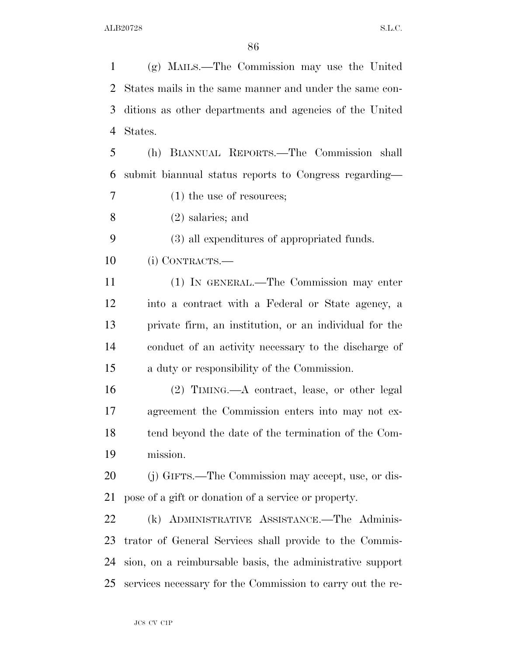(g) MAILS.—The Commission may use the United States mails in the same manner and under the same con- ditions as other departments and agencies of the United States.

 (h) BIANNUAL REPORTS.—The Commission shall submit biannual status reports to Congress regarding—

(1) the use of resources;

(2) salaries; and

(3) all expenditures of appropriated funds.

(i) CONTRACTS.—

 (1) IN GENERAL.—The Commission may enter into a contract with a Federal or State agency, a private firm, an institution, or an individual for the conduct of an activity necessary to the discharge of a duty or responsibility of the Commission.

 (2) TIMING.—A contract, lease, or other legal agreement the Commission enters into may not ex- tend beyond the date of the termination of the Com-mission.

 (j) GIFTS.—The Commission may accept, use, or dis-pose of a gift or donation of a service or property.

 (k) ADMINISTRATIVE ASSISTANCE.—The Adminis- trator of General Services shall provide to the Commis- sion, on a reimbursable basis, the administrative support services necessary for the Commission to carry out the re-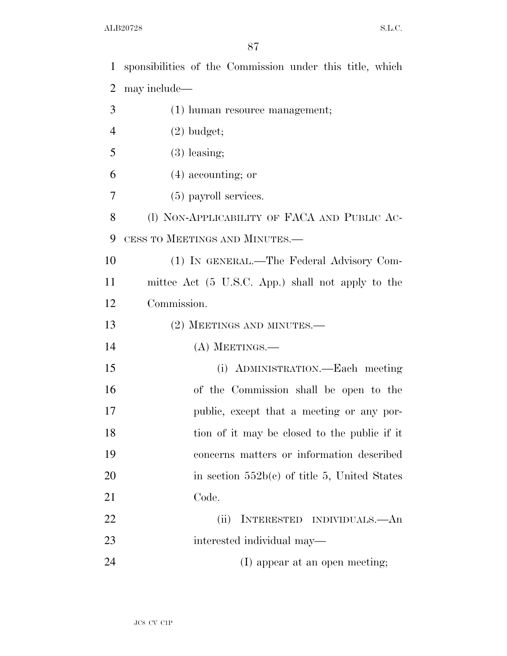sponsibilities of the Commission under this title, which may include— (1) human resource management; (2) budget;  $5 \t(3)$  leasing; (4) accounting; or (5) payroll services. 8 (I) NON-APPLICABILITY OF FACA AND PUBLIC AC- CESS TO MEETINGS AND MINUTES.— (1) IN GENERAL.—The Federal Advisory Com- mittee Act (5 U.S.C. App.) shall not apply to the Commission. 13 (2) MEETINGS AND MINUTES.— (A) MEETINGS.— (i) ADMINISTRATION.—Each meeting of the Commission shall be open to the public, except that a meeting or any por-18 tion of it may be closed to the public if it concerns matters or information described 20 in section  $552b(c)$  of title 5, United States Code.

 (ii) INTERESTED INDIVIDUALS.—An interested individual may—

24 (I) appear at an open meeting;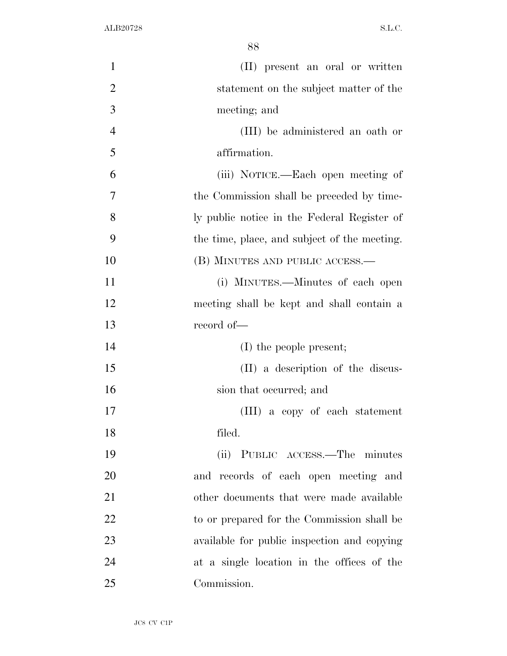| 1              | (II) present an oral or written              |
|----------------|----------------------------------------------|
| $\overline{2}$ | statement on the subject matter of the       |
| 3              | meeting; and                                 |
| $\overline{4}$ | (III) be administered an oath or             |
| 5              | affirmation.                                 |
| 6              | (iii) NOTICE.—Each open meeting of           |
| 7              | the Commission shall be preceded by time-    |
| 8              | ly public notice in the Federal Register of  |
| 9              | the time, place, and subject of the meeting. |
| 10             | (B) MINUTES AND PUBLIC ACCESS.—              |
| 11             | (i) MINUTES.—Minutes of each open            |
| 12             | meeting shall be kept and shall contain a    |
| 13             | record of-                                   |
| 14             | $(I)$ the people present;                    |
| 15             | (II) a description of the discus-            |
| 16             | sion that occurred; and                      |
| 17             | (III) a copy of each statement               |
| 18             | filed.                                       |
| 19             | (ii) PUBLIC ACCESS.—The minutes              |
| 20             | and records of each open meeting and         |
| 21             | other documents that were made available     |
| 22             | to or prepared for the Commission shall be   |
| 23             | available for public inspection and copying  |
| 24             | at a single location in the offices of the   |
| 25             | Commission.                                  |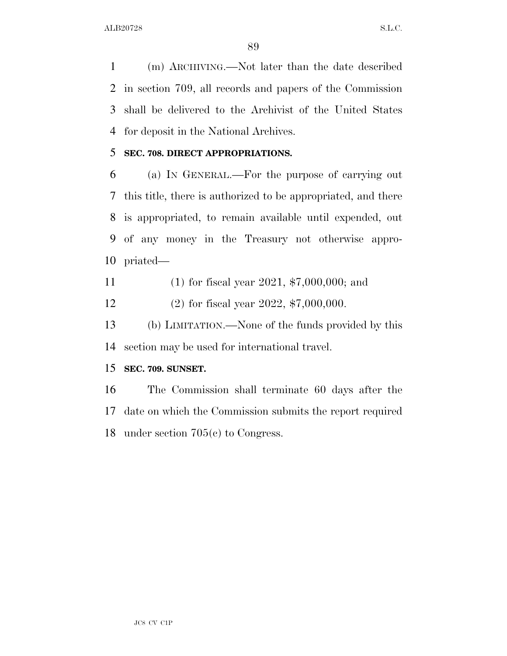(m) ARCHIVING.—Not later than the date described in section 709, all records and papers of the Commission shall be delivered to the Archivist of the United States for deposit in the National Archives.

### **SEC. 708. DIRECT APPROPRIATIONS.**

 (a) IN GENERAL.—For the purpose of carrying out this title, there is authorized to be appropriated, and there is appropriated, to remain available until expended, out of any money in the Treasury not otherwise appro-priated—

(1) for fiscal year 2021, \$7,000,000; and

(2) for fiscal year 2022, \$7,000,000.

 (b) LIMITATION.—None of the funds provided by this section may be used for international travel.

### **SEC. 709. SUNSET.**

 The Commission shall terminate 60 days after the date on which the Commission submits the report required under section 705(c) to Congress.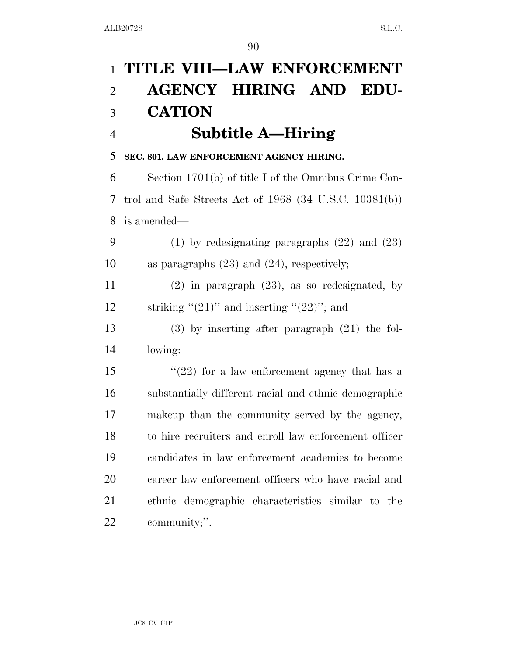| $\mathbf{1}$   | TITLE VIII-LAW ENFORCEMENT                                  |
|----------------|-------------------------------------------------------------|
| $\overline{2}$ | <b>AGENCY HIRING AND EDU-</b>                               |
| 3              | <b>CATION</b>                                               |
| $\overline{4}$ | <b>Subtitle A—Hiring</b>                                    |
| 5              | SEC. 801. LAW ENFORCEMENT AGENCY HIRING.                    |
| 6              | Section 1701(b) of title I of the Omnibus Crime Con-        |
| 7              | trol and Safe Streets Act of $1968$ (34 U.S.C. $10381(b)$ ) |
| 8              | is amended—                                                 |
| 9              | $(1)$ by redesignating paragraphs $(22)$ and $(23)$         |
| 10             | as paragraphs $(23)$ and $(24)$ , respectively;             |
| 11             | $(2)$ in paragraph $(23)$ , as so redesignated, by          |
| 12             | striking " $(21)$ " and inserting " $(22)$ "; and           |
| 13             | $(3)$ by inserting after paragraph $(21)$ the fol-          |
| 14             | lowing:                                                     |
| 15             | $(22)$ for a law enforcement agency that has a              |
| 16             | substantially different racial and ethnic demographic       |
| 17             | makeup than the community served by the agency,             |
| 18             | to hire recruiters and enroll law enforcement officer       |
| 19             | candidates in law enforcement academies to become           |
| 20             | career law enforcement officers who have racial and         |
| 21             | ethnic demographic characteristics similar to the           |
| 22             | community;".                                                |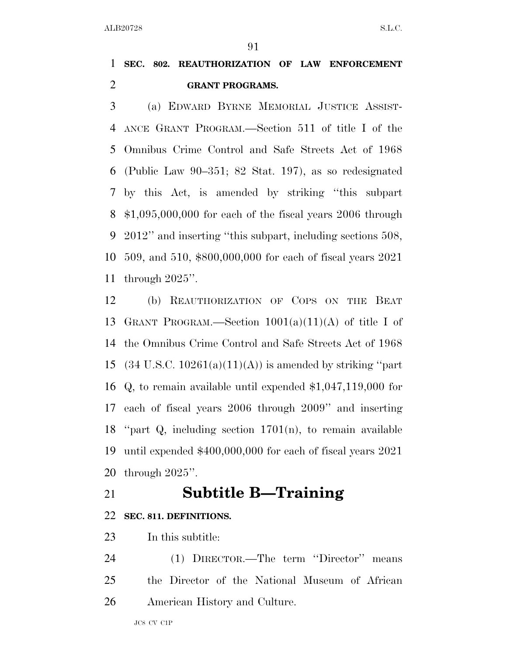### **SEC. 802. REAUTHORIZATION OF LAW ENFORCEMENT GRANT PROGRAMS.**

 (a) EDWARD BYRNE MEMORIAL JUSTICE ASSIST- ANCE GRANT PROGRAM.—Section 511 of title I of the Omnibus Crime Control and Safe Streets Act of 1968 (Public Law 90–351; 82 Stat. 197), as so redesignated by this Act, is amended by striking ''this subpart \$1,095,000,000 for each of the fiscal years 2006 through 2012'' and inserting ''this subpart, including sections 508, 509, and 510, \$800,000,000 for each of fiscal years 2021 through 2025''.

 (b) REAUTHORIZATION OF COPS ON THE BEAT GRANT PROGRAM.—Section 1001(a)(11)(A) of title I of the Omnibus Crime Control and Safe Streets Act of 1968 15 (34 U.S.C.  $10261(a)(11)(A)$ ) is amended by striking "part Q, to remain available until expended \$1,047,119,000 for each of fiscal years 2006 through 2009'' and inserting ''part Q, including section 1701(n), to remain available until expended \$400,000,000 for each of fiscal years 2021 through 2025''.

### **Subtitle B—Training**

### **SEC. 811. DEFINITIONS.**

In this subtitle:

 (1) DIRECTOR.—The term ''Director'' means the Director of the National Museum of African American History and Culture.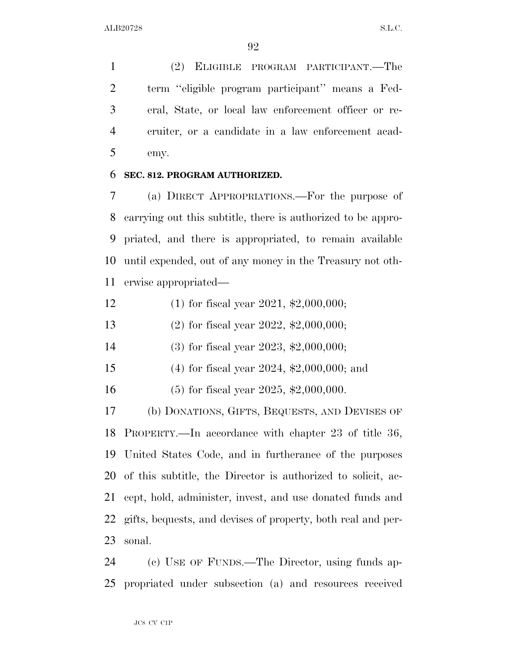(2) ELIGIBLE PROGRAM PARTICIPANT.—The term ''eligible program participant'' means a Fed- eral, State, or local law enforcement officer or re- cruiter, or a candidate in a law enforcement acad-emy.

#### **SEC. 812. PROGRAM AUTHORIZED.**

 (a) DIRECT APPROPRIATIONS.—For the purpose of carrying out this subtitle, there is authorized to be appro- priated, and there is appropriated, to remain available until expended, out of any money in the Treasury not oth-erwise appropriated—

- (1) for fiscal year 2021, \$2,000,000;
- (2) for fiscal year 2022, \$2,000,000;
- (3) for fiscal year 2023, \$2,000,000;
- (4) for fiscal year 2024, \$2,000,000; and
- (5) for fiscal year 2025, \$2,000,000.

 (b) DONATIONS, GIFTS, BEQUESTS, AND DEVISES OF PROPERTY.—In accordance with chapter 23 of title 36, United States Code, and in furtherance of the purposes of this subtitle, the Director is authorized to solicit, ac- cept, hold, administer, invest, and use donated funds and gifts, bequests, and devises of property, both real and per-sonal.

 (c) USE OF FUNDS.—The Director, using funds ap-propriated under subsection (a) and resources received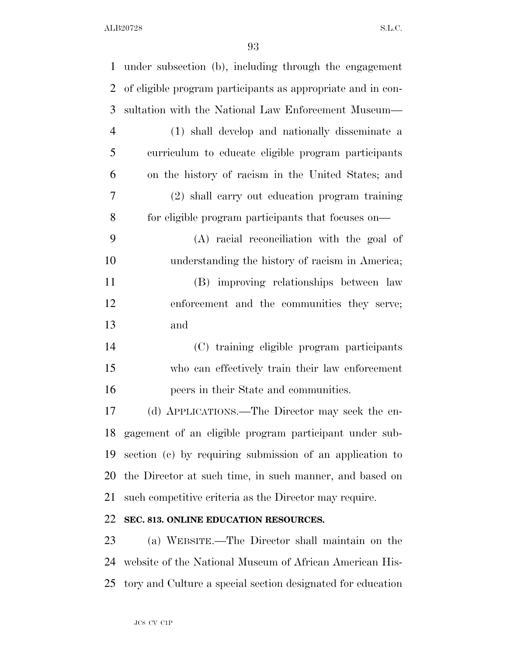| $\mathbf{1}$   | under subsection (b), including through the engagement      |
|----------------|-------------------------------------------------------------|
| $\overline{2}$ | of eligible program participants as appropriate and in con- |
| 3              | sultation with the National Law Enforcement Museum—         |
| $\overline{4}$ | (1) shall develop and nationally disseminate a              |
| 5              | curriculum to educate eligible program participants         |
| 6              | on the history of racism in the United States; and          |
| 7              | (2) shall carry out education program training              |
| 8              | for eligible program participants that focuses on—          |
| 9              | (A) racial reconciliation with the goal of                  |
| 10             | understanding the history of racism in America;             |
| 11             | (B) improving relationships between law                     |
| 12             | enforcement and the communities they serve;                 |
| 13             | and                                                         |
| 14             | (C) training eligible program participants                  |
| 15             | who can effectively train their law enforcement             |
| 16             | peers in their State and communities.                       |
| 17             | (d) APPLICATIONS.—The Director may seek the en-             |
| 18             | gagement of an eligible program participant under sub-      |
| 19             | section (c) by requiring submission of an application to    |
| 20             | the Director at such time, in such manner, and based on     |
| 21             | such competitive criteria as the Director may require.      |
| 22             | SEC. 813. ONLINE EDUCATION RESOURCES.                       |
| 23             | (a) WEBSITE.—The Director shall maintain on the             |
| 24             | website of the National Museum of African American His-     |
| 25             | tory and Culture a special section designated for education |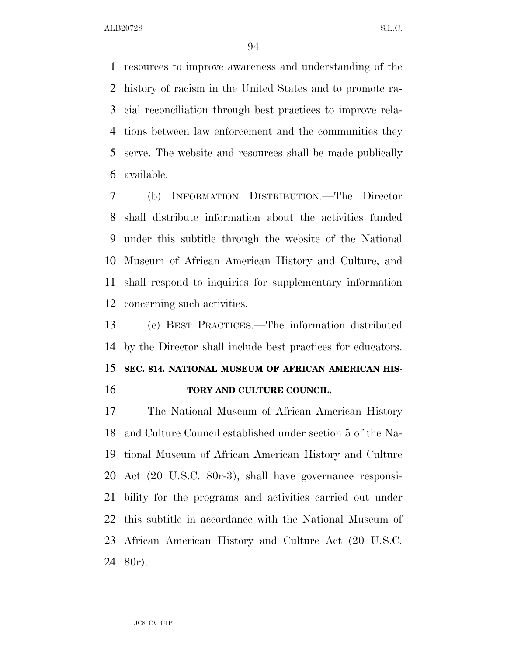resources to improve awareness and understanding of the history of racism in the United States and to promote ra- cial reconciliation through best practices to improve rela- tions between law enforcement and the communities they serve. The website and resources shall be made publically available.

 (b) INFORMATION DISTRIBUTION.—The Director shall distribute information about the activities funded under this subtitle through the website of the National Museum of African American History and Culture, and shall respond to inquiries for supplementary information concerning such activities.

 (c) BEST PRACTICES.—The information distributed by the Director shall include best practices for educators. **SEC. 814. NATIONAL MUSEUM OF AFRICAN AMERICAN HIS-TORY AND CULTURE COUNCIL.** 

 The National Museum of African American History and Culture Council established under section 5 of the Na- tional Museum of African American History and Culture Act (20 U.S.C. 80r-3), shall have governance responsi- bility for the programs and activities carried out under this subtitle in accordance with the National Museum of African American History and Culture Act (20 U.S.C. 80r).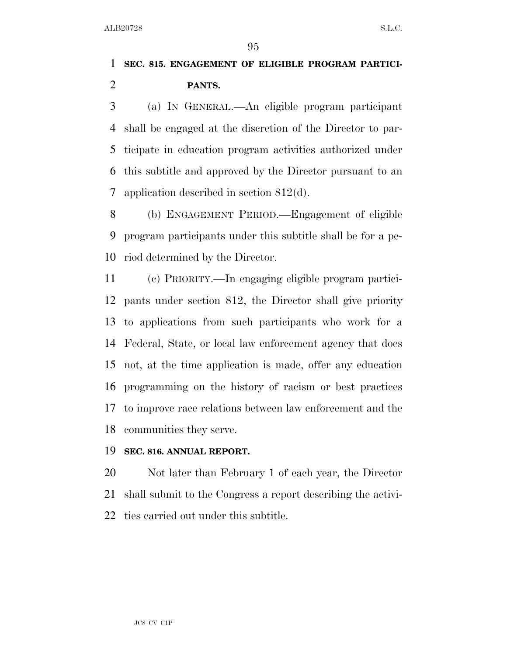## **SEC. 815. ENGAGEMENT OF ELIGIBLE PROGRAM PARTICI-PANTS.**

 (a) IN GENERAL.—An eligible program participant shall be engaged at the discretion of the Director to par- ticipate in education program activities authorized under this subtitle and approved by the Director pursuant to an application described in section 812(d).

 (b) ENGAGEMENT PERIOD.—Engagement of eligible program participants under this subtitle shall be for a pe-riod determined by the Director.

 (c) PRIORITY.—In engaging eligible program partici- pants under section 812, the Director shall give priority to applications from such participants who work for a Federal, State, or local law enforcement agency that does not, at the time application is made, offer any education programming on the history of racism or best practices to improve race relations between law enforcement and the communities they serve.

### **SEC. 816. ANNUAL REPORT.**

 Not later than February 1 of each year, the Director shall submit to the Congress a report describing the activi-ties carried out under this subtitle.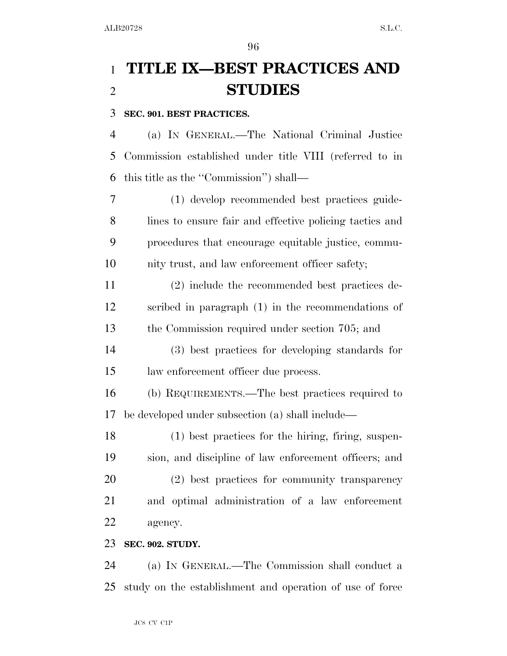## **TITLE IX—BEST PRACTICES AND STUDIES**

### **SEC. 901. BEST PRACTICES.**

 (a) IN GENERAL.—The National Criminal Justice Commission established under title VIII (referred to in this title as the ''Commission'') shall—

 (1) develop recommended best practices guide- lines to ensure fair and effective policing tactics and procedures that encourage equitable justice, commu-nity trust, and law enforcement officer safety;

 (2) include the recommended best practices de- scribed in paragraph (1) in the recommendations of the Commission required under section 705; and

 (3) best practices for developing standards for law enforcement officer due process.

 (b) REQUIREMENTS.—The best practices required to be developed under subsection (a) shall include—

 (1) best practices for the hiring, firing, suspen- sion, and discipline of law enforcement officers; and (2) best practices for community transparency and optimal administration of a law enforcement agency.

### **SEC. 902. STUDY.**

 (a) IN GENERAL.—The Commission shall conduct a study on the establishment and operation of use of force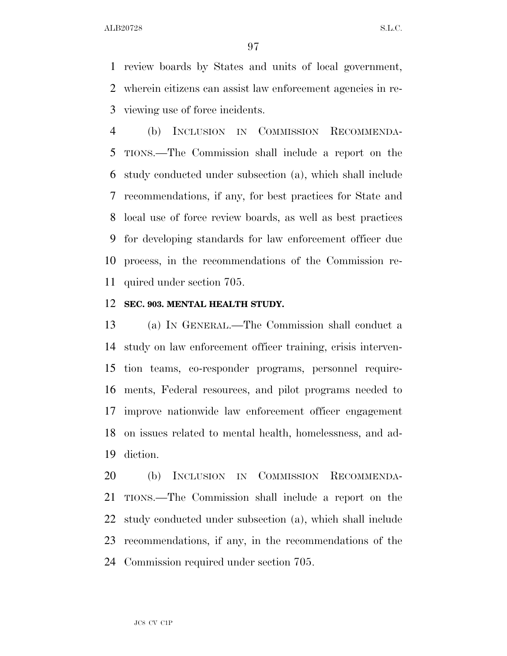review boards by States and units of local government, wherein citizens can assist law enforcement agencies in re-viewing use of force incidents.

 (b) INCLUSION IN COMMISSION RECOMMENDA- TIONS.—The Commission shall include a report on the study conducted under subsection (a), which shall include recommendations, if any, for best practices for State and local use of force review boards, as well as best practices for developing standards for law enforcement officer due process, in the recommendations of the Commission re-quired under section 705.

#### **SEC. 903. MENTAL HEALTH STUDY.**

 (a) IN GENERAL.—The Commission shall conduct a study on law enforcement officer training, crisis interven- tion teams, co-responder programs, personnel require- ments, Federal resources, and pilot programs needed to improve nationwide law enforcement officer engagement on issues related to mental health, homelessness, and ad-diction.

 (b) INCLUSION IN COMMISSION RECOMMENDA- TIONS.—The Commission shall include a report on the study conducted under subsection (a), which shall include recommendations, if any, in the recommendations of the Commission required under section 705.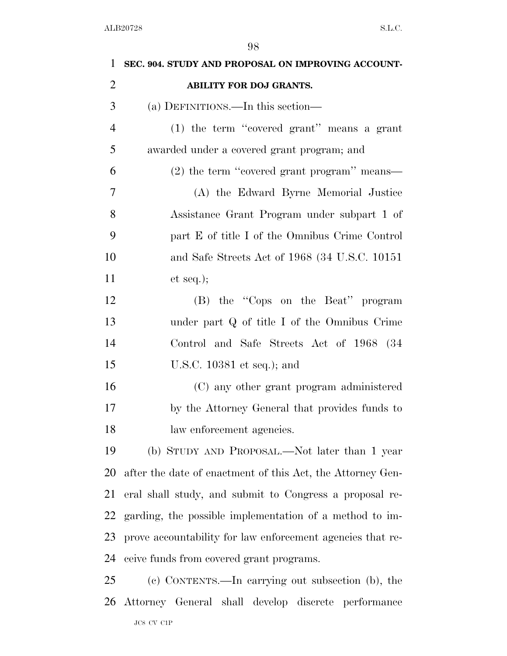| $\mathbf{1}$   | SEC. 904. STUDY AND PROPOSAL ON IMPROVING ACCOUNT-         |
|----------------|------------------------------------------------------------|
| $\overline{2}$ | <b>ABILITY FOR DOJ GRANTS.</b>                             |
| 3              | (a) DEFINITIONS.—In this section—                          |
| $\overline{4}$ | (1) the term "covered grant" means a grant                 |
| 5              | awarded under a covered grant program; and                 |
| 6              | (2) the term "covered grant program" means—                |
| 7              | (A) the Edward Byrne Memorial Justice                      |
| 8              | Assistance Grant Program under subpart 1 of                |
| 9              | part E of title I of the Omnibus Crime Control             |
| 10             | and Safe Streets Act of 1968 (34 U.S.C. 10151)             |
| 11             | et seq.);                                                  |
| 12             | (B) the "Cops on the Beat" program                         |
| 13             | under part Q of title I of the Omnibus Crime               |
| 14             | Control and Safe Streets Act of 1968 (34                   |
| 15             | U.S.C. $10381$ et seq.); and                               |
| 16             | (C) any other grant program administered                   |
| 17             | by the Attorney General that provides funds to             |
| 18             | law enforcement agencies.                                  |
| 19             | (b) STUDY AND PROPOSAL.—Not later than 1 year              |
| 20             | after the date of enactment of this Act, the Attorney Gen- |
| 21             | eral shall study, and submit to Congress a proposal re-    |
| 22             | garding, the possible implementation of a method to im-    |
| 23             | prove accountability for law enforcement agencies that re- |
| 24             | ceive funds from covered grant programs.                   |
| 25             | (c) CONTENTS.—In carrying out subsection (b), the          |
| 26             | Attorney General shall develop discrete performance        |
|                | $\rm JCS$ CV $\rm C1P$                                     |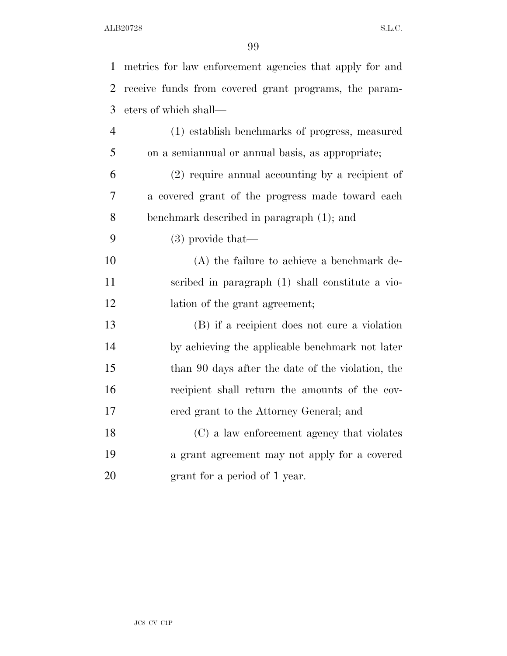| $\mathbf{1}$   | metrics for law enforcement agencies that apply for and |
|----------------|---------------------------------------------------------|
| $\overline{2}$ | receive funds from covered grant programs, the param-   |
| 3              | eters of which shall—                                   |
| $\overline{4}$ | (1) establish benchmarks of progress, measured          |
| 5              | on a semiannual or annual basis, as appropriate;        |
| 6              | $(2)$ require annual accounting by a recipient of       |
| 7              | a covered grant of the progress made toward each        |
| 8              | benchmark described in paragraph (1); and               |
| 9              | $(3)$ provide that—                                     |
| 10             | $(A)$ the failure to achieve a benchmark de-            |
| 11             | scribed in paragraph (1) shall constitute a vio-        |
| 12             | lation of the grant agreement;                          |
| 13             | (B) if a recipient does not cure a violation            |
| 14             | by achieving the applicable benchmark not later         |
| 15             | than 90 days after the date of the violation, the       |
| 16             | recipient shall return the amounts of the cov-          |
| 17             | ered grant to the Attorney General; and                 |
| 18             | (C) a law enforcement agency that violates              |
| 19             | a grant agreement may not apply for a covered           |
| 20             | grant for a period of 1 year.                           |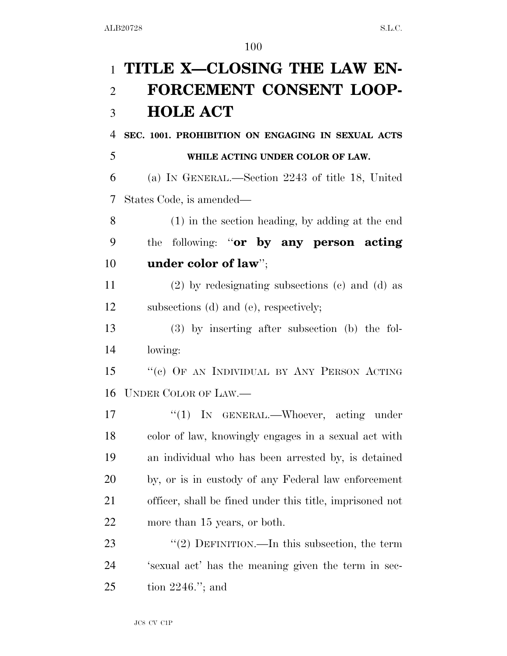# **TITLE X—CLOSING THE LAW EN- FORCEMENT CONSENT LOOP-HOLE ACT**

 **SEC. 1001. PROHIBITION ON ENGAGING IN SEXUAL ACTS WHILE ACTING UNDER COLOR OF LAW.** 

 (a) IN GENERAL.—Section 2243 of title 18, United States Code, is amended—

 (1) in the section heading, by adding at the end the following: ''**or by any person acting under color of law**'';

 (2) by redesignating subsections (c) and (d) as subsections (d) and (e), respectively;

 (3) by inserting after subsection (b) the fol-lowing:

15 "(c) OF AN INDIVIDUAL BY ANY PERSON ACTING UNDER COLOR OF LAW.—

17 <sup>"</sup>(1) In GENERAL.—Whoever, acting under color of law, knowingly engages in a sexual act with an individual who has been arrested by, is detained by, or is in custody of any Federal law enforcement officer, shall be fined under this title, imprisoned not more than 15 years, or both.

23 "(2) DEFINITION.—In this subsection, the term 'sexual act' has the meaning given the term in sec-tion 2246.''; and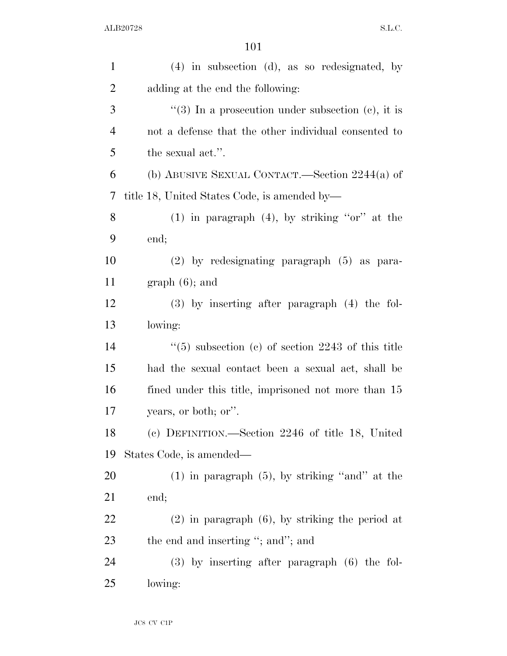| $\mathbf{1}$   | $(4)$ in subsection $(d)$ , as so redesignated, by   |
|----------------|------------------------------------------------------|
| $\overline{c}$ | adding at the end the following:                     |
| 3              | "(3) In a prosecution under subsection (c), it is    |
| $\overline{4}$ | not a defense that the other individual consented to |
| 5              | the sexual act.".                                    |
| 6              | (b) ABUSIVE SEXUAL CONTACT.—Section $2244(a)$ of     |
| 7              | title 18, United States Code, is amended by—         |
| 8              | $(1)$ in paragraph $(4)$ , by striking "or" at the   |
| 9              | end;                                                 |
| 10             | $(2)$ by redesignating paragraph $(5)$ as para-      |
| 11             | $graph(6)$ ; and                                     |
| 12             | $(3)$ by inserting after paragraph $(4)$ the fol-    |
| 13             | lowing:                                              |
| 14             | $(5)$ subsection (c) of section 2243 of this title   |
| 15             | had the sexual contact been a sexual act, shall be   |
| 16             | fined under this title, imprisoned not more than 15  |
| 17             | years, or both; or".                                 |
| 18             | (c) DEFINITION.—Section 2246 of title 18, United     |
| 19             | States Code, is amended—                             |
| 20             | $(1)$ in paragraph $(5)$ , by striking "and" at the  |
| 21             | end;                                                 |
| 22             | $(2)$ in paragraph $(6)$ , by striking the period at |
| 23             | the end and inserting "; and"; and                   |
| 24             | $(3)$ by inserting after paragraph $(6)$ the fol-    |
| 25             | lowing:                                              |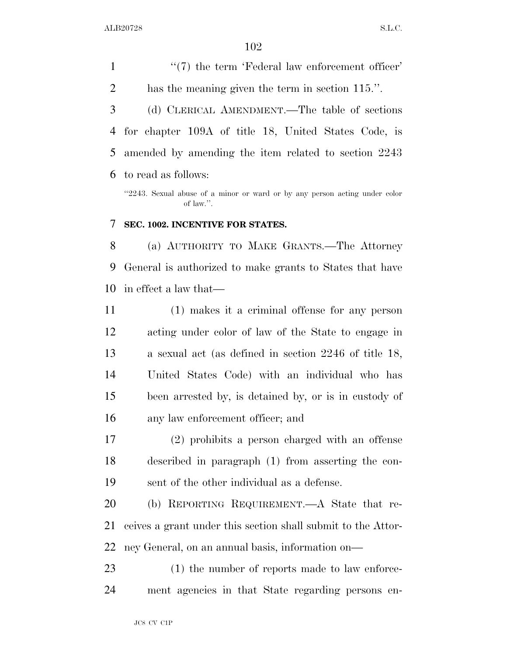$\frac{1}{2}$  (7) the term 'Federal law enforcement officer' has the meaning given the term in section 115.''. (d) CLERICAL AMENDMENT.—The table of sections for chapter 109A of title 18, United States Code, is amended by amending the item related to section 2243 to read as follows:

''2243. Sexual abuse of a minor or ward or by any person acting under color of law.''.

### **SEC. 1002. INCENTIVE FOR STATES.**

 (a) AUTHORITY TO MAKE GRANTS.—The Attorney General is authorized to make grants to States that have in effect a law that—

 (1) makes it a criminal offense for any person acting under color of law of the State to engage in a sexual act (as defined in section 2246 of title 18, United States Code) with an individual who has been arrested by, is detained by, or is in custody of any law enforcement officer; and

 (2) prohibits a person charged with an offense described in paragraph (1) from asserting the con-sent of the other individual as a defense.

 (b) REPORTING REQUIREMENT.—A State that re- ceives a grant under this section shall submit to the Attor-ney General, on an annual basis, information on—

23 (1) the number of reports made to law enforce-ment agencies in that State regarding persons en-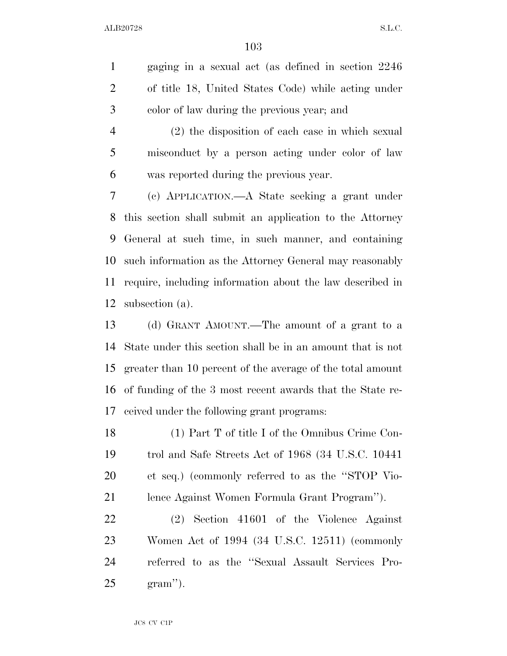gaging in a sexual act (as defined in section 2246 of title 18, United States Code) while acting under color of law during the previous year; and

 (2) the disposition of each case in which sexual misconduct by a person acting under color of law was reported during the previous year.

 (c) APPLICATION.—A State seeking a grant under this section shall submit an application to the Attorney General at such time, in such manner, and containing such information as the Attorney General may reasonably require, including information about the law described in subsection (a).

 (d) GRANT AMOUNT.—The amount of a grant to a State under this section shall be in an amount that is not greater than 10 percent of the average of the total amount of funding of the 3 most recent awards that the State re-ceived under the following grant programs:

 (1) Part T of title I of the Omnibus Crime Con- trol and Safe Streets Act of 1968 (34 U.S.C. 10441 et seq.) (commonly referred to as the ''STOP Vio-lence Against Women Formula Grant Program'').

 (2) Section 41601 of the Violence Against Women Act of 1994 (34 U.S.C. 12511) (commonly referred to as the ''Sexual Assault Services Pro-gram'').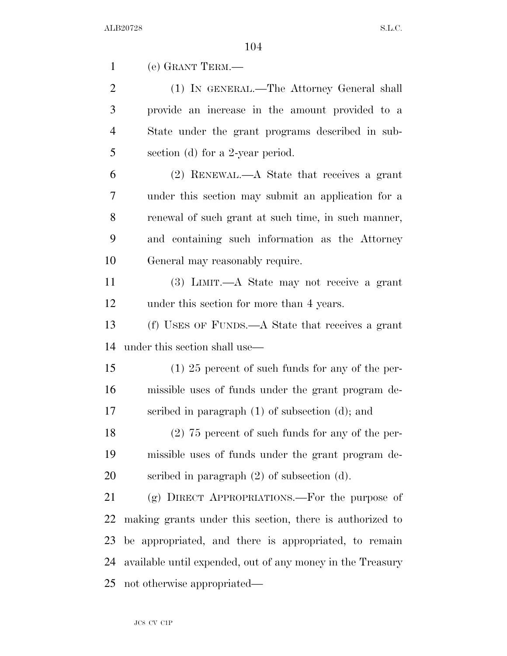(e) GRANT TERM.—

 (1) IN GENERAL.—The Attorney General shall provide an increase in the amount provided to a State under the grant programs described in sub-section (d) for a 2-year period.

 (2) RENEWAL.—A State that receives a grant under this section may submit an application for a renewal of such grant at such time, in such manner, and containing such information as the Attorney General may reasonably require.

 (3) LIMIT.—A State may not receive a grant under this section for more than 4 years.

 (f) USES OF FUNDS.—A State that receives a grant under this section shall use—

 (1) 25 percent of such funds for any of the per- missible uses of funds under the grant program de-scribed in paragraph (1) of subsection (d); and

 (2) 75 percent of such funds for any of the per- missible uses of funds under the grant program de-scribed in paragraph (2) of subsection (d).

 (g) DIRECT APPROPRIATIONS.—For the purpose of making grants under this section, there is authorized to be appropriated, and there is appropriated, to remain available until expended, out of any money in the Treasury not otherwise appropriated—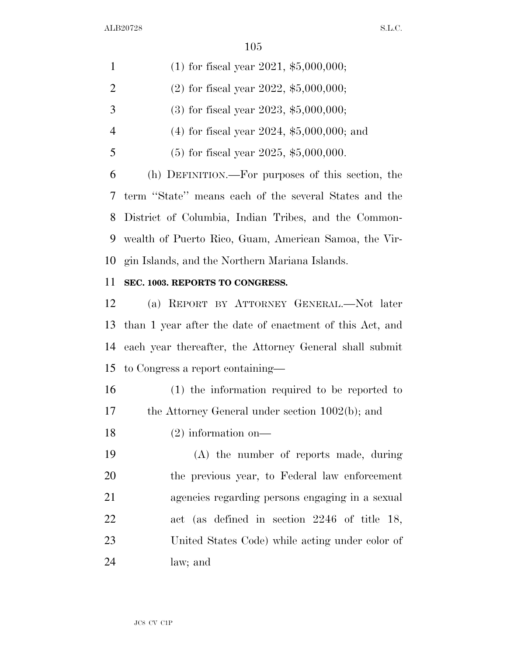| $\mathbf{1}$   | $(1)$ for fiscal year 2021, \$5,000,000;                |
|----------------|---------------------------------------------------------|
| 2              | $(2)$ for fiscal year 2022, \$5,000,000;                |
| 3              | $(3)$ for fiscal year 2023, \$5,000,000;                |
| $\overline{4}$ | $(4)$ for fiscal year 2024, \$5,000,000; and            |
| 5              | $(5)$ for fiscal year 2025, \$5,000,000.                |
| 6              | (h) DEFINITION.—For purposes of this section, the       |
|                | 7 term "State" means each of the several States and the |
|                | 8 District of Columbia, Indian Tribes, and the Common-  |
| 9              | wealth of Puerto Rico, Guam, American Samoa, the Vir-   |
|                | 10 gin Islands, and the Northern Mariana Islands.       |

### **SEC. 1003. REPORTS TO CONGRESS.**

 (a) REPORT BY ATTORNEY GENERAL.—Not later than 1 year after the date of enactment of this Act, and each year thereafter, the Attorney General shall submit to Congress a report containing—

 (1) the information required to be reported to the Attorney General under section 1002(b); and

(2) information on—

 (A) the number of reports made, during the previous year, to Federal law enforcement agencies regarding persons engaging in a sexual act (as defined in section 2246 of title 18, United States Code) while acting under color of law; and